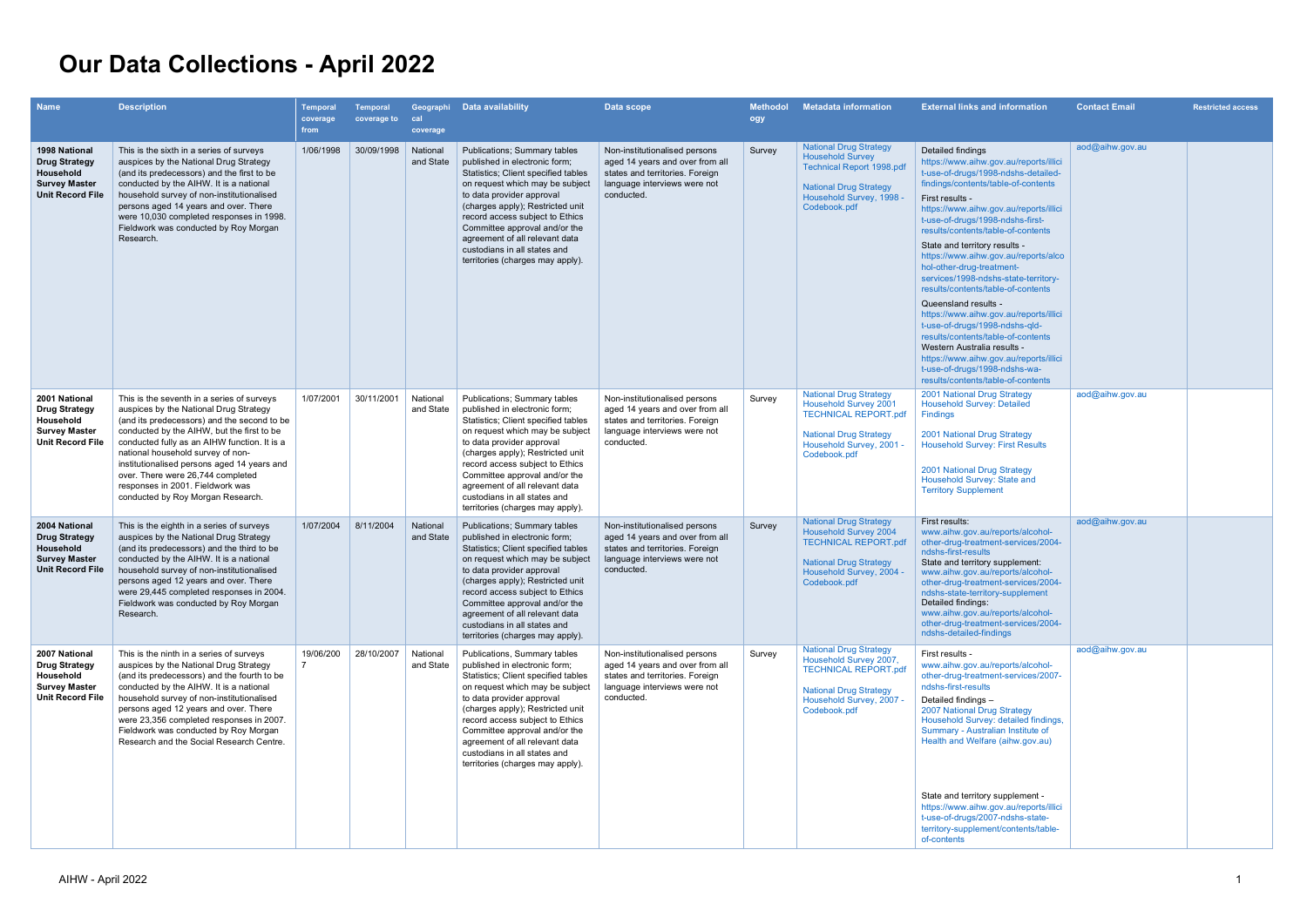## **Our Data Collections - April 2022**

| <b>Name</b>                                                                                           | <b>Description</b>                                                                                                                                                                                                                                                                                                                                                                                                                  | Temporal<br>coverage<br>from | <b>Temporal</b><br>coverage to | cal<br>coverage       | Geographi Data availability                                                                                                                                                                                                                                                                                                                                                               | Data scope                                                                                                                                        | <b>Methodol</b><br>ogy | <b>Metadata information</b>                                                                                                                                               | <b>External links and information</b>                                                                                                                                                                                                                                                                                                                                                                                                                                                                                                                                                                                                                                                                                                                          | <b>Contact Email</b>   | <b>Restricted access</b> |
|-------------------------------------------------------------------------------------------------------|-------------------------------------------------------------------------------------------------------------------------------------------------------------------------------------------------------------------------------------------------------------------------------------------------------------------------------------------------------------------------------------------------------------------------------------|------------------------------|--------------------------------|-----------------------|-------------------------------------------------------------------------------------------------------------------------------------------------------------------------------------------------------------------------------------------------------------------------------------------------------------------------------------------------------------------------------------------|---------------------------------------------------------------------------------------------------------------------------------------------------|------------------------|---------------------------------------------------------------------------------------------------------------------------------------------------------------------------|----------------------------------------------------------------------------------------------------------------------------------------------------------------------------------------------------------------------------------------------------------------------------------------------------------------------------------------------------------------------------------------------------------------------------------------------------------------------------------------------------------------------------------------------------------------------------------------------------------------------------------------------------------------------------------------------------------------------------------------------------------------|------------------------|--------------------------|
| 1998 National<br><b>Drug Strategy</b><br>Household<br><b>Survey Master</b><br><b>Unit Record File</b> | This is the sixth in a series of surveys<br>auspices by the National Drug Strategy<br>(and its predecessors) and the first to be<br>conducted by the AIHW. It is a national<br>household survey of non-institutionalised<br>persons aged 14 years and over. There<br>were 10,030 completed responses in 1998.<br>Fieldwork was conducted by Roy Morgan<br>Research.                                                                 | 1/06/1998                    | 30/09/1998                     | National<br>and State | <b>Publications; Summary tables</b><br>published in electronic form;<br>Statistics; Client specified tables<br>on request which may be subject<br>to data provider approval<br>(charges apply); Restricted unit<br>record access subject to Ethics<br>Committee approval and/or the<br>agreement of all relevant data<br>custodians in all states and<br>territories (charges may apply). | Non-institutionalised persons<br>aged 14 years and over from all<br>states and territories. Foreign<br>language interviews were not<br>conducted. | Survey                 | <b>National Drug Strategy</b><br><b>Household Survey</b><br><b>Technical Report 1998.pdf</b><br><b>National Drug Strategy</b><br>Household Survey, 1998 -<br>Codebook.pdf | Detailed findings<br>https://www.aihw.gov.au/reports/illici<br>t-use-of-drugs/1998-ndshs-detailed-<br>findings/contents/table-of-contents<br>First results -<br>https://www.aihw.gov.au/reports/illici<br>t-use-of-drugs/1998-ndshs-first-<br>results/contents/table-of-contents<br>State and territory results -<br>https://www.aihw.gov.au/reports/alco<br>hol-other-drug-treatment-<br>services/1998-ndshs-state-territory-<br>results/contents/table-of-contents<br>Queensland results -<br>https://www.aihw.gov.au/reports/illici<br>t-use-of-drugs/1998-ndshs-qld-<br>results/contents/table-of-contents<br>Western Australia results -<br>https://www.aihw.gov.au/reports/illici<br>t-use-of-drugs/1998-ndshs-wa-<br>results/contents/table-of-contents | aod@aihw.gov.au        |                          |
| 2001 National<br><b>Drug Strategy</b><br>Household<br><b>Survey Master</b><br><b>Unit Record File</b> | This is the seventh in a series of surveys<br>auspices by the National Drug Strategy<br>(and its predecessors) and the second to be<br>conducted by the AIHW, but the first to be<br>conducted fully as an AIHW function. It is a<br>national household survey of non-<br>institutionalised persons aged 14 years and<br>over. There were 26,744 completed<br>responses in 2001. Fieldwork was<br>conducted by Roy Morgan Research. | 1/07/2001                    | 30/11/2001                     | National<br>and State | Publications; Summary tables<br>published in electronic form;<br>Statistics; Client specified tables<br>on request which may be subject<br>to data provider approval<br>(charges apply); Restricted unit<br>record access subject to Ethics<br>Committee approval and/or the<br>agreement of all relevant data<br>custodians in all states and<br>territories (charges may apply).        | Non-institutionalised persons<br>aged 14 years and over from all<br>states and territories. Foreign<br>language interviews were not<br>conducted. | Survey                 | <b>National Drug Strategy</b><br>Household Survey 2001<br><b>TECHNICAL REPORT.pdf</b><br><b>National Drug Strategy</b><br>Household Survey, 2001 -<br>Codebook.pdf        | 2001 National Drug Strategy<br><b>Household Survey: Detailed</b><br><b>Findings</b><br>2001 National Drug Strategy<br><b>Household Survey: First Results</b><br>2001 National Drug Strategy<br>Household Survey: State and<br><b>Territory Supplement</b>                                                                                                                                                                                                                                                                                                                                                                                                                                                                                                      | $a$ od $@$ aihw.gov.au |                          |
| 2004 National<br><b>Drug Strategy</b><br>Household<br><b>Survey Master</b><br><b>Unit Record File</b> | This is the eighth in a series of surveys<br>auspices by the National Drug Strategy<br>(and its predecessors) and the third to be<br>conducted by the AIHW. It is a national<br>household survey of non-institutionalised<br>persons aged 12 years and over. There<br>were 29,445 completed responses in 2004.<br>Fieldwork was conducted by Roy Morgan<br>Research.                                                                | 1/07/2004                    | 8/11/2004                      | National<br>and State | <b>Publications; Summary tables</b><br>published in electronic form;<br>Statistics; Client specified tables<br>on request which may be subject<br>to data provider approval<br>(charges apply); Restricted unit<br>record access subject to Ethics<br>Committee approval and/or the<br>agreement of all relevant data<br>custodians in all states and<br>territories (charges may apply). | Non-institutionalised persons<br>aged 14 years and over from all<br>states and territories. Foreign<br>language interviews were not<br>conducted. | Survey                 | <b>National Drug Strategy</b><br><b>Household Survey 2004</b><br><b>TECHNICAL REPORT.pdf</b><br><b>National Drug Strategy</b><br>Household Survey, 2004 -<br>Codebook.pdf | First results:<br>www.aihw.gov.au/reports/alcohol-<br>other-drug-treatment-services/2004-<br>ndshs-first-results<br>State and territory supplement:<br>www.aihw.gov.au/reports/alcohol-<br>other-drug-treatment-services/2004-<br>ndshs-state-territory-supplement<br>Detailed findings:<br>www.aihw.gov.au/reports/alcohol-<br>other-drug-treatment-services/2004-<br>ndshs-detailed-findings                                                                                                                                                                                                                                                                                                                                                                 | $a$ od $@$ aihw.gov.au |                          |
| 2007 National<br><b>Drug Strategy</b><br>Household<br><b>Survey Master</b><br><b>Unit Record File</b> | This is the ninth in a series of surveys<br>auspices by the National Drug Strategy<br>(and its predecessors) and the fourth to be<br>conducted by the AIHW. It is a national<br>household survey of non-institutionalised<br>persons aged 12 years and over. There<br>were 23,356 completed responses in 2007.<br>Fieldwork was conducted by Roy Morgan<br>Research and the Social Research Centre.                                 | 19/06/200                    | 28/10/2007                     | National<br>and State | Publications, Summary tables<br>published in electronic form;<br>Statistics; Client specified tables<br>on request which may be subject<br>to data provider approval<br>(charges apply); Restricted unit<br>record access subject to Ethics<br>Committee approval and/or the<br>agreement of all relevant data<br>custodians in all states and<br>territories (charges may apply).        | Non-institutionalised persons<br>aged 14 years and over from all<br>states and territories. Foreign<br>language interviews were not<br>conducted. | Survey                 | <b>National Drug Strategy</b><br>Household Survey 2007,<br><b>TECHNICAL REPORT.pdf</b><br><b>National Drug Strategy</b><br>Household Survey, 2007 -<br>Codebook.pdf       | First results -<br>www.aihw.gov.au/reports/alcohol-<br>other-drug-treatment-services/2007-<br>ndshs-first-results<br>Detailed findings -<br>2007 National Drug Strategy<br>Household Survey: detailed findings,<br>Summary - Australian Institute of<br>Health and Welfare (aihw.gov.au)<br>State and territory supplement -<br>https://www.aihw.gov.au/reports/illici                                                                                                                                                                                                                                                                                                                                                                                         | aod@aihw.gov.au        |                          |
|                                                                                                       |                                                                                                                                                                                                                                                                                                                                                                                                                                     |                              |                                |                       |                                                                                                                                                                                                                                                                                                                                                                                           |                                                                                                                                                   |                        |                                                                                                                                                                           | t-use-of-drugs/2007-ndshs-state-<br>territory-supplement/contents/table-<br>of-contents                                                                                                                                                                                                                                                                                                                                                                                                                                                                                                                                                                                                                                                                        |                        |                          |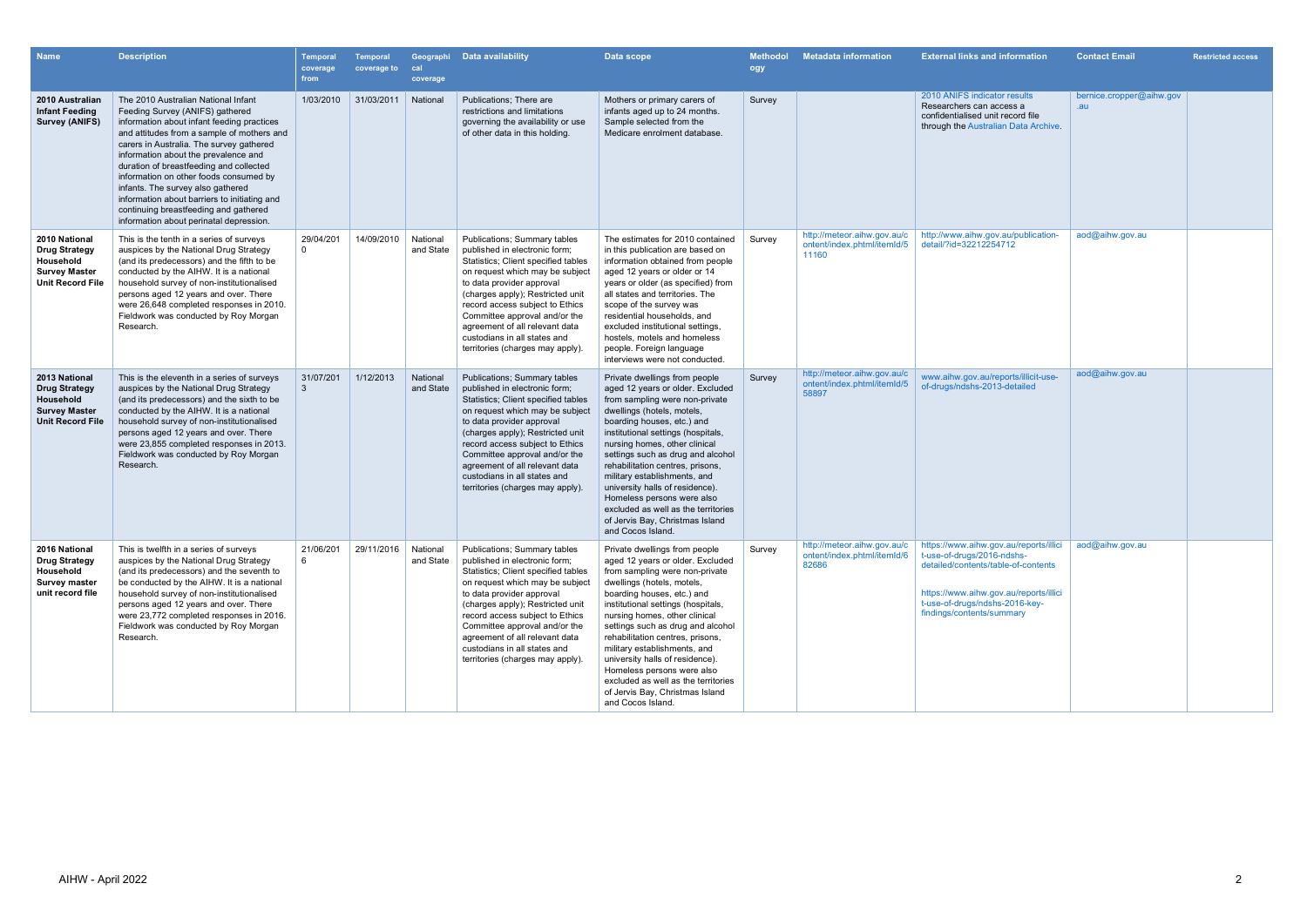| <b>Name</b>                                                                                           | <b>Description</b>                                                                                                                                                                                                                                                                                                                                                                                                                                                                                                   | Temporal<br>coverage<br>from | <b>Temporal</b><br>coverage to | Geographi<br>cal<br>coverage | Data availability                                                                                                                                                                                                                                                                                                                                                                  | Data scope                                                                                                                                                                                                                                                                                                                                                                                                                                                                                                      | <b>Methodol</b><br>ogy | <b>Metadata information</b>                                         | <b>External links and information</b>                                                                                                                                                                                | <b>Contact Email</b>            | <b>Restricted access</b> |
|-------------------------------------------------------------------------------------------------------|----------------------------------------------------------------------------------------------------------------------------------------------------------------------------------------------------------------------------------------------------------------------------------------------------------------------------------------------------------------------------------------------------------------------------------------------------------------------------------------------------------------------|------------------------------|--------------------------------|------------------------------|------------------------------------------------------------------------------------------------------------------------------------------------------------------------------------------------------------------------------------------------------------------------------------------------------------------------------------------------------------------------------------|-----------------------------------------------------------------------------------------------------------------------------------------------------------------------------------------------------------------------------------------------------------------------------------------------------------------------------------------------------------------------------------------------------------------------------------------------------------------------------------------------------------------|------------------------|---------------------------------------------------------------------|----------------------------------------------------------------------------------------------------------------------------------------------------------------------------------------------------------------------|---------------------------------|--------------------------|
| 2010 Australian<br><b>Infant Feeding</b><br><b>Survey (ANIFS)</b>                                     | The 2010 Australian National Infant<br>Feeding Survey (ANIFS) gathered<br>information about infant feeding practices<br>and attitudes from a sample of mothers and<br>carers in Australia. The survey gathered<br>information about the prevalence and<br>duration of breastfeeding and collected<br>information on other foods consumed by<br>infants. The survey also gathered<br>information about barriers to initiating and<br>continuing breastfeeding and gathered<br>information about perinatal depression. | 1/03/2010                    | 31/03/2011                     | National                     | Publications; There are<br>restrictions and limitations<br>governing the availability or use<br>of other data in this holding.                                                                                                                                                                                                                                                     | Mothers or primary carers of<br>infants aged up to 24 months.<br>Sample selected from the<br>Medicare enrolment database.                                                                                                                                                                                                                                                                                                                                                                                       | Survey                 |                                                                     | 2010 ANIFS indicator results<br>Researchers can access a<br>confidentialised unit record file<br>through the Australian Data Archive.                                                                                | bernice.cropper@aihw.gov<br>.au |                          |
| 2010 National<br><b>Drug Strategy</b><br>Household<br><b>Survey Master</b><br><b>Unit Record File</b> | This is the tenth in a series of surveys<br>auspices by the National Drug Strategy<br>(and its predecessors) and the fifth to be<br>conducted by the AIHW. It is a national<br>household survey of non-institutionalised<br>persons aged 12 years and over. There<br>were 26,648 completed responses in 2010.<br>Fieldwork was conducted by Roy Morgan<br>Research.                                                                                                                                                  | 29/04/201<br>$\Omega$        | 14/09/2010                     | National<br>and State        | Publications; Summary tables<br>published in electronic form;<br>Statistics; Client specified tables<br>on request which may be subject<br>to data provider approval<br>(charges apply); Restricted unit<br>record access subject to Ethics<br>Committee approval and/or the<br>agreement of all relevant data<br>custodians in all states and<br>territories (charges may apply). | The estimates for 2010 contained<br>in this publication are based on<br>information obtained from people<br>aged 12 years or older or 14<br>years or older (as specified) from<br>all states and territories. The<br>scope of the survey was<br>residential households, and<br>excluded institutional settings,<br>hostels, motels and homeless<br>people. Foreign language<br>interviews were not conducted.                                                                                                   | Survey                 | http://meteor.aihw.gov.au/c<br>ontent/index.phtml/itemId/5<br>11160 | http://www.aihw.gov.au/publication-<br>detail/?id=32212254712                                                                                                                                                        | aod@aihw.gov.au                 |                          |
| 2013 National<br><b>Drug Strategy</b><br>Household<br><b>Survey Master</b><br><b>Unit Record File</b> | This is the eleventh in a series of surveys<br>auspices by the National Drug Strategy<br>(and its predecessors) and the sixth to be<br>conducted by the AIHW. It is a national<br>household survey of non-institutionalised<br>persons aged 12 years and over. There<br>were 23,855 completed responses in 2013.<br>Fieldwork was conducted by Roy Morgan<br>Research.                                                                                                                                               | 31/07/201<br>3               | 1/12/2013                      | National<br>and State        | Publications; Summary tables<br>published in electronic form;<br>Statistics; Client specified tables<br>on request which may be subject<br>to data provider approval<br>(charges apply); Restricted unit<br>record access subject to Ethics<br>Committee approval and/or the<br>agreement of all relevant data<br>custodians in all states and<br>territories (charges may apply). | Private dwellings from people<br>aged 12 years or older. Excluded<br>from sampling were non-private<br>dwellings (hotels, motels,<br>boarding houses, etc.) and<br>institutional settings (hospitals,<br>nursing homes, other clinical<br>settings such as drug and alcohol<br>rehabilitation centres, prisons,<br>military establishments, and<br>university halls of residence).<br>Homeless persons were also<br>excluded as well as the territories<br>of Jervis Bay, Christmas Island<br>and Cocos Island. | Survey                 | http://meteor.aihw.gov.au/c<br>ontent/index.phtml/itemId/5<br>58897 | www.aihw.gov.au/reports/illicit-use-<br>of-drugs/ndshs-2013-detailed                                                                                                                                                 | aod@aihw.gov.au                 |                          |
| 2016 National<br><b>Drug Strategy</b><br>Household<br><b>Survey master</b><br>unit record file        | This is twelfth in a series of surveys<br>auspices by the National Drug Strategy<br>(and its predecessors) and the seventh to<br>be conducted by the AIHW. It is a national<br>household survey of non-institutionalised<br>persons aged 12 years and over. There<br>were 23,772 completed responses in 2016.<br>Fieldwork was conducted by Roy Morgan<br>Research.                                                                                                                                                  | 21/06/201<br>- 6             | 29/11/2016                     | National<br>and State        | Publications; Summary tables<br>published in electronic form;<br>Statistics; Client specified tables<br>on request which may be subject<br>to data provider approval<br>(charges apply); Restricted unit<br>record access subject to Ethics<br>Committee approval and/or the<br>agreement of all relevant data<br>custodians in all states and<br>territories (charges may apply). | Private dwellings from people<br>aged 12 years or older. Excluded<br>from sampling were non-private<br>dwellings (hotels, motels,<br>boarding houses, etc.) and<br>institutional settings (hospitals,<br>nursing homes, other clinical<br>settings such as drug and alcohol<br>rehabilitation centres, prisons,<br>military establishments, and<br>university halls of residence).<br>Homeless persons were also<br>excluded as well as the territories<br>of Jervis Bay, Christmas Island<br>and Cocos Island. | Survey                 | http://meteor.aihw.gov.au/c<br>ontent/index.phtml/itemId/6<br>82686 | https://www.aihw.gov.au/reports/illici<br>t-use-of-drugs/2016-ndshs-<br>detailed/contents/table-of-contents<br>https://www.aihw.gov.au/reports/illici<br>t-use-of-drugs/ndshs-2016-key-<br>findings/contents/summary | aod@aihw.gov.au                 |                          |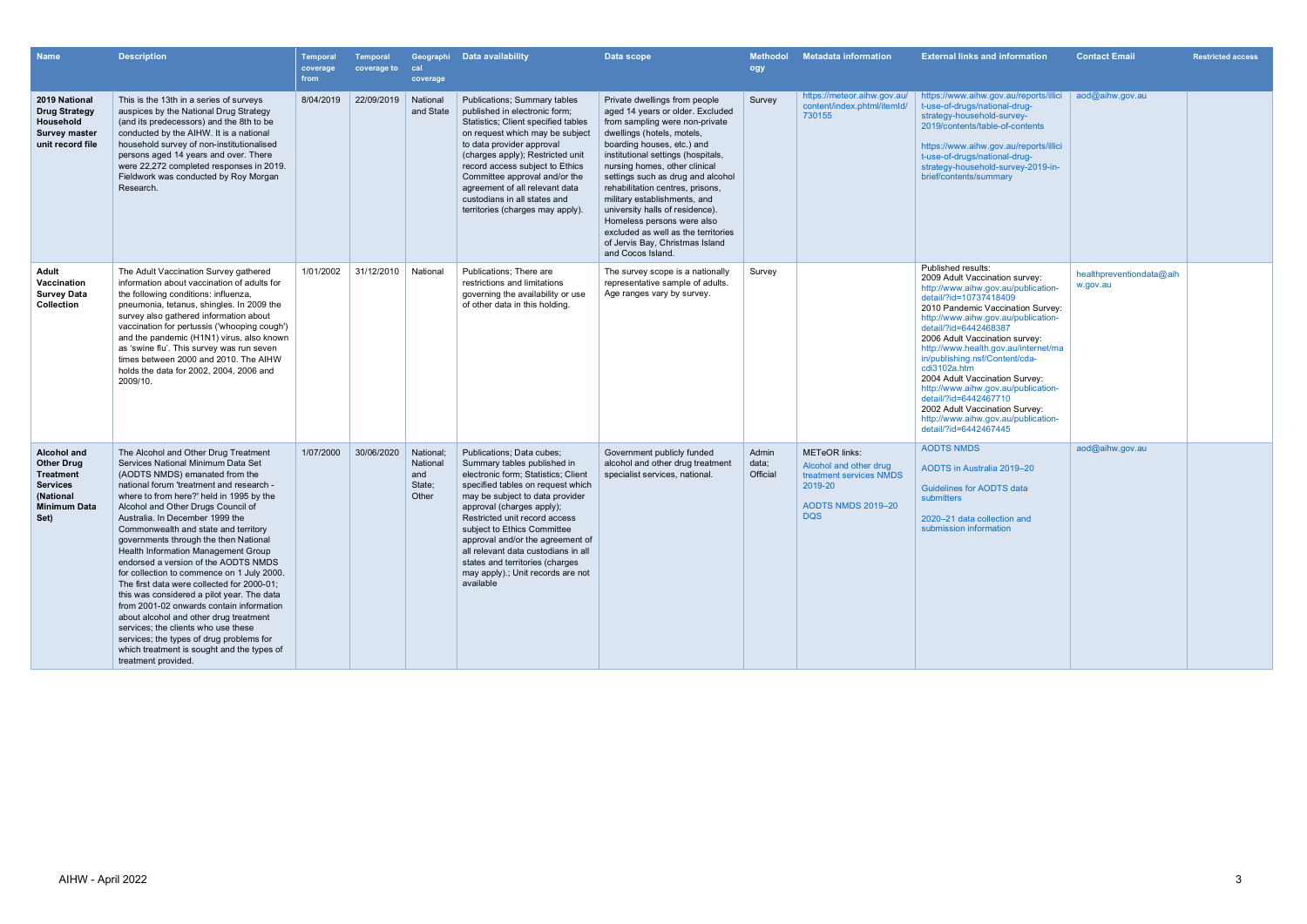| <b>Name</b>                                                                                                         | <b>Description</b>                                                                                                                                                                                                                                                                                                                                                                                                                                                                                                                                                                                                                                                                                                                                                                                                                    | Temporal<br>coverage<br>from | Temporal<br>coverage to | cal<br>coverage                                 | Geographi Data availability                                                                                                                                                                                                                                                                                                                                                                                                          | Data scope                                                                                                                                                                                                                                                                                                                                                                                                                                                                                                      | <b>Methodol</b><br>ogy     | <b>Metadata information</b>                                                                                                     | <b>External links and information</b>                                                                                                                                                                                                                                                                                                                                                                                                                                                                                                                      | <b>Contact Email</b>                 | <b>Restricted access</b> |
|---------------------------------------------------------------------------------------------------------------------|---------------------------------------------------------------------------------------------------------------------------------------------------------------------------------------------------------------------------------------------------------------------------------------------------------------------------------------------------------------------------------------------------------------------------------------------------------------------------------------------------------------------------------------------------------------------------------------------------------------------------------------------------------------------------------------------------------------------------------------------------------------------------------------------------------------------------------------|------------------------------|-------------------------|-------------------------------------------------|--------------------------------------------------------------------------------------------------------------------------------------------------------------------------------------------------------------------------------------------------------------------------------------------------------------------------------------------------------------------------------------------------------------------------------------|-----------------------------------------------------------------------------------------------------------------------------------------------------------------------------------------------------------------------------------------------------------------------------------------------------------------------------------------------------------------------------------------------------------------------------------------------------------------------------------------------------------------|----------------------------|---------------------------------------------------------------------------------------------------------------------------------|------------------------------------------------------------------------------------------------------------------------------------------------------------------------------------------------------------------------------------------------------------------------------------------------------------------------------------------------------------------------------------------------------------------------------------------------------------------------------------------------------------------------------------------------------------|--------------------------------------|--------------------------|
| 2019 National<br><b>Drug Strategy</b><br>Household<br><b>Survey master</b><br>unit record file                      | This is the 13th in a series of surveys<br>auspices by the National Drug Strategy<br>(and its predecessors) and the 8th to be<br>conducted by the AIHW. It is a national<br>household survey of non-institutionalised<br>persons aged 14 years and over. There<br>were 22,272 completed responses in 2019.<br>Fieldwork was conducted by Roy Morgan<br>Research.                                                                                                                                                                                                                                                                                                                                                                                                                                                                      | 8/04/2019                    | 22/09/2019              | National<br>and State                           | <b>Publications; Summary tables</b><br>published in electronic form;<br>Statistics; Client specified tables<br>on request which may be subject<br>to data provider approval<br>(charges apply); Restricted unit<br>record access subject to Ethics<br>Committee approval and/or the<br>agreement of all relevant data<br>custodians in all states and<br>territories (charges may apply).                                            | Private dwellings from people<br>aged 14 years or older. Excluded<br>from sampling were non-private<br>dwellings (hotels, motels,<br>boarding houses, etc.) and<br>institutional settings (hospitals,<br>nursing homes, other clinical<br>settings such as drug and alcohol<br>rehabilitation centres, prisons,<br>military establishments, and<br>university halls of residence).<br>Homeless persons were also<br>excluded as well as the territories<br>of Jervis Bay, Christmas Island<br>and Cocos Island. | Survey                     | https://meteor.aihw.gov.au/<br>content/index.phtml/itemId/<br>730155                                                            | https://www.aihw.gov.au/reports/illici<br>t-use-of-drugs/national-drug-<br>strategy-household-survey-<br>2019/contents/table-of-contents<br>https://www.aihw.gov.au/reports/illici<br>t-use-of-drugs/national-drug-<br>strategy-household-survey-2019-in-<br>brief/contents/summary                                                                                                                                                                                                                                                                        | aod@aihw.gov.au                      |                          |
| Adult<br>Vaccination<br><b>Survey Data</b><br><b>Collection</b>                                                     | The Adult Vaccination Survey gathered<br>information about vaccination of adults for<br>the following conditions: influenza,<br>pneumonia, tetanus, shingles. In 2009 the<br>survey also gathered information about<br>vaccination for pertussis ('whooping cough')<br>and the pandemic (H1N1) virus, also known<br>as 'swine flu'. This survey was run seven<br>times between 2000 and 2010. The AIHW<br>holds the data for 2002, 2004, 2006 and<br>2009/10.                                                                                                                                                                                                                                                                                                                                                                         | 1/01/2002                    | 31/12/2010              | National                                        | Publications: There are<br>restrictions and limitations<br>governing the availability or use<br>of other data in this holding.                                                                                                                                                                                                                                                                                                       | The survey scope is a nationally<br>representative sample of adults.<br>Age ranges vary by survey.                                                                                                                                                                                                                                                                                                                                                                                                              | Survey                     |                                                                                                                                 | Published results:<br>2009 Adult Vaccination survey:<br>http://www.aihw.gov.au/publication-<br>detail/?id=10737418409<br>2010 Pandemic Vaccination Survey:<br>http://www.aihw.gov.au/publication-<br>detail/?id=6442468387<br>2006 Adult Vaccination survey:<br>http://www.health.gov.au/internet/ma<br>in/publishing.nsf/Content/cda-<br>cdi3102a.htm<br>2004 Adult Vaccination Survey:<br>http://www.aihw.gov.au/publication-<br>detail/?id=6442467710<br>2002 Adult Vaccination Survey:<br>http://www.aihw.gov.au/publication-<br>detail/?id=6442467445 | healthpreventiondata@aih<br>w.gov.au |                          |
| <b>Alcohol and</b><br><b>Other Drug</b><br>Treatment<br><b>Services</b><br>(National<br><b>Minimum Data</b><br>Set) | The Alcohol and Other Drug Treatment<br>Services National Minimum Data Set<br>(AODTS NMDS) emanated from the<br>national forum 'treatment and research -<br>where to from here?' held in 1995 by the<br>Alcohol and Other Drugs Council of<br>Australia. In December 1999 the<br>Commonwealth and state and territory<br>governments through the then National<br>Health Information Management Group<br>endorsed a version of the AODTS NMDS<br>for collection to commence on 1 July 2000.<br>The first data were collected for 2000-01;<br>this was considered a pilot year. The data<br>from 2001-02 onwards contain information<br>about alcohol and other drug treatment<br>services; the clients who use these<br>services; the types of drug problems for<br>which treatment is sought and the types of<br>treatment provided. | 1/07/2000                    | 30/06/2020              | National:<br>National<br>and<br>State;<br>Other | Publications; Data cubes;<br>Summary tables published in<br>electronic form; Statistics; Client<br>specified tables on request which<br>may be subject to data provider<br>approval (charges apply);<br>Restricted unit record access<br>subject to Ethics Committee<br>approval and/or the agreement of<br>all relevant data custodians in all<br>states and territories (charges<br>may apply).; Unit records are not<br>available | Government publicly funded<br>alcohol and other drug treatment<br>specialist services, national                                                                                                                                                                                                                                                                                                                                                                                                                 | Admin<br>data;<br>Official | <b>METeOR</b> links:<br>Alcohol and other drug<br>treatment services NMDS<br>2019-20<br><b>AODTS NMDS 2019-20</b><br><b>DQS</b> | <b>AODTS NMDS</b><br><b>AODTS in Australia 2019-20</b><br><b>Guidelines for AODTS data</b><br>submitters<br>2020-21 data collection and<br>submission information                                                                                                                                                                                                                                                                                                                                                                                          | aod@aihw.gov.au                      |                          |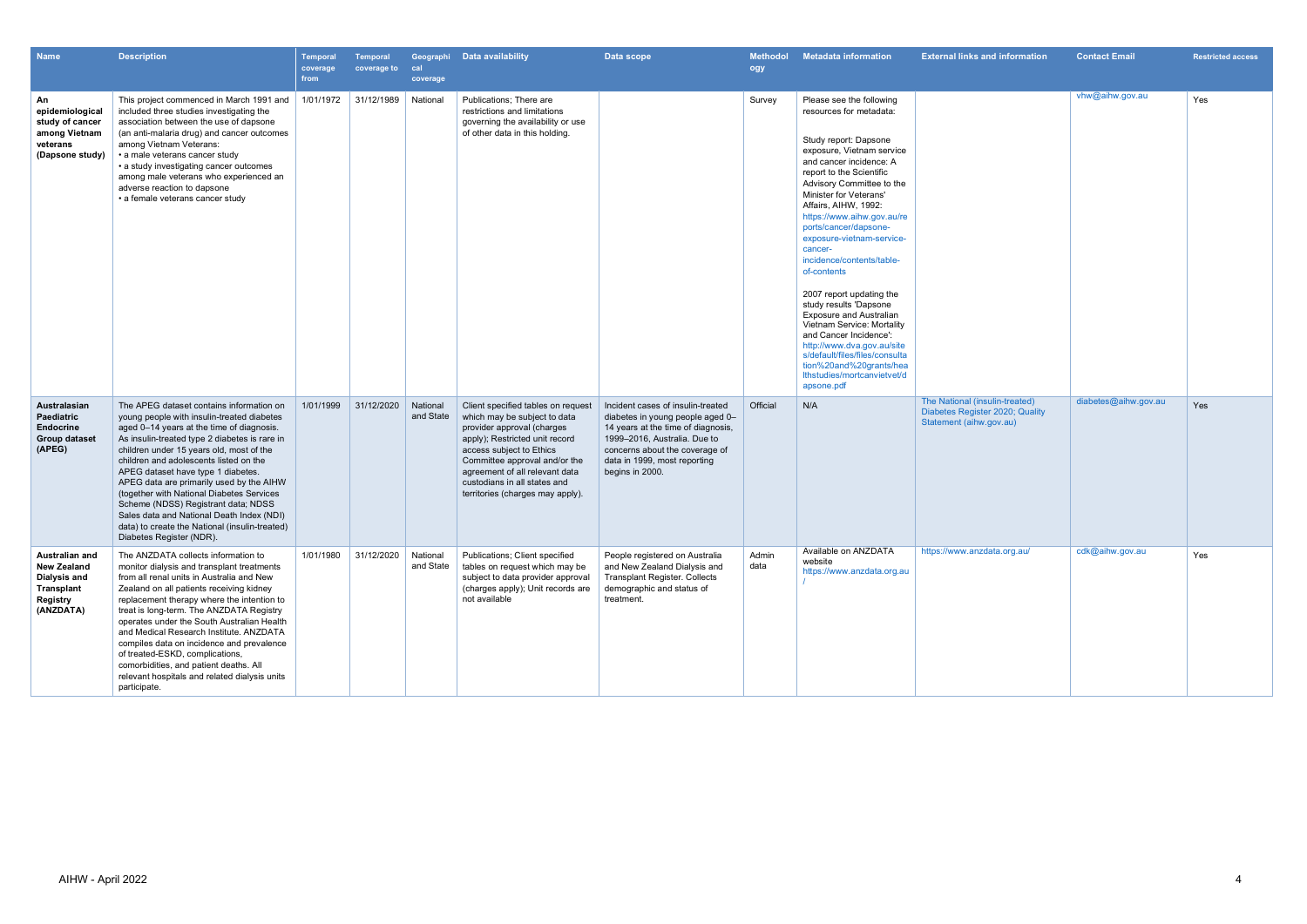| <b>Name</b>                                                                                 | <b>Description</b>                                                                                                                                                                                                                                                                                                                                                                                                                                                                                                                                                          | <b>Temporal</b><br>coverage<br>from | <b>Temporal</b><br>coverage to | cal<br>coverage       | Geographi Data availability                                                                                                                                                                                                                                                                           | Data scope                                                                                                                                                                                                                       | <b>Methodol</b><br>ogy | <b>Metadata information</b>                                                                                                                                                                                                                                                                                                                                                                                                                                                                                                                                                                                                                                                        | <b>External links and information</b>                                                        | <b>Contact Email</b> | <b>Restricted access</b> |
|---------------------------------------------------------------------------------------------|-----------------------------------------------------------------------------------------------------------------------------------------------------------------------------------------------------------------------------------------------------------------------------------------------------------------------------------------------------------------------------------------------------------------------------------------------------------------------------------------------------------------------------------------------------------------------------|-------------------------------------|--------------------------------|-----------------------|-------------------------------------------------------------------------------------------------------------------------------------------------------------------------------------------------------------------------------------------------------------------------------------------------------|----------------------------------------------------------------------------------------------------------------------------------------------------------------------------------------------------------------------------------|------------------------|------------------------------------------------------------------------------------------------------------------------------------------------------------------------------------------------------------------------------------------------------------------------------------------------------------------------------------------------------------------------------------------------------------------------------------------------------------------------------------------------------------------------------------------------------------------------------------------------------------------------------------------------------------------------------------|----------------------------------------------------------------------------------------------|----------------------|--------------------------|
| An<br>epidemiological<br>study of cancer<br>among Vietnam<br>veterans<br>(Dapsone study)    | This project commenced in March 1991 and<br>included three studies investigating the<br>association between the use of dapsone<br>(an anti-malaria drug) and cancer outcomes<br>among Vietnam Veterans:<br>• a male veterans cancer study<br>• a study investigating cancer outcomes<br>among male veterans who experienced an<br>adverse reaction to dapsone<br>• a female veterans cancer study                                                                                                                                                                           | 1/01/1972                           | 31/12/1989                     | National              | Publications: There are<br>restrictions and limitations<br>governing the availability or use<br>of other data in this holding.                                                                                                                                                                        |                                                                                                                                                                                                                                  | Survey                 | Please see the following<br>resources for metadata:<br>Study report: Dapsone<br>exposure, Vietnam service<br>and cancer incidence: A<br>report to the Scientific<br>Advisory Committee to the<br>Minister for Veterans'<br>Affairs, AIHW, 1992:<br>https://www.aihw.gov.au/re<br>ports/cancer/dapsone-<br>exposure-vietnam-service-<br>cancer-<br>incidence/contents/table-<br>of-contents<br>2007 report updating the<br>study results 'Dapsone<br><b>Exposure and Australian</b><br>Vietnam Service: Mortality<br>and Cancer Incidence':<br>http://www.dva.gov.au/site<br>s/default/files/files/consulta<br>tion%20and%20grants/hea<br>Ithstudies/mortcanvietvet/d<br>apsone.pdf |                                                                                              | vhw@aihw.gov.au      | Yes                      |
| Australasian<br>Paediatric<br><b>Endocrine</b><br><b>Group dataset</b><br>(APEG)            | The APEG dataset contains information on<br>young people with insulin-treated diabetes<br>aged 0-14 years at the time of diagnosis.<br>As insulin-treated type 2 diabetes is rare in<br>children under 15 years old, most of the<br>children and adolescents listed on the<br>APEG dataset have type 1 diabetes.<br>APEG data are primarily used by the AIHW<br>(together with National Diabetes Services<br>Scheme (NDSS) Registrant data; NDSS<br>Sales data and National Death Index (NDI)<br>data) to create the National (insulin-treated)<br>Diabetes Register (NDR). | 1/01/1999                           | 31/12/2020                     | National<br>and State | Client specified tables on request<br>which may be subject to data<br>provider approval (charges<br>apply); Restricted unit record<br>access subject to Ethics<br>Committee approval and/or the<br>agreement of all relevant data<br>custodians in all states and<br>territories (charges may apply). | Incident cases of insulin-treated<br>diabetes in young people aged 0-<br>14 years at the time of diagnosis,<br>1999-2016, Australia. Due to<br>concerns about the coverage of<br>data in 1999, most reporting<br>begins in 2000. | Official               | N/A                                                                                                                                                                                                                                                                                                                                                                                                                                                                                                                                                                                                                                                                                | The National (insulin-treated)<br>Diabetes Register 2020; Quality<br>Statement (aihw.gov.au) | diabetes@aihw.gov.au | Yes                      |
| Australian and<br><b>New Zealand</b><br>Dialysis and<br>Transplant<br>Registry<br>(ANZDATA) | The ANZDATA collects information to<br>monitor dialysis and transplant treatments<br>from all renal units in Australia and New<br>Zealand on all patients receiving kidney<br>replacement therapy where the intention to<br>treat is long-term. The ANZDATA Registry<br>operates under the South Australian Health<br>and Medical Research Institute. ANZDATA<br>compiles data on incidence and prevalence<br>of treated-ESKD, complications,<br>comorbidities, and patient deaths. All<br>relevant hospitals and related dialysis units<br>participate.                    | 1/01/1980                           | 31/12/2020                     | National<br>and State | Publications; Client specified<br>tables on request which may be<br>subject to data provider approval<br>(charges apply); Unit records are<br>not available                                                                                                                                           | People registered on Australia<br>and New Zealand Dialysis and<br><b>Transplant Register. Collects</b><br>demographic and status of<br>treatment.                                                                                | Admin<br>data          | Available on ANZDATA<br>website<br>https://www.anzdata.org.au                                                                                                                                                                                                                                                                                                                                                                                                                                                                                                                                                                                                                      | https://www.anzdata.org.au/                                                                  | cdk@aihw.gov.au      | Yes                      |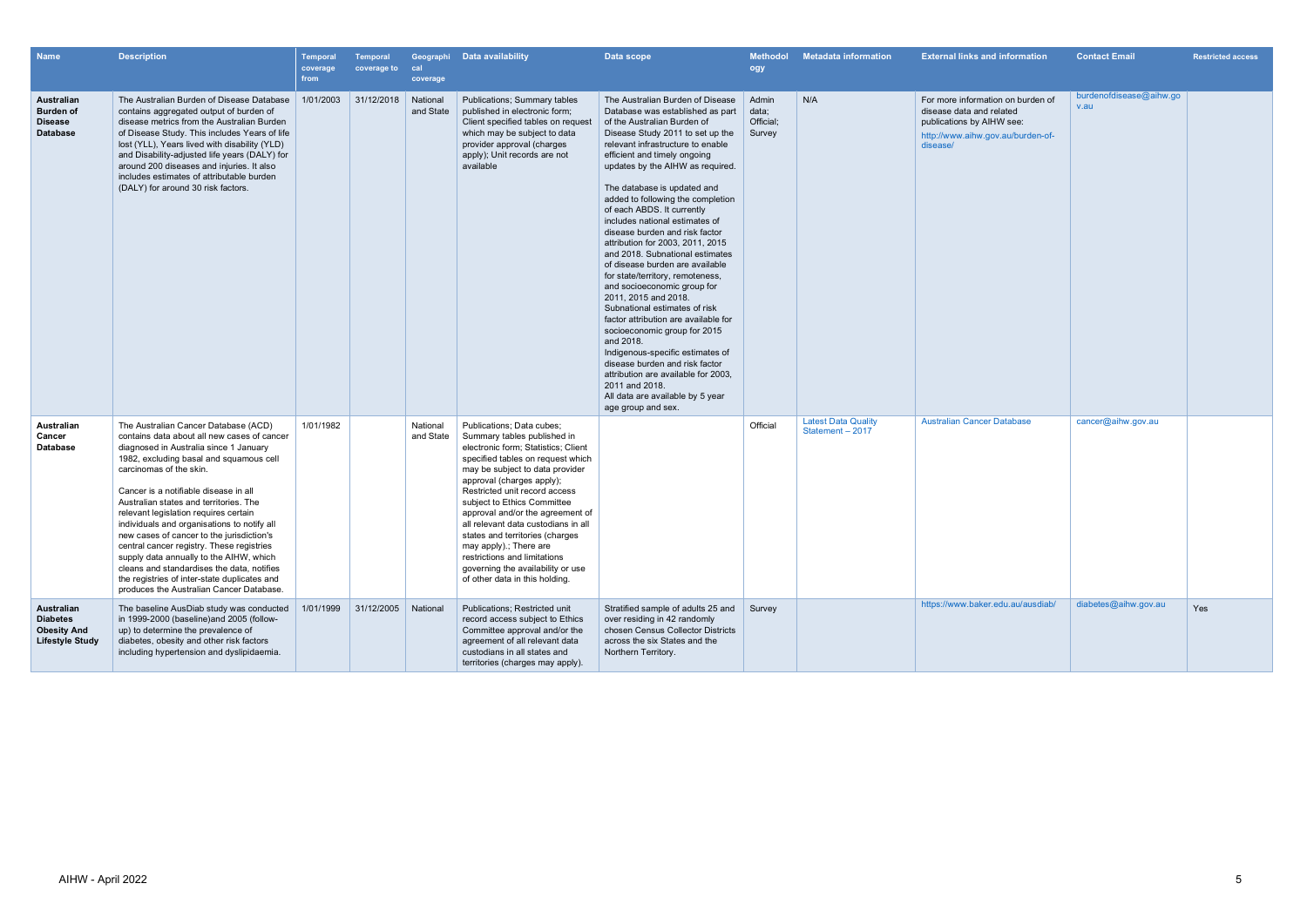| <b>Name</b>                                                                   | <b>Description</b>                                                                                                                                                                                                                                                                                                                                                                                                                                                                                                                                                                                                                                            | Temporal<br>coverage<br>from | <b>Temporal</b><br>coverage to | cal<br>coverage       | Geographi Data availability                                                                                                                                                                                                                                                                                                                                                                                                                                                                                         | Data scope                                                                                                                                                                                                                                                                                                                                                                                                                                                                                                                                                                                                                                                                                                                                                                                                                                                                                                                                 | Methodol<br>ogy                       | <b>Metadata information</b>                    | <b>External links and information</b>                                                                                                       | <b>Contact Email</b>            | <b>Restricted access</b> |
|-------------------------------------------------------------------------------|---------------------------------------------------------------------------------------------------------------------------------------------------------------------------------------------------------------------------------------------------------------------------------------------------------------------------------------------------------------------------------------------------------------------------------------------------------------------------------------------------------------------------------------------------------------------------------------------------------------------------------------------------------------|------------------------------|--------------------------------|-----------------------|---------------------------------------------------------------------------------------------------------------------------------------------------------------------------------------------------------------------------------------------------------------------------------------------------------------------------------------------------------------------------------------------------------------------------------------------------------------------------------------------------------------------|--------------------------------------------------------------------------------------------------------------------------------------------------------------------------------------------------------------------------------------------------------------------------------------------------------------------------------------------------------------------------------------------------------------------------------------------------------------------------------------------------------------------------------------------------------------------------------------------------------------------------------------------------------------------------------------------------------------------------------------------------------------------------------------------------------------------------------------------------------------------------------------------------------------------------------------------|---------------------------------------|------------------------------------------------|---------------------------------------------------------------------------------------------------------------------------------------------|---------------------------------|--------------------------|
| Australian<br><b>Burden of</b><br><b>Disease</b><br><b>Database</b>           | The Australian Burden of Disease Database<br>contains aggregated output of burden of<br>disease metrics from the Australian Burden<br>of Disease Study. This includes Years of life<br>lost (YLL), Years lived with disability (YLD)<br>and Disability-adjusted life years (DALY) for<br>around 200 diseases and injuries. It also<br>includes estimates of attributable burden<br>(DALY) for around 30 risk factors.                                                                                                                                                                                                                                         | 1/01/2003                    | 31/12/2018                     | National<br>and State | <b>Publications; Summary tables</b><br>published in electronic form;<br>Client specified tables on request<br>which may be subject to data<br>provider approval (charges<br>apply); Unit records are not<br>available                                                                                                                                                                                                                                                                                               | The Australian Burden of Disease<br>Database was established as part<br>of the Australian Burden of<br>Disease Study 2011 to set up the<br>relevant infrastructure to enable<br>efficient and timely ongoing<br>updates by the AIHW as required.<br>The database is updated and<br>added to following the completion<br>of each ABDS. It currently<br>includes national estimates of<br>disease burden and risk factor<br>attribution for 2003, 2011, 2015<br>and 2018. Subnational estimates<br>of disease burden are available<br>for state/territory, remoteness,<br>and socioeconomic group for<br>2011, 2015 and 2018.<br>Subnational estimates of risk<br>factor attribution are available for<br>socioeconomic group for 2015<br>and 2018.<br>Indigenous-specific estimates of<br>disease burden and risk factor<br>attribution are available for 2003.<br>2011 and 2018.<br>All data are available by 5 year<br>age group and sex. | Admin<br>data;<br>Official;<br>Survey | N/A                                            | For more information on burden of<br>disease data and related<br>publications by AIHW see:<br>http://www.aihw.gov.au/burden-of-<br>disease/ | burdenofdisease@aihw.go<br>v.au |                          |
| Australian<br>Cancer<br><b>Database</b>                                       | The Australian Cancer Database (ACD)<br>contains data about all new cases of cancer<br>diagnosed in Australia since 1 January<br>1982, excluding basal and squamous cell<br>carcinomas of the skin.<br>Cancer is a notifiable disease in all<br>Australian states and territories. The<br>relevant legislation requires certain<br>individuals and organisations to notify all<br>new cases of cancer to the jurisdiction's<br>central cancer registry. These registries<br>supply data annually to the AIHW, which<br>cleans and standardises the data, notifies<br>the registries of inter-state duplicates and<br>produces the Australian Cancer Database. | 1/01/1982                    |                                | National<br>and State | Publications; Data cubes;<br>Summary tables published in<br>electronic form; Statistics; Client<br>specified tables on request which<br>may be subject to data provider<br>approval (charges apply);<br>Restricted unit record access<br>subject to Ethics Committee<br>approval and/or the agreement of<br>all relevant data custodians in all<br>states and territories (charges<br>may apply).; There are<br>restrictions and limitations<br>governing the availability or use<br>of other data in this holding. |                                                                                                                                                                                                                                                                                                                                                                                                                                                                                                                                                                                                                                                                                                                                                                                                                                                                                                                                            | Official                              | <b>Latest Data Quality</b><br>Statement - 2017 | <b>Australian Cancer Database</b>                                                                                                           | cancer@aihw.gov.au              |                          |
| Australian<br><b>Diabetes</b><br><b>Obesity And</b><br><b>Lifestyle Study</b> | The baseline AusDiab study was conducted<br>in 1999-2000 (baseline) and 2005 (follow-<br>up) to determine the prevalence of<br>diabetes, obesity and other risk factors<br>including hypertension and dyslipidaemia.                                                                                                                                                                                                                                                                                                                                                                                                                                          | 1/01/1999                    | 31/12/2005                     | National              | Publications; Restricted unit<br>record access subject to Ethics<br>Committee approval and/or the<br>agreement of all relevant data<br>custodians in all states and<br>territories (charges may apply).                                                                                                                                                                                                                                                                                                             | Stratified sample of adults 25 and<br>over residing in 42 randomly<br>chosen Census Collector Districts<br>across the six States and the<br>Northern Territory.                                                                                                                                                                                                                                                                                                                                                                                                                                                                                                                                                                                                                                                                                                                                                                            | Survey                                |                                                | https://www.baker.edu.au/ausdiab/                                                                                                           | diabetes@aihw.gov.au            | Yes                      |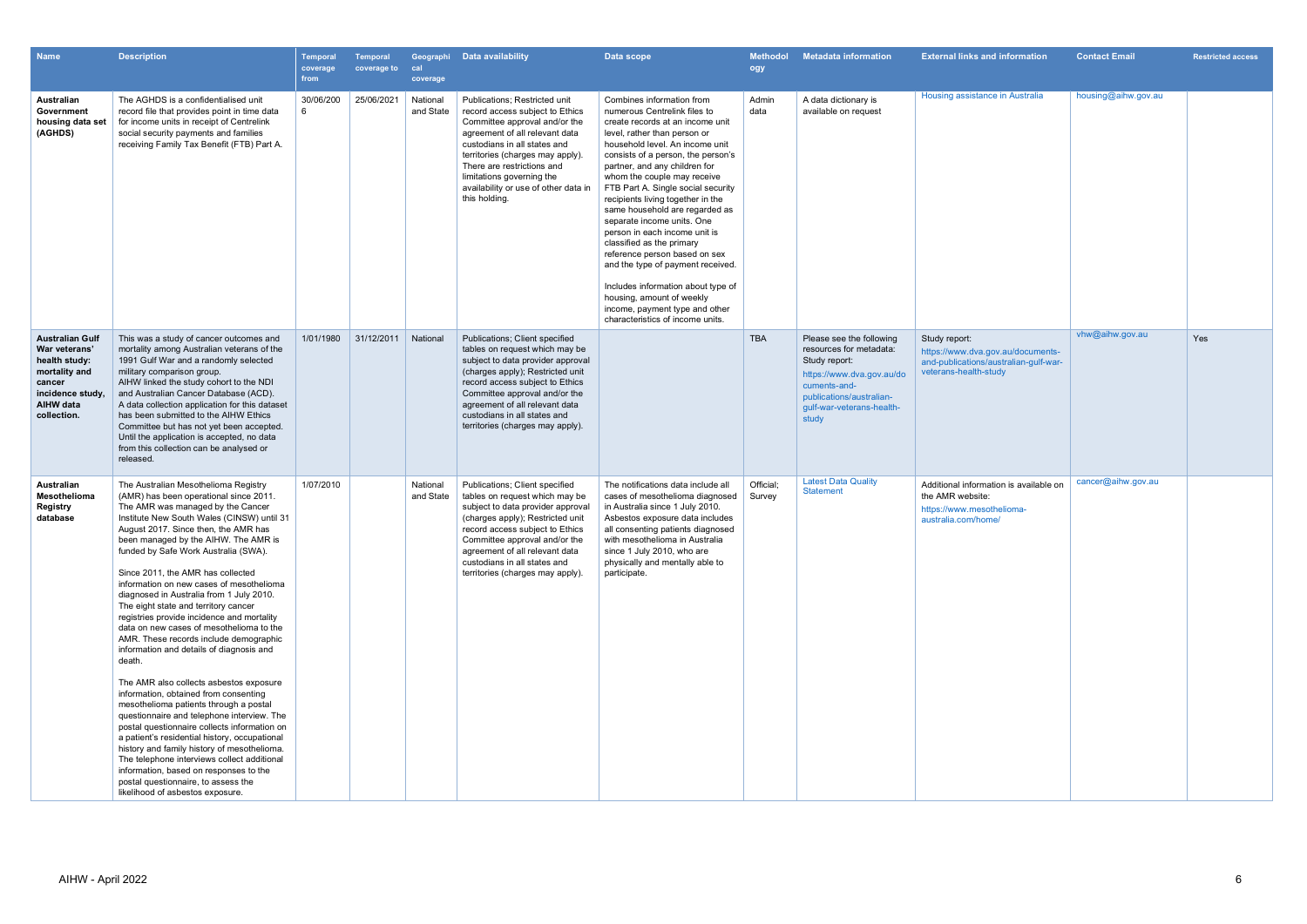| <b>Name</b>                                                                                                                                | <b>Description</b>                                                                                                                                                                                                                                                                                                                                                                                                                                                                                                                                                                                                                                                                                                                                                                                                                                                                                                                                                                                                                                                                                                                                       | <b>Temporal</b><br>coverage<br>from | <b>Temporal</b><br>coverage to | cal<br>coverage       | Geographi Data availability                                                                                                                                                                                                                                                                                                 | Data scope                                                                                                                                                                                                                                                                                                                                                                                                                                                                                                                                                                                                                                                                                     | <b>Methodol</b><br>ogy | <b>Metadata information</b>                                                                                                                                                         | <b>External links and information</b>                                                                                | <b>Contact Email</b> | <b>Restricted access</b> |
|--------------------------------------------------------------------------------------------------------------------------------------------|----------------------------------------------------------------------------------------------------------------------------------------------------------------------------------------------------------------------------------------------------------------------------------------------------------------------------------------------------------------------------------------------------------------------------------------------------------------------------------------------------------------------------------------------------------------------------------------------------------------------------------------------------------------------------------------------------------------------------------------------------------------------------------------------------------------------------------------------------------------------------------------------------------------------------------------------------------------------------------------------------------------------------------------------------------------------------------------------------------------------------------------------------------|-------------------------------------|--------------------------------|-----------------------|-----------------------------------------------------------------------------------------------------------------------------------------------------------------------------------------------------------------------------------------------------------------------------------------------------------------------------|------------------------------------------------------------------------------------------------------------------------------------------------------------------------------------------------------------------------------------------------------------------------------------------------------------------------------------------------------------------------------------------------------------------------------------------------------------------------------------------------------------------------------------------------------------------------------------------------------------------------------------------------------------------------------------------------|------------------------|-------------------------------------------------------------------------------------------------------------------------------------------------------------------------------------|----------------------------------------------------------------------------------------------------------------------|----------------------|--------------------------|
| Australian<br>Government<br>housing data set<br>(AGHDS)                                                                                    | The AGHDS is a confidentialised unit<br>record file that provides point in time data<br>for income units in receipt of Centrelink<br>social security payments and families<br>receiving Family Tax Benefit (FTB) Part A.                                                                                                                                                                                                                                                                                                                                                                                                                                                                                                                                                                                                                                                                                                                                                                                                                                                                                                                                 | 30/06/200<br>6                      | 25/06/2021                     | National<br>and State | Publications; Restricted unit<br>record access subject to Ethics<br>Committee approval and/or the<br>agreement of all relevant data<br>custodians in all states and<br>territories (charges may apply).<br>There are restrictions and<br>limitations governing the<br>availability or use of other data in<br>this holding. | Combines information from<br>numerous Centrelink files to<br>create records at an income unit<br>level, rather than person or<br>household level. An income unit<br>consists of a person, the person's<br>partner, and any children for<br>whom the couple may receive<br>FTB Part A. Single social security<br>recipients living together in the<br>same household are regarded as<br>separate income units. One<br>person in each income unit is<br>classified as the primary<br>reference person based on sex<br>and the type of payment received.<br>Includes information about type of<br>housing, amount of weekly<br>income, payment type and other<br>characteristics of income units. | Admin<br>data          | A data dictionary is<br>available on request                                                                                                                                        | Housing assistance in Australia                                                                                      | housing@aihw.gov.au  |                          |
| <b>Australian Gulf</b><br>War veterans'<br>health study:<br>mortality and<br>cancer<br>incidence study.<br><b>AIHW</b> data<br>collection. | This was a study of cancer outcomes and<br>mortality among Australian veterans of the<br>1991 Gulf War and a randomly selected<br>military comparison group.<br>AIHW linked the study cohort to the NDI<br>and Australian Cancer Database (ACD).<br>A data collection application for this dataset<br>has been submitted to the AIHW Ethics<br>Committee but has not yet been accepted.<br>Until the application is accepted, no data<br>from this collection can be analysed or<br>released.                                                                                                                                                                                                                                                                                                                                                                                                                                                                                                                                                                                                                                                            | 1/01/1980                           | 31/12/2011                     | National              | Publications; Client specified<br>tables on request which may be<br>subject to data provider approval<br>(charges apply); Restricted unit<br>record access subject to Ethics<br>Committee approval and/or the<br>agreement of all relevant data<br>custodians in all states and<br>territories (charges may apply).         |                                                                                                                                                                                                                                                                                                                                                                                                                                                                                                                                                                                                                                                                                                | <b>TBA</b>             | Please see the following<br>resources for metadata:<br>Study report:<br>https://www.dva.gov.au/do<br>cuments-and-<br>publications/australian-<br>gulf-war-veterans-health-<br>study | Study report:<br>https://www.dva.gov.au/documents-<br>and-publications/australian-gulf-war-<br>veterans-health-study | vhw@aihw.gov.au      | Yes                      |
| Australian<br>Mesothelioma<br>Registry<br>database                                                                                         | The Australian Mesothelioma Registry<br>(AMR) has been operational since 2011.<br>The AMR was managed by the Cancer<br>Institute New South Wales (CINSW) until 31<br>August 2017. Since then, the AMR has<br>been managed by the AIHW. The AMR is<br>funded by Safe Work Australia (SWA).<br>Since 2011, the AMR has collected<br>information on new cases of mesothelioma<br>diagnosed in Australia from 1 July 2010.<br>The eight state and territory cancer<br>registries provide incidence and mortality<br>data on new cases of mesothelioma to the<br>AMR. These records include demographic<br>information and details of diagnosis and<br>death.<br>The AMR also collects asbestos exposure<br>information, obtained from consenting<br>mesothelioma patients through a postal<br>questionnaire and telephone interview. The<br>postal questionnaire collects information on<br>a patient's residential history, occupational<br>history and family history of mesothelioma.<br>The telephone interviews collect additional<br>information, based on responses to the<br>postal questionnaire, to assess the<br>likelihood of asbestos exposure. | 1/07/2010                           |                                | National<br>and State | Publications; Client specified<br>tables on request which may be<br>subject to data provider approval<br>(charges apply); Restricted unit<br>record access subject to Ethics<br>Committee approval and/or the<br>agreement of all relevant data<br>custodians in all states and<br>territories (charges may apply).         | The notifications data include all<br>cases of mesothelioma diagnosed<br>in Australia since 1 July 2010.<br>Asbestos exposure data includes<br>all consenting patients diagnosed<br>with mesothelioma in Australia<br>since 1 July 2010, who are<br>physically and mentally able to<br>participate.                                                                                                                                                                                                                                                                                                                                                                                            | Official;<br>Survey    | <b>Latest Data Quality</b><br><b>Statement</b>                                                                                                                                      | Additional information is available on<br>the AMR website:<br>https://www.mesothelioma-<br>australia.com/home/       | cancer@aihw.gov.au   |                          |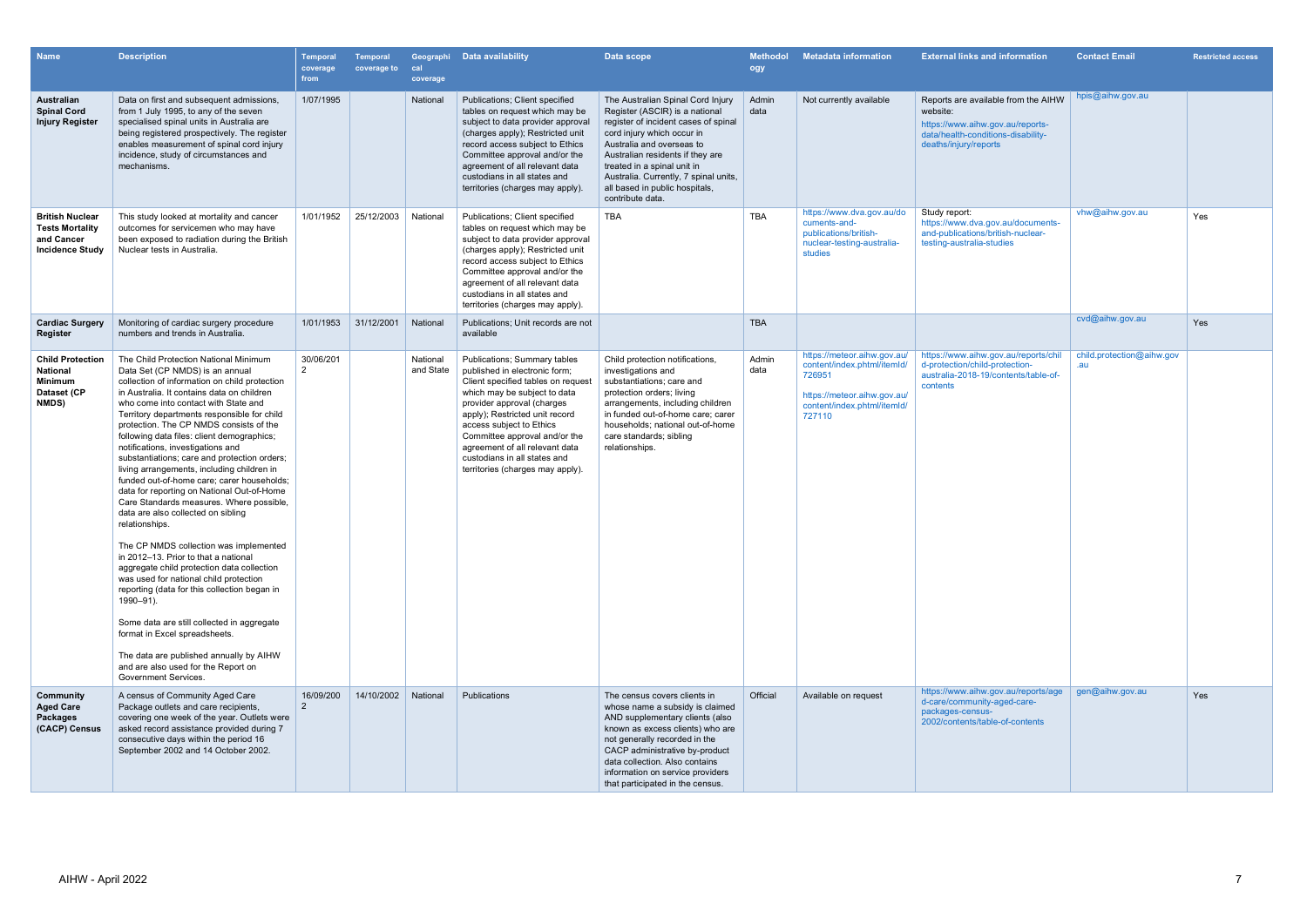| <b>Name</b>                                                                                 | <b>Description</b>                                                                                                                                                                                                                                                                                                                                                                                                                                                                                                                                                                                                                                                                                                                                                                                                                                                                                                                                                                                                                                                                                                                | Temporal<br>coverage<br>from | <b>Temporal</b><br>coverage to | Geographi<br>cal<br>coverage | Data availability                                                                                                                                                                                                                                                                                                                                                             | Data scope                                                                                                                                                                                                                                                                                                                               | <b>Methodol</b><br>ogy | <b>Metadata information</b>                                                                                                                  | <b>External links and information</b>                                                                                                              | <b>Contact Email</b>             | <b>Restricted access</b> |
|---------------------------------------------------------------------------------------------|-----------------------------------------------------------------------------------------------------------------------------------------------------------------------------------------------------------------------------------------------------------------------------------------------------------------------------------------------------------------------------------------------------------------------------------------------------------------------------------------------------------------------------------------------------------------------------------------------------------------------------------------------------------------------------------------------------------------------------------------------------------------------------------------------------------------------------------------------------------------------------------------------------------------------------------------------------------------------------------------------------------------------------------------------------------------------------------------------------------------------------------|------------------------------|--------------------------------|------------------------------|-------------------------------------------------------------------------------------------------------------------------------------------------------------------------------------------------------------------------------------------------------------------------------------------------------------------------------------------------------------------------------|------------------------------------------------------------------------------------------------------------------------------------------------------------------------------------------------------------------------------------------------------------------------------------------------------------------------------------------|------------------------|----------------------------------------------------------------------------------------------------------------------------------------------|----------------------------------------------------------------------------------------------------------------------------------------------------|----------------------------------|--------------------------|
| Australian<br><b>Spinal Cord</b><br><b>Injury Register</b>                                  | Data on first and subsequent admissions,<br>from 1 July 1995, to any of the seven<br>specialised spinal units in Australia are<br>being registered prospectively. The register<br>enables measurement of spinal cord injury<br>incidence, study of circumstances and<br>mechanisms.                                                                                                                                                                                                                                                                                                                                                                                                                                                                                                                                                                                                                                                                                                                                                                                                                                               | 1/07/1995                    |                                | National                     | Publications; Client specified<br>tables on request which may be<br>subject to data provider approval<br>(charges apply); Restricted unit<br>record access subject to Ethics<br>Committee approval and/or the<br>agreement of all relevant data<br>custodians in all states and<br>territories (charges may apply).                                                           | The Australian Spinal Cord Injury<br>Register (ASCIR) is a national<br>register of incident cases of spinal<br>cord injury which occur in<br>Australia and overseas to<br>Australian residents if they are<br>treated in a spinal unit in<br>Australia. Currently, 7 spinal units,<br>all based in public hospitals,<br>contribute data. | Admin<br>data          | Not currently available                                                                                                                      | Reports are available from the AIHW<br>website:<br>https://www.aihw.gov.au/reports-<br>data/health-conditions-disability-<br>deaths/injury/reports | hpis@aihw.gov.au                 |                          |
| <b>British Nuclear</b><br><b>Tests Mortality</b><br>and Cancer<br><b>Incidence Study</b>    | This study looked at mortality and cancer<br>outcomes for servicemen who may have<br>been exposed to radiation during the British<br>Nuclear tests in Australia.                                                                                                                                                                                                                                                                                                                                                                                                                                                                                                                                                                                                                                                                                                                                                                                                                                                                                                                                                                  | 1/01/1952                    | 25/12/2003                     | National                     | Publications; Client specified<br>tables on request which may be<br>subject to data provider approval<br>(charges apply); Restricted unit<br>record access subject to Ethics<br>Committee approval and/or the<br>agreement of all relevant data<br>custodians in all states and<br>territories (charges may apply).                                                           | <b>TBA</b>                                                                                                                                                                                                                                                                                                                               | <b>TBA</b>             | https://www.dva.gov.au/do<br>cuments-and-<br>publications/british-<br>nuclear-testing-australia-<br>studies                                  | Study report:<br>https://www.dva.gov.au/documents-<br>and-publications/british-nuclear-<br>testing-australia-studies                               | vhw@aihw.gov.au                  | Yes                      |
| <b>Cardiac Surgery</b><br>Register                                                          | Monitoring of cardiac surgery procedure<br>numbers and trends in Australia.                                                                                                                                                                                                                                                                                                                                                                                                                                                                                                                                                                                                                                                                                                                                                                                                                                                                                                                                                                                                                                                       | 1/01/1953                    | 31/12/2001                     | National                     | Publications: Unit records are not<br>available                                                                                                                                                                                                                                                                                                                               |                                                                                                                                                                                                                                                                                                                                          | <b>TBA</b>             |                                                                                                                                              |                                                                                                                                                    | cvd@aihw.gov.au                  | Yes                      |
| <b>Child Protection</b><br><b>National</b><br><b>Minimum</b><br>Dataset (CP<br><b>NMDS)</b> | The Child Protection National Minimum<br>Data Set (CP NMDS) is an annual<br>collection of information on child protection<br>in Australia. It contains data on children<br>who come into contact with State and<br>Territory departments responsible for child<br>protection. The CP NMDS consists of the<br>following data files: client demographics;<br>notifications, investigations and<br>substantiations; care and protection orders;<br>living arrangements, including children in<br>funded out-of-home care: carer households:<br>data for reporting on National Out-of-Home<br>Care Standards measures. Where possible,<br>data are also collected on sibling<br>relationships.<br>The CP NMDS collection was implemented<br>in 2012-13. Prior to that a national<br>aggregate child protection data collection<br>was used for national child protection<br>reporting (data for this collection began in<br>1990-91).<br>Some data are still collected in aggregate<br>format in Excel spreadsheets.<br>The data are published annually by AIHW<br>and are also used for the Report on<br><b>Government Services.</b> | 30/06/201                    |                                | National<br>and State        | <b>Publications; Summary tables</b><br>published in electronic form;<br>Client specified tables on request<br>which may be subject to data<br>provider approval (charges<br>apply); Restricted unit record<br>access subject to Ethics<br>Committee approval and/or the<br>agreement of all relevant data<br>custodians in all states and<br>territories (charges may apply). | Child protection notifications,<br>investigations and<br>substantiations; care and<br>protection orders; living<br>arrangements, including children<br>in funded out-of-home care; carer<br>households; national out-of-home<br>care standards; sibling<br>relationships.                                                                | Admin<br>data          | https://meteor.aihw.gov.au/<br>content/index.phtml/itemId/<br>726951<br>https://meteor.aihw.gov.au/<br>content/index.phtml/itemId/<br>727110 | https://www.aihw.gov.au/reports/chil<br>d-protection/child-protection-<br>australia-2018-19/contents/table-of-<br>contents                         | child.protection@aihw.gov<br>.au |                          |
| Community<br><b>Aged Care</b><br>Packages<br>(CACP) Census                                  | A census of Community Aged Care<br>Package outlets and care recipients,<br>covering one week of the year. Outlets were<br>asked record assistance provided during 7<br>consecutive days within the period 16<br>September 2002 and 14 October 2002.                                                                                                                                                                                                                                                                                                                                                                                                                                                                                                                                                                                                                                                                                                                                                                                                                                                                               | 16/09/200                    | 14/10/2002 National            |                              | Publications                                                                                                                                                                                                                                                                                                                                                                  | The census covers clients in<br>whose name a subsidy is claimed<br>AND supplementary clients (also<br>known as excess clients) who are<br>not generally recorded in the<br>CACP administrative by-product<br>data collection. Also contains<br>information on service providers<br>that participated in the census.                      | Official               | Available on request                                                                                                                         | https://www.aihw.gov.au/reports/age<br>d-care/community-aged-care-<br>packages-census-<br>2002/contents/table-of-contents                          | gen@aihw.gov.au                  | Yes                      |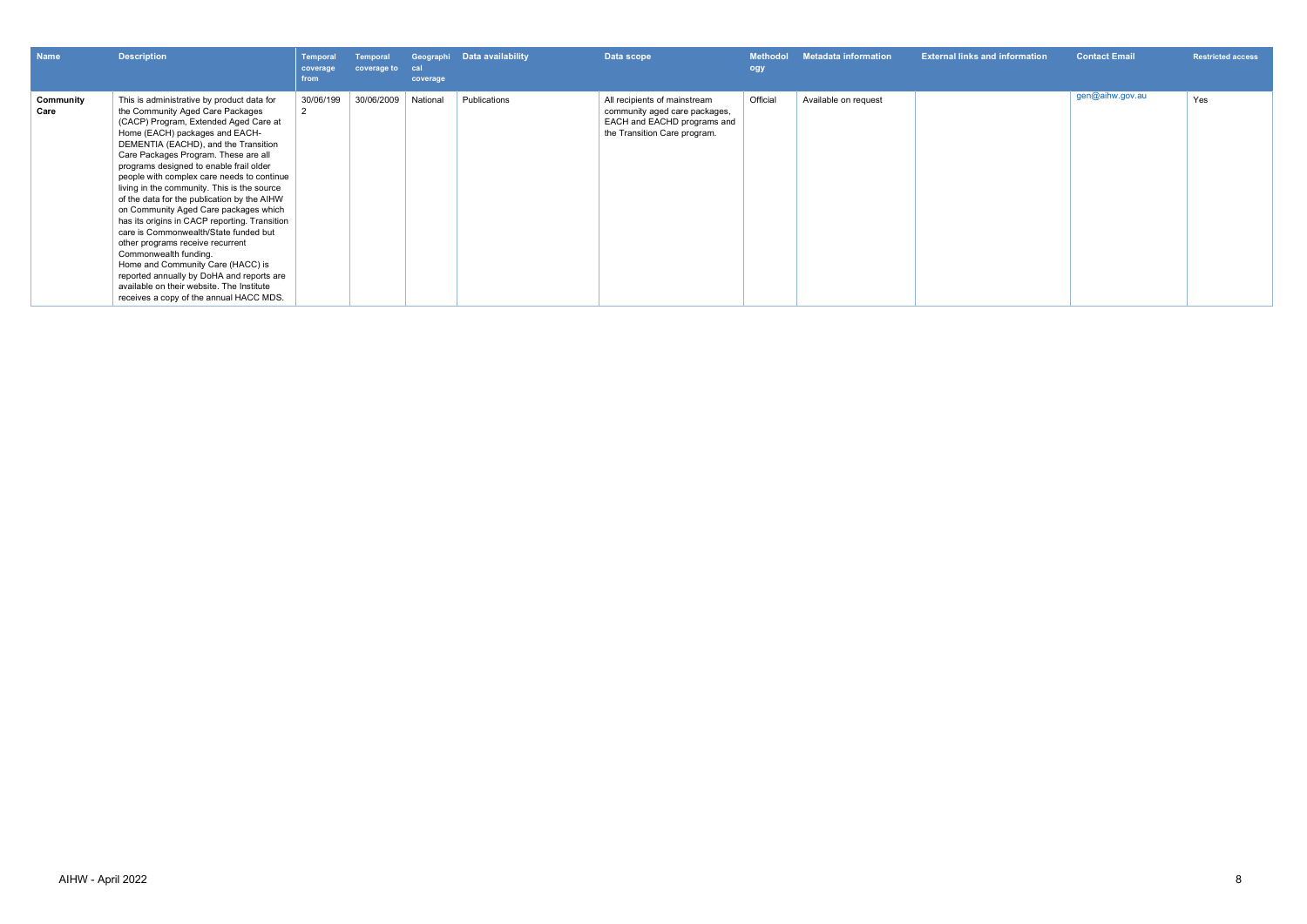| Name              | <b>Description</b>                                                                                                                                                                                                                                                                                                                                                                                                                                                                                                                                                                                                                                                                                                                                                                                         | <b>Temporal</b><br>coverage<br>from | Temporal<br>coverage to | cal<br>coverage | Geographi Data availability | Data scope                                                                                                                   | <b>Methodol</b><br>ogy | <b>Metadata information</b> | <b>External links and information</b> | <b>Contact Email</b> | <b>Restricted access</b> |
|-------------------|------------------------------------------------------------------------------------------------------------------------------------------------------------------------------------------------------------------------------------------------------------------------------------------------------------------------------------------------------------------------------------------------------------------------------------------------------------------------------------------------------------------------------------------------------------------------------------------------------------------------------------------------------------------------------------------------------------------------------------------------------------------------------------------------------------|-------------------------------------|-------------------------|-----------------|-----------------------------|------------------------------------------------------------------------------------------------------------------------------|------------------------|-----------------------------|---------------------------------------|----------------------|--------------------------|
| Community<br>Care | This is administrative by product data for<br>the Community Aged Care Packages<br>(CACP) Program, Extended Aged Care at<br>Home (EACH) packages and EACH-<br>DEMENTIA (EACHD), and the Transition<br>Care Packages Program. These are all<br>programs designed to enable frail older<br>people with complex care needs to continue<br>living in the community. This is the source<br>of the data for the publication by the AIHW<br>on Community Aged Care packages which<br>has its origins in CACP reporting. Transition<br>care is Commonwealth/State funded but<br>other programs receive recurrent<br>Commonwealth funding.<br>Home and Community Care (HACC) is<br>reported annually by DoHA and reports are<br>available on their website. The Institute<br>receives a copy of the annual HACC MDS. | 30/06/199                           | 30/06/2009              | National        | Publications                | All recipients of mainstream<br>community aged care packages,<br>EACH and EACHD programs and<br>the Transition Care program. | Official               | Available on request        |                                       | gen@aihw.gov.au      | Yes                      |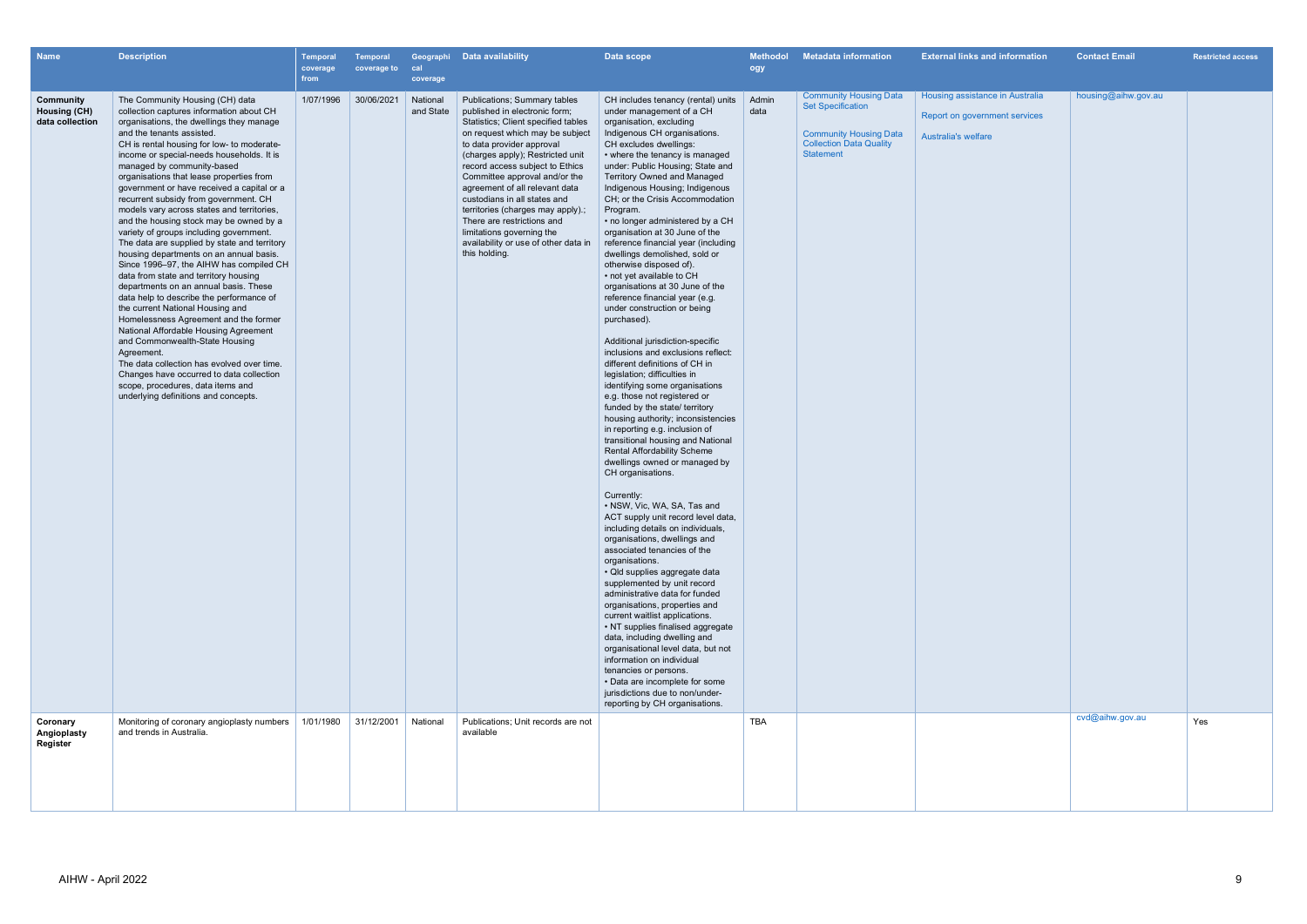| <b>Name</b>                                         | <b>Description</b>                                                                                                                                                                                                                                                                                                                                                                                                                                                                                                                                                                                                                                                                                                                                                                                                                                                                                                                                                                                                                                                                                                                                                    | <b>Temporal</b><br>coverage<br>from | <b>Temporal</b><br>coverage to | cal<br>coverage       | Geographi Data availability                                                                                                                                                                                                                                                                                                                                                                                                                                                                             | Data scope                                                                                                                                                                                                                                                                                                                                                                                                                                                                                                                                                                                                                                                                                                                                                                                                                                                                                                                                                                                                                                                                                                                                                                                                                                                                                                                                                                                                                                                                                                                                                                                                                                                                                                                                                                               | <b>Methodol</b><br>ogy | <b>Metadata information</b>                                                                                                                      | <b>External links and information</b>                                                          | <b>Contact Email</b> | <b>Restricted access</b> |
|-----------------------------------------------------|-----------------------------------------------------------------------------------------------------------------------------------------------------------------------------------------------------------------------------------------------------------------------------------------------------------------------------------------------------------------------------------------------------------------------------------------------------------------------------------------------------------------------------------------------------------------------------------------------------------------------------------------------------------------------------------------------------------------------------------------------------------------------------------------------------------------------------------------------------------------------------------------------------------------------------------------------------------------------------------------------------------------------------------------------------------------------------------------------------------------------------------------------------------------------|-------------------------------------|--------------------------------|-----------------------|---------------------------------------------------------------------------------------------------------------------------------------------------------------------------------------------------------------------------------------------------------------------------------------------------------------------------------------------------------------------------------------------------------------------------------------------------------------------------------------------------------|------------------------------------------------------------------------------------------------------------------------------------------------------------------------------------------------------------------------------------------------------------------------------------------------------------------------------------------------------------------------------------------------------------------------------------------------------------------------------------------------------------------------------------------------------------------------------------------------------------------------------------------------------------------------------------------------------------------------------------------------------------------------------------------------------------------------------------------------------------------------------------------------------------------------------------------------------------------------------------------------------------------------------------------------------------------------------------------------------------------------------------------------------------------------------------------------------------------------------------------------------------------------------------------------------------------------------------------------------------------------------------------------------------------------------------------------------------------------------------------------------------------------------------------------------------------------------------------------------------------------------------------------------------------------------------------------------------------------------------------------------------------------------------------|------------------------|--------------------------------------------------------------------------------------------------------------------------------------------------|------------------------------------------------------------------------------------------------|----------------------|--------------------------|
| Community<br><b>Housing (CH)</b><br>data collection | The Community Housing (CH) data<br>collection captures information about CH<br>organisations, the dwellings they manage<br>and the tenants assisted.<br>CH is rental housing for low- to moderate-<br>income or special-needs households. It is<br>managed by community-based<br>organisations that lease properties from<br>government or have received a capital or a<br>recurrent subsidy from government. CH<br>models vary across states and territories,<br>and the housing stock may be owned by a<br>variety of groups including government.<br>The data are supplied by state and territory<br>housing departments on an annual basis.<br>Since 1996-97, the AIHW has compiled CH<br>data from state and territory housing<br>departments on an annual basis. These<br>data help to describe the performance of<br>the current National Housing and<br>Homelessness Agreement and the former<br>National Affordable Housing Agreement<br>and Commonwealth-State Housing<br>Agreement.<br>The data collection has evolved over time.<br>Changes have occurred to data collection<br>scope, procedures, data items and<br>underlying definitions and concepts. | 1/07/1996                           | 30/06/2021                     | National<br>and State | Publications; Summary tables<br>published in electronic form;<br>Statistics; Client specified tables<br>on request which may be subject<br>to data provider approval<br>(charges apply); Restricted unit<br>record access subject to Ethics<br>Committee approval and/or the<br>agreement of all relevant data<br>custodians in all states and<br>territories (charges may apply).;<br>There are restrictions and<br>limitations governing the<br>availability or use of other data in<br>this holding. | CH includes tenancy (rental) units<br>under management of a CH<br>organisation, excluding<br>Indigenous CH organisations.<br>CH excludes dwellings:<br>• where the tenancy is managed<br>under: Public Housing; State and<br><b>Territory Owned and Managed</b><br>Indigenous Housing; Indigenous<br>CH; or the Crisis Accommodation<br>Program.<br>• no longer administered by a CH<br>organisation at 30 June of the<br>reference financial year (including<br>dwellings demolished, sold or<br>otherwise disposed of).<br>• not yet available to CH<br>organisations at 30 June of the<br>reference financial year (e.g.<br>under construction or being<br>purchased).<br>Additional jurisdiction-specific<br>inclusions and exclusions reflect:<br>different definitions of CH in<br>legislation; difficulties in<br>identifying some organisations<br>e.g. those not registered or<br>funded by the state/ territory<br>housing authority; inconsistencies<br>in reporting e.g. inclusion of<br>transitional housing and National<br><b>Rental Affordability Scheme</b><br>dwellings owned or managed by<br>CH organisations.<br>Currently:<br>• NSW, Vic, WA, SA, Tas and<br>ACT supply unit record level data,<br>including details on individuals,<br>organisations, dwellings and<br>associated tenancies of the<br>organisations.<br>· Qld supplies aggregate data<br>supplemented by unit record<br>administrative data for funded<br>organisations, properties and<br>current waitlist applications.<br>• NT supplies finalised aggregate<br>data, including dwelling and<br>organisational level data, but not<br>information on individual<br>tenancies or persons.<br>• Data are incomplete for some<br>jurisdictions due to non/under-<br>reporting by CH organisations. | Admin<br>data          | <b>Community Housing Data</b><br><b>Set Specification</b><br><b>Community Housing Data</b><br><b>Collection Data Quality</b><br><b>Statement</b> | Housing assistance in Australia<br>Report on government services<br><b>Australia's welfare</b> | housing@aihw.gov.au  |                          |
| Coronary<br>Angioplasty<br>Register                 | Monitoring of coronary angioplasty numbers<br>and trends in Australia.                                                                                                                                                                                                                                                                                                                                                                                                                                                                                                                                                                                                                                                                                                                                                                                                                                                                                                                                                                                                                                                                                                | 1/01/1980                           | 31/12/2001                     | National              | Publications; Unit records are not<br>available                                                                                                                                                                                                                                                                                                                                                                                                                                                         |                                                                                                                                                                                                                                                                                                                                                                                                                                                                                                                                                                                                                                                                                                                                                                                                                                                                                                                                                                                                                                                                                                                                                                                                                                                                                                                                                                                                                                                                                                                                                                                                                                                                                                                                                                                          | <b>TBA</b>             |                                                                                                                                                  |                                                                                                | cvd@aihw.gov.au      | Yes                      |
|                                                     |                                                                                                                                                                                                                                                                                                                                                                                                                                                                                                                                                                                                                                                                                                                                                                                                                                                                                                                                                                                                                                                                                                                                                                       |                                     |                                |                       |                                                                                                                                                                                                                                                                                                                                                                                                                                                                                                         |                                                                                                                                                                                                                                                                                                                                                                                                                                                                                                                                                                                                                                                                                                                                                                                                                                                                                                                                                                                                                                                                                                                                                                                                                                                                                                                                                                                                                                                                                                                                                                                                                                                                                                                                                                                          |                        |                                                                                                                                                  |                                                                                                |                      |                          |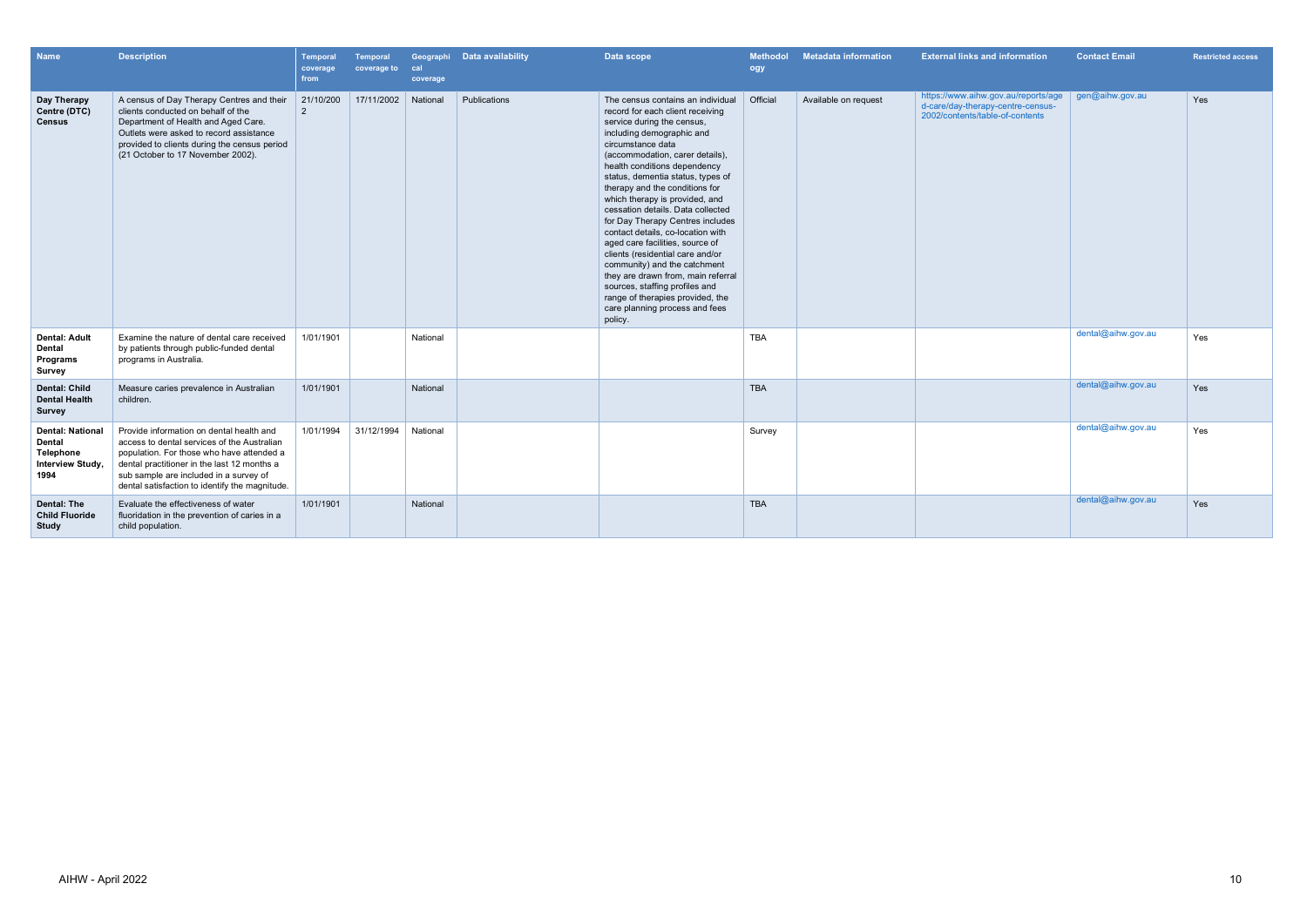| <b>Name</b>                                                                       | <b>Description</b>                                                                                                                                                                                                                                                              | Temporal<br>coverage<br>from | <b>Temporal</b><br>coverage to | cal<br>coverage | Geographi Data availability | Data scope                                                                                                                                                                                                                                                                                                                                                                                                                                                                                                                                                                                                                                                                                                      | <b>Methodol</b><br>ogy | <b>Metadata information</b> | <b>External links and information</b>                                                                       | <b>Contact Email</b> | <b>Restricted access</b> |
|-----------------------------------------------------------------------------------|---------------------------------------------------------------------------------------------------------------------------------------------------------------------------------------------------------------------------------------------------------------------------------|------------------------------|--------------------------------|-----------------|-----------------------------|-----------------------------------------------------------------------------------------------------------------------------------------------------------------------------------------------------------------------------------------------------------------------------------------------------------------------------------------------------------------------------------------------------------------------------------------------------------------------------------------------------------------------------------------------------------------------------------------------------------------------------------------------------------------------------------------------------------------|------------------------|-----------------------------|-------------------------------------------------------------------------------------------------------------|----------------------|--------------------------|
| Day Therapy<br>Centre (DTC)<br><b>Census</b>                                      | A census of Day Therapy Centres and their<br>clients conducted on behalf of the<br>Department of Health and Aged Care.<br>Outlets were asked to record assistance<br>provided to clients during the census period<br>(21 October to 17 November 2002).                          | 21/10/200<br>2               | 17/11/2002                     | National        | Publications                | The census contains an individual<br>record for each client receiving<br>service during the census,<br>including demographic and<br>circumstance data<br>(accommodation, carer details),<br>health conditions dependency<br>status, dementia status, types of<br>therapy and the conditions for<br>which therapy is provided, and<br>cessation details. Data collected<br>for Day Therapy Centres includes<br>contact details, co-location with<br>aged care facilities, source of<br>clients (residential care and/or<br>community) and the catchment<br>they are drawn from, main referral<br>sources, staffing profiles and<br>range of therapies provided, the<br>care planning process and fees<br>policy. | Official               | Available on request        | https://www.aihw.gov.au/reports/age<br>d-care/day-therapy-centre-census-<br>2002/contents/table-of-contents | gen@aihw.gov.au      | Yes                      |
| <b>Dental: Adult</b><br><b>Dental</b><br>Programs<br>Survey                       | Examine the nature of dental care received<br>by patients through public-funded dental<br>programs in Australia.                                                                                                                                                                | 1/01/1901                    |                                | National        |                             |                                                                                                                                                                                                                                                                                                                                                                                                                                                                                                                                                                                                                                                                                                                 | <b>TBA</b>             |                             |                                                                                                             | dental@aihw.gov.au   | Yes                      |
| <b>Dental: Child</b><br><b>Dental Health</b><br>Survey                            | Measure caries prevalence in Australian<br>children.                                                                                                                                                                                                                            | 1/01/1901                    |                                | National        |                             |                                                                                                                                                                                                                                                                                                                                                                                                                                                                                                                                                                                                                                                                                                                 | <b>TBA</b>             |                             |                                                                                                             | dental@aihw.gov.au   | Yes                      |
| <b>Dental: National</b><br><b>Dental</b><br>Telephone<br>Interview Study,<br>1994 | Provide information on dental health and<br>access to dental services of the Australian<br>population. For those who have attended a<br>dental practitioner in the last 12 months a<br>sub sample are included in a survey of<br>dental satisfaction to identify the magnitude. | 1/01/1994                    | 31/12/1994                     | National        |                             |                                                                                                                                                                                                                                                                                                                                                                                                                                                                                                                                                                                                                                                                                                                 | Survey                 |                             |                                                                                                             | dental@aihw.gov.au   | Yes                      |
| Dental: The<br><b>Child Fluoride</b><br><b>Study</b>                              | Evaluate the effectiveness of water<br>fluoridation in the prevention of caries in a<br>child population.                                                                                                                                                                       | 1/01/1901                    |                                | National        |                             |                                                                                                                                                                                                                                                                                                                                                                                                                                                                                                                                                                                                                                                                                                                 | <b>TBA</b>             |                             |                                                                                                             | dental@aihw.gov.au   | Yes                      |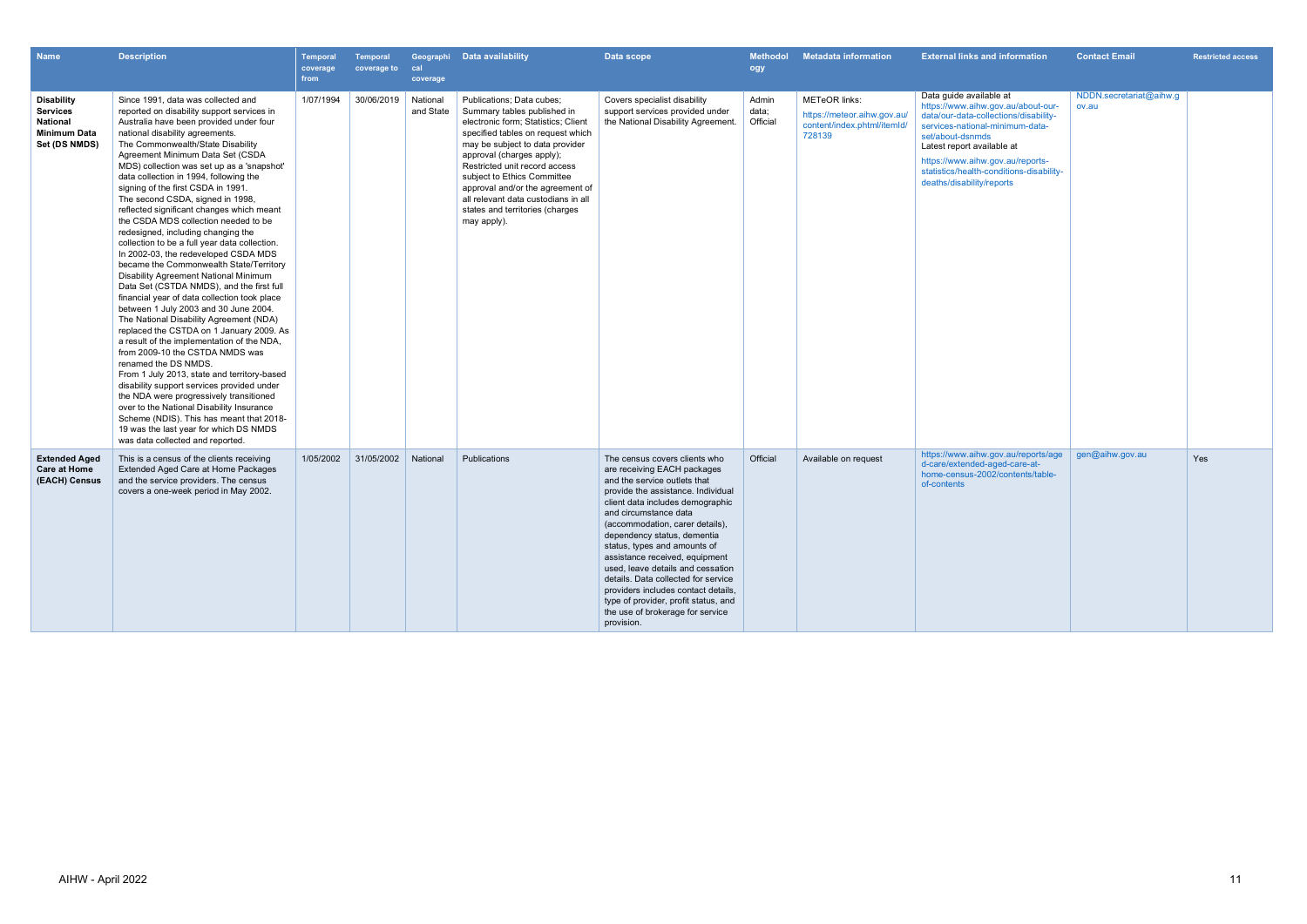| <b>Name</b>                                                                              | <b>Description</b>                                                                                                                                                                                                                                                                                                                                                                                                                                                                                                                                                                                                                                                                                                                                                                                                                                                                                                                                                                                                                                                                                                                                                                                                                                                                                                                                                     | <b>Temporal</b><br>coverage<br>from | <b>Temporal</b><br>coverage to | cal<br>coverage       | Geographi Data availability                                                                                                                                                                                                                                                                                                                                                                       | Data scope                                                                                                                                                                                                                                                                                                                                                                                                                                                                                                                                       | <b>Methodol</b><br>ogy     | <b>Metadata information</b>                                                                  | <b>External links and information</b>                                                                                                                                                                                                                                                                    | <b>Contact Email</b>             | <b>Restricted access</b> |
|------------------------------------------------------------------------------------------|------------------------------------------------------------------------------------------------------------------------------------------------------------------------------------------------------------------------------------------------------------------------------------------------------------------------------------------------------------------------------------------------------------------------------------------------------------------------------------------------------------------------------------------------------------------------------------------------------------------------------------------------------------------------------------------------------------------------------------------------------------------------------------------------------------------------------------------------------------------------------------------------------------------------------------------------------------------------------------------------------------------------------------------------------------------------------------------------------------------------------------------------------------------------------------------------------------------------------------------------------------------------------------------------------------------------------------------------------------------------|-------------------------------------|--------------------------------|-----------------------|---------------------------------------------------------------------------------------------------------------------------------------------------------------------------------------------------------------------------------------------------------------------------------------------------------------------------------------------------------------------------------------------------|--------------------------------------------------------------------------------------------------------------------------------------------------------------------------------------------------------------------------------------------------------------------------------------------------------------------------------------------------------------------------------------------------------------------------------------------------------------------------------------------------------------------------------------------------|----------------------------|----------------------------------------------------------------------------------------------|----------------------------------------------------------------------------------------------------------------------------------------------------------------------------------------------------------------------------------------------------------------------------------------------------------|----------------------------------|--------------------------|
| <b>Disability</b><br><b>Services</b><br>National<br><b>Minimum Data</b><br>Set (DS NMDS) | Since 1991, data was collected and<br>reported on disability support services in<br>Australia have been provided under four<br>national disability agreements.<br>The Commonwealth/State Disability<br>Agreement Minimum Data Set (CSDA<br>MDS) collection was set up as a 'snapshot'<br>data collection in 1994, following the<br>signing of the first CSDA in 1991.<br>The second CSDA, signed in 1998,<br>reflected significant changes which meant<br>the CSDA MDS collection needed to be<br>redesigned, including changing the<br>collection to be a full year data collection.<br>In 2002-03, the redeveloped CSDA MDS<br>became the Commonwealth State/Territory<br>Disability Agreement National Minimum<br>Data Set (CSTDA NMDS), and the first full<br>financial year of data collection took place<br>between 1 July 2003 and 30 June 2004.<br>The National Disability Agreement (NDA)<br>replaced the CSTDA on 1 January 2009. As<br>a result of the implementation of the NDA,<br>from 2009-10 the CSTDA NMDS was<br>renamed the DS NMDS.<br>From 1 July 2013, state and territory-based<br>disability support services provided under<br>the NDA were progressively transitioned<br>over to the National Disability Insurance<br>Scheme (NDIS). This has meant that 2018-<br>19 was the last year for which DS NMDS<br>was data collected and reported. | 1/07/1994                           | 30/06/2019                     | National<br>and State | Publications; Data cubes;<br>Summary tables published in<br>electronic form: Statistics: Client<br>specified tables on request which<br>may be subject to data provider<br>approval (charges apply);<br>Restricted unit record access<br>subject to Ethics Committee<br>approval and/or the agreement of<br>all relevant data custodians in all<br>states and territories (charges<br>may apply). | Covers specialist disability<br>support services provided under<br>the National Disability Agreement.                                                                                                                                                                                                                                                                                                                                                                                                                                            | Admin<br>data;<br>Official | <b>METeOR</b> links:<br>https://meteor.aihw.gov.au/<br>content/index.phtml/itemId/<br>728139 | Data guide available at<br>https://www.aihw.gov.au/about-our-<br>data/our-data-collections/disability-<br>services-national-minimum-data-<br>set/about-dsnmds<br>Latest report available at<br>https://www.aihw.gov.au/reports-<br>statistics/health-conditions-disability-<br>deaths/disability/reports | NDDN.secretariat@aihw.g<br>ov.au |                          |
| <b>Extended Aged</b><br><b>Care at Home</b><br>(EACH) Census                             | This is a census of the clients receiving<br>Extended Aged Care at Home Packages<br>and the service providers. The census<br>covers a one-week period in May 2002.                                                                                                                                                                                                                                                                                                                                                                                                                                                                                                                                                                                                                                                                                                                                                                                                                                                                                                                                                                                                                                                                                                                                                                                                     | 1/05/2002                           | 31/05/2002                     | National              | Publications                                                                                                                                                                                                                                                                                                                                                                                      | The census covers clients who<br>are receiving EACH packages<br>and the service outlets that<br>provide the assistance. Individual<br>client data includes demographic<br>and circumstance data<br>(accommodation, carer details),<br>dependency status, dementia<br>status, types and amounts of<br>assistance received, equipment<br>used, leave details and cessation<br>details. Data collected for service<br>providers includes contact details,<br>type of provider, profit status, and<br>the use of brokerage for service<br>provision. | Official                   | Available on request                                                                         | https://www.aihw.gov.au/reports/age<br>d-care/extended-aged-care-at-<br>home-census-2002/contents/table-<br>of-contents                                                                                                                                                                                  | gen@aihw.gov.au                  | Yes                      |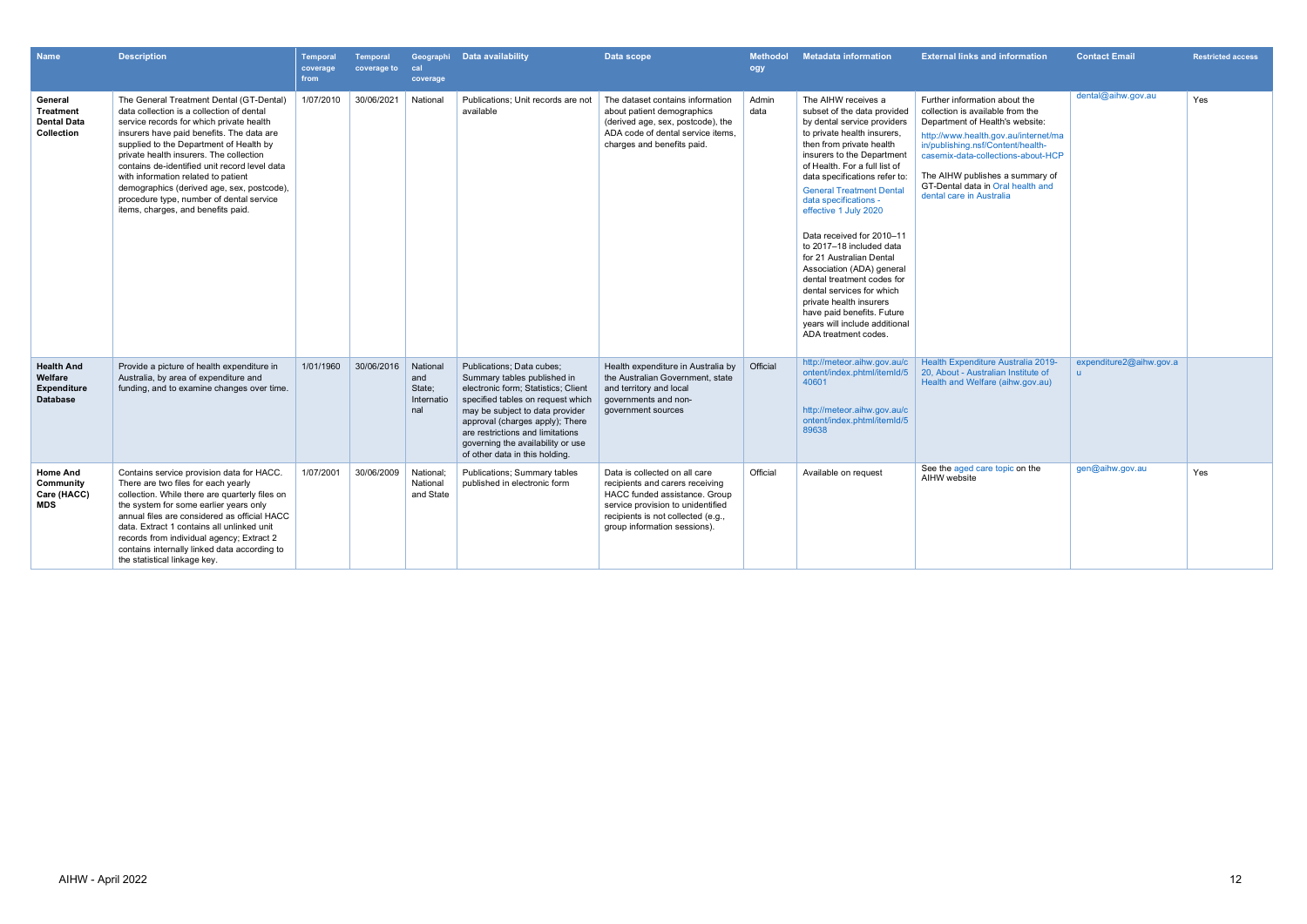| <b>Name</b>                                                           | <b>Description</b>                                                                                                                                                                                                                                                                                                                                                                                                                                                                           | <b>Temporal</b><br>coverage<br>from | <b>Temporal</b><br>coverage to | cal<br>coverage                                | Geographi Data availability                                                                                                                                                                                                                                                                                           | Data scope                                                                                                                                                                                                   | <b>Methodol</b><br>ogy | <b>Metadata information</b>                                                                                                                                                                                                                                                                                                                                                                                                                                                                                                                                                                                                      | <b>External links and information</b>                                                                                                                                                                                                                                                                                       | <b>Contact Email</b>    | <b>Restricted access</b> |
|-----------------------------------------------------------------------|----------------------------------------------------------------------------------------------------------------------------------------------------------------------------------------------------------------------------------------------------------------------------------------------------------------------------------------------------------------------------------------------------------------------------------------------------------------------------------------------|-------------------------------------|--------------------------------|------------------------------------------------|-----------------------------------------------------------------------------------------------------------------------------------------------------------------------------------------------------------------------------------------------------------------------------------------------------------------------|--------------------------------------------------------------------------------------------------------------------------------------------------------------------------------------------------------------|------------------------|----------------------------------------------------------------------------------------------------------------------------------------------------------------------------------------------------------------------------------------------------------------------------------------------------------------------------------------------------------------------------------------------------------------------------------------------------------------------------------------------------------------------------------------------------------------------------------------------------------------------------------|-----------------------------------------------------------------------------------------------------------------------------------------------------------------------------------------------------------------------------------------------------------------------------------------------------------------------------|-------------------------|--------------------------|
| General<br><b>Treatment</b><br><b>Dental Data</b><br>Collection       | The General Treatment Dental (GT-Dental)<br>data collection is a collection of dental<br>service records for which private health<br>insurers have paid benefits. The data are<br>supplied to the Department of Health by<br>private health insurers. The collection<br>contains de-identified unit record level data<br>with information related to patient<br>demographics (derived age, sex, postcode),<br>procedure type, number of dental service<br>items, charges, and benefits paid. | 1/07/2010                           | 30/06/2021                     | National                                       | Publications; Unit records are not<br>available                                                                                                                                                                                                                                                                       | The dataset contains information<br>about patient demographics<br>(derived age, sex, postcode), the<br>ADA code of dental service items.<br>charges and benefits paid.                                       | Admin<br>data          | The AIHW receives a<br>subset of the data provided<br>by dental service providers<br>to private health insurers,<br>then from private health<br>insurers to the Department<br>of Health. For a full list of<br>data specifications refer to:<br><b>General Treatment Dental</b><br>data specifications -<br>effective 1 July 2020<br>Data received for 2010-11<br>to 2017-18 included data<br>for 21 Australian Dental<br>Association (ADA) general<br>dental treatment codes for<br>dental services for which<br>private health insurers<br>have paid benefits. Future<br>years will include additional<br>ADA treatment codes. | Further information about the<br>collection is available from the<br>Department of Health's website:<br>http://www.health.gov.au/internet/ma<br>in/publishing.nsf/Content/health-<br>casemix-data-collections-about-HCP<br>The AIHW publishes a summary of<br>GT-Dental data in Oral health and<br>dental care in Australia | dental@aihw.gov.au      | Yes                      |
| <b>Health And</b><br>Welfare<br><b>Expenditure</b><br><b>Database</b> | Provide a picture of health expenditure in<br>Australia, by area of expenditure and<br>funding, and to examine changes over time.                                                                                                                                                                                                                                                                                                                                                            | 1/01/1960                           | 30/06/2016                     | National<br>and<br>State;<br>Internatio<br>nal | Publications; Data cubes;<br>Summary tables published in<br>electronic form; Statistics; Client<br>specified tables on request which<br>may be subject to data provider<br>approval (charges apply); There<br>are restrictions and limitations<br>governing the availability or use<br>of other data in this holding. | Health expenditure in Australia by<br>the Australian Government, state<br>and territory and local<br>governments and non-<br>government sources                                                              | Official               | http://meteor.aihw.gov.au/c<br>ontent/index.phtml/itemId/5<br>40601<br>http://meteor.aihw.gov.au/c<br>ontent/index.phtml/itemId/5<br>89638                                                                                                                                                                                                                                                                                                                                                                                                                                                                                       | Health Expenditure Australia 2019-<br>20, About - Australian Institute of<br>Health and Welfare (aihw.gov.au)                                                                                                                                                                                                               | expenditure2@aihw.gov.a |                          |
| <b>Home And</b><br>Community<br>Care (HACC)<br><b>MDS</b>             | Contains service provision data for HACC.<br>There are two files for each yearly<br>collection. While there are quarterly files on<br>the system for some earlier years only<br>annual files are considered as official HACC<br>data. Extract 1 contains all unlinked unit<br>records from individual agency; Extract 2<br>contains internally linked data according to<br>the statistical linkage key.                                                                                      | 1/07/2001                           | 30/06/2009                     | National;<br>National<br>and State             | <b>Publications: Summary tables</b><br>published in electronic form                                                                                                                                                                                                                                                   | Data is collected on all care<br>recipients and carers receiving<br>HACC funded assistance. Group<br>service provision to unidentified<br>recipients is not collected (e.g.,<br>group information sessions). | Official               | Available on request                                                                                                                                                                                                                                                                                                                                                                                                                                                                                                                                                                                                             | See the aged care topic on the<br>AIHW website                                                                                                                                                                                                                                                                              | gen@aihw.gov.au         | Yes                      |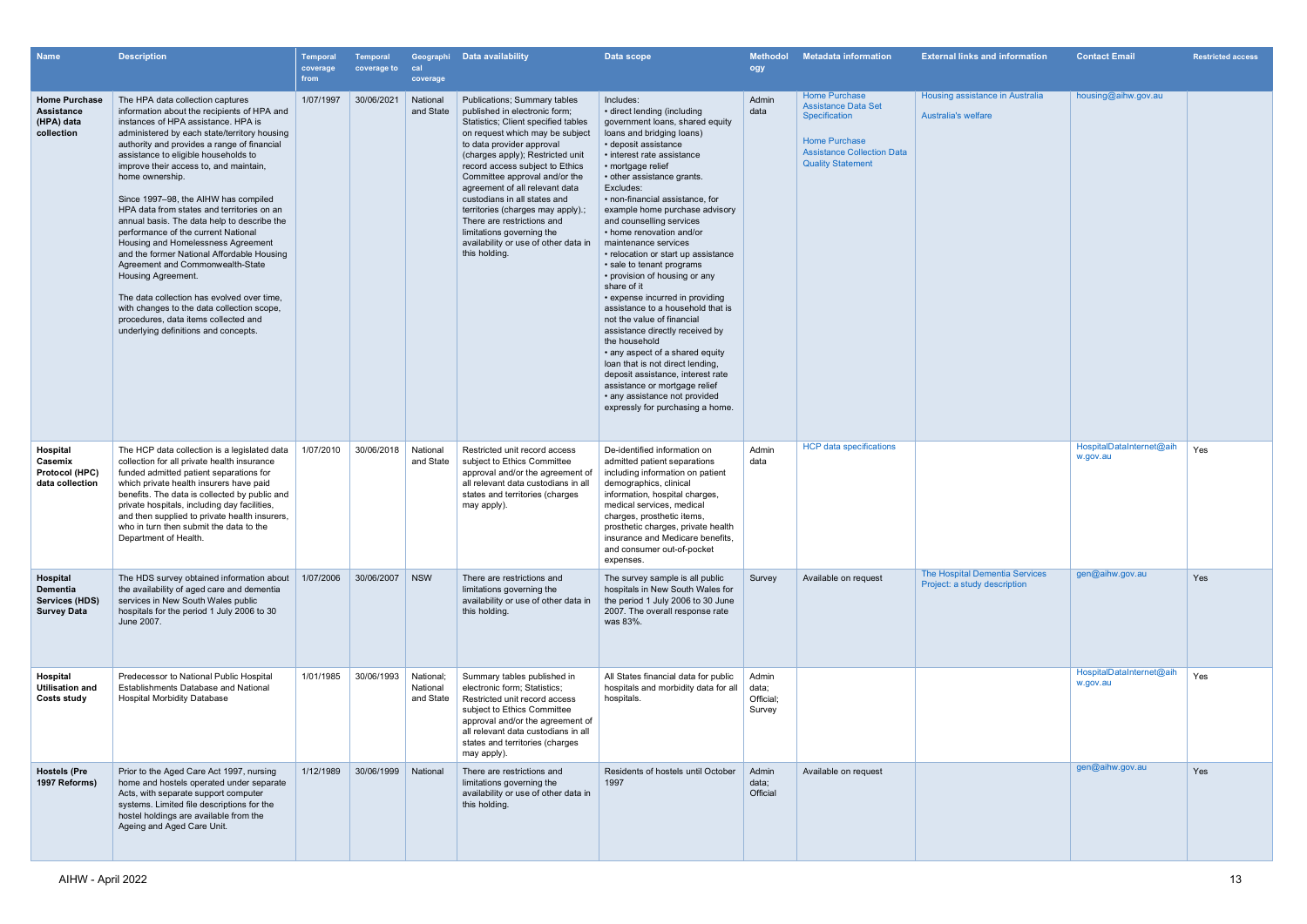| <b>Name</b>                                                         | <b>Description</b>                                                                                                                                                                                                                                                                                                                                                                                                                                                                                                                                                                                                                                                                                                                                                                                                               | Temporal<br>coverage<br>from | Temporal<br>coverage to | cal<br>coverage                    | Geographi Data availability                                                                                                                                                                                                                                                                                                                                                                                                                                                                                   | Data scope                                                                                                                                                                                                                                                                                                                                                                                                                                                                                                                                                                                                                                                                                                                                                                                                                                                                          | <b>Methodol</b><br>ogy                | <b>Metadata information</b>                                                                                                                                  | <b>External links and information</b>                          | <b>Contact Email</b>                 | <b>Restricted access</b> |
|---------------------------------------------------------------------|----------------------------------------------------------------------------------------------------------------------------------------------------------------------------------------------------------------------------------------------------------------------------------------------------------------------------------------------------------------------------------------------------------------------------------------------------------------------------------------------------------------------------------------------------------------------------------------------------------------------------------------------------------------------------------------------------------------------------------------------------------------------------------------------------------------------------------|------------------------------|-------------------------|------------------------------------|---------------------------------------------------------------------------------------------------------------------------------------------------------------------------------------------------------------------------------------------------------------------------------------------------------------------------------------------------------------------------------------------------------------------------------------------------------------------------------------------------------------|-------------------------------------------------------------------------------------------------------------------------------------------------------------------------------------------------------------------------------------------------------------------------------------------------------------------------------------------------------------------------------------------------------------------------------------------------------------------------------------------------------------------------------------------------------------------------------------------------------------------------------------------------------------------------------------------------------------------------------------------------------------------------------------------------------------------------------------------------------------------------------------|---------------------------------------|--------------------------------------------------------------------------------------------------------------------------------------------------------------|----------------------------------------------------------------|--------------------------------------|--------------------------|
| <b>Home Purchase</b><br>Assistance<br>(HPA) data<br>collection      | The HPA data collection captures<br>information about the recipients of HPA and<br>instances of HPA assistance. HPA is<br>administered by each state/territory housing<br>authority and provides a range of financial<br>assistance to eligible households to<br>improve their access to, and maintain,<br>home ownership.<br>Since 1997–98, the AIHW has compiled<br>HPA data from states and territories on an<br>annual basis. The data help to describe the<br>performance of the current National<br>Housing and Homelessness Agreement<br>and the former National Affordable Housing<br>Agreement and Commonwealth-State<br>Housing Agreement.<br>The data collection has evolved over time.<br>with changes to the data collection scope,<br>procedures, data items collected and<br>underlying definitions and concepts. | 1/07/1997                    | 30/06/2021              | National<br>and State              | <b>Publications; Summary tables</b><br>published in electronic form:<br>Statistics; Client specified tables<br>on request which may be subject<br>to data provider approval<br>(charges apply); Restricted unit<br>record access subject to Ethics<br>Committee approval and/or the<br>agreement of all relevant data<br>custodians in all states and<br>territories (charges may apply).<br>There are restrictions and<br>limitations governing the<br>availability or use of other data in<br>this holding. | Includes:<br>· direct lending (including<br>government loans, shared equity<br>loans and bridging loans)<br>• deposit assistance<br>· interest rate assistance<br>• mortgage relief<br>• other assistance grants.<br>Excludes:<br>· non-financial assistance, for<br>example home purchase advisory<br>and counselling services<br>• home renovation and/or<br>maintenance services<br>• relocation or start up assistance<br>• sale to tenant programs<br>• provision of housing or any<br>share of it<br>• expense incurred in providing<br>assistance to a household that is<br>not the value of financial<br>assistance directly received by<br>the household<br>• any aspect of a shared equity<br>loan that is not direct lending,<br>deposit assistance, interest rate<br>assistance or mortgage relief<br>• any assistance not provided<br>expressly for purchasing a home. | Admin<br>data                         | <b>Home Purchase</b><br><b>Assistance Data Set</b><br>Specification<br><b>Home Purchase</b><br><b>Assistance Collection Data</b><br><b>Quality Statement</b> | Housing assistance in Australia<br><b>Australia's welfare</b>  | housing@aihw.gov.au                  |                          |
| Hospital<br>Casemix<br>Protocol (HPC)<br>data collection            | The HCP data collection is a legislated data<br>collection for all private health insurance<br>funded admitted patient separations for<br>which private health insurers have paid<br>benefits. The data is collected by public and<br>private hospitals, including day facilities,<br>and then supplied to private health insurers,<br>who in turn then submit the data to the<br>Department of Health.                                                                                                                                                                                                                                                                                                                                                                                                                          | 1/07/2010                    | 30/06/2018              | National<br>and State              | Restricted unit record access<br>subject to Ethics Committee<br>approval and/or the agreement of<br>all relevant data custodians in all<br>states and territories (charges<br>may apply).                                                                                                                                                                                                                                                                                                                     | De-identified information on<br>admitted patient separations<br>including information on patient<br>demographics, clinical<br>information, hospital charges,<br>medical services, medical<br>charges, prosthetic items<br>prosthetic charges, private health<br>insurance and Medicare benefits<br>and consumer out-of-pocket<br>expenses.                                                                                                                                                                                                                                                                                                                                                                                                                                                                                                                                          | Admin<br>data                         | <b>HCP</b> data specifications                                                                                                                               |                                                                | HospitalDataInternet@aih<br>w.gov.au | Yes                      |
| Hospital<br>Dementia<br><b>Services (HDS)</b><br><b>Survey Data</b> | The HDS survey obtained information about<br>the availability of aged care and dementia<br>services in New South Wales public<br>hospitals for the period 1 July 2006 to 30<br>June 2007.                                                                                                                                                                                                                                                                                                                                                                                                                                                                                                                                                                                                                                        | 1/07/2006                    | 30/06/2007   NSW        |                                    | There are restrictions and<br>limitations governing the<br>availability or use of other data in<br>this holding.                                                                                                                                                                                                                                                                                                                                                                                              | The survey sample is all public<br>hospitals in New South Wales for<br>the period 1 July 2006 to 30 June<br>2007. The overall response rate<br>was 83%.                                                                                                                                                                                                                                                                                                                                                                                                                                                                                                                                                                                                                                                                                                                             | Survey                                | Available on request                                                                                                                                         | The Hospital Dementia Services<br>Project: a study description | gen@aihw.gov.au                      | Yes                      |
| Hospital<br><b>Utilisation and</b><br><b>Costs study</b>            | Predecessor to National Public Hospital<br>Establishments Database and National<br><b>Hospital Morbidity Database</b>                                                                                                                                                                                                                                                                                                                                                                                                                                                                                                                                                                                                                                                                                                            | 1/01/1985                    | 30/06/1993              | National:<br>National<br>and State | Summary tables published in<br>electronic form; Statistics;<br>Restricted unit record access<br>subject to Ethics Committee<br>approval and/or the agreement of<br>all relevant data custodians in all<br>states and territories (charges<br>may apply).                                                                                                                                                                                                                                                      | All States financial data for public<br>hospitals and morbidity data for all<br>hospitals.                                                                                                                                                                                                                                                                                                                                                                                                                                                                                                                                                                                                                                                                                                                                                                                          | Admin<br>data;<br>Official:<br>Survey |                                                                                                                                                              |                                                                | HospitalDataInternet@aih<br>w.gov.au | Yes                      |
| <b>Hostels (Pre</b><br>1997 Reforms)                                | Prior to the Aged Care Act 1997, nursing<br>home and hostels operated under separate<br>Acts, with separate support computer<br>systems. Limited file descriptions for the<br>hostel holdings are available from the<br>Ageing and Aged Care Unit.                                                                                                                                                                                                                                                                                                                                                                                                                                                                                                                                                                               | 1/12/1989                    | 30/06/1999              | National                           | There are restrictions and<br>limitations governing the<br>availability or use of other data in<br>this holding.                                                                                                                                                                                                                                                                                                                                                                                              | Residents of hostels until October<br>1997                                                                                                                                                                                                                                                                                                                                                                                                                                                                                                                                                                                                                                                                                                                                                                                                                                          | Admin<br>data;<br>Official            | Available on request                                                                                                                                         |                                                                | gen@aihw.gov.au                      | Yes                      |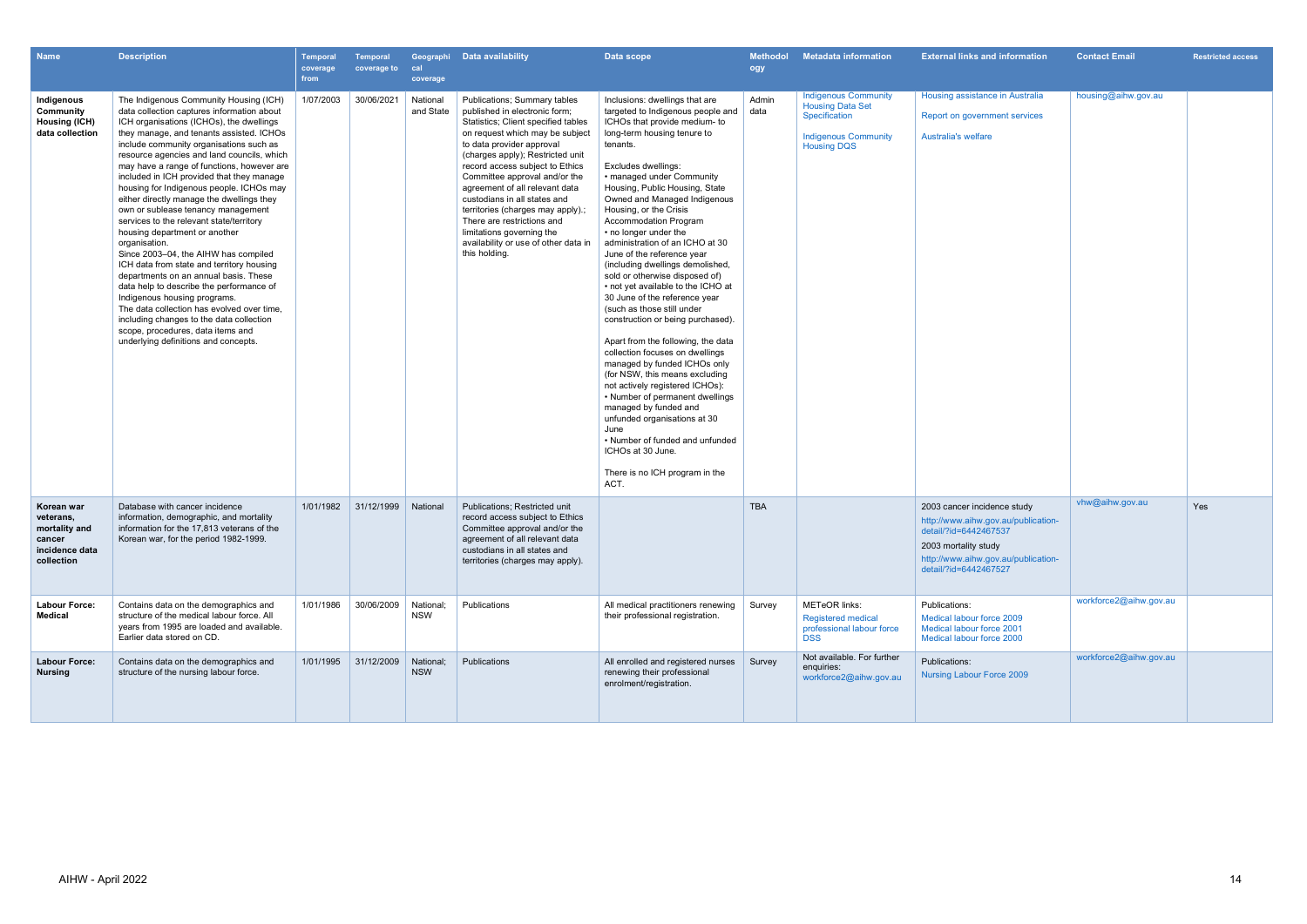| <b>Name</b>                                                                        | <b>Description</b>                                                                                                                                                                                                                                                                                                                                                                                                                                                                                                                                                                                                                                                                                                                                                                                                                                                                                                                                                             | <b>Temporal</b><br>coverage<br>from | <b>Temporal</b><br>coverage to | cal<br>coverage         | Geographi Data availability                                                                                                                                                                                                                                                                                                                                                                                                                                                                            | Data scope                                                                                                                                                                                                                                                                                                                                                                                                                                                                                                                                                                                                                                                                                                                                                                                                                                                                                                                                                                                                                    | <b>Methodol</b><br>ogy | <b>Metadata information</b>                                                                                                  | <b>External links and information</b>                                                                                                                                               | <b>Contact Email</b>   | <b>Restricted access</b> |
|------------------------------------------------------------------------------------|--------------------------------------------------------------------------------------------------------------------------------------------------------------------------------------------------------------------------------------------------------------------------------------------------------------------------------------------------------------------------------------------------------------------------------------------------------------------------------------------------------------------------------------------------------------------------------------------------------------------------------------------------------------------------------------------------------------------------------------------------------------------------------------------------------------------------------------------------------------------------------------------------------------------------------------------------------------------------------|-------------------------------------|--------------------------------|-------------------------|--------------------------------------------------------------------------------------------------------------------------------------------------------------------------------------------------------------------------------------------------------------------------------------------------------------------------------------------------------------------------------------------------------------------------------------------------------------------------------------------------------|-------------------------------------------------------------------------------------------------------------------------------------------------------------------------------------------------------------------------------------------------------------------------------------------------------------------------------------------------------------------------------------------------------------------------------------------------------------------------------------------------------------------------------------------------------------------------------------------------------------------------------------------------------------------------------------------------------------------------------------------------------------------------------------------------------------------------------------------------------------------------------------------------------------------------------------------------------------------------------------------------------------------------------|------------------------|------------------------------------------------------------------------------------------------------------------------------|-------------------------------------------------------------------------------------------------------------------------------------------------------------------------------------|------------------------|--------------------------|
| Indigenous<br>Community<br><b>Housing (ICH)</b><br>data collection                 | The Indigenous Community Housing (ICH)<br>data collection captures information about<br>ICH organisations (ICHOs), the dwellings<br>they manage, and tenants assisted. ICHOs<br>include community organisations such as<br>resource agencies and land councils, which<br>may have a range of functions, however are<br>included in ICH provided that they manage<br>housing for Indigenous people. ICHOs may<br>either directly manage the dwellings they<br>own or sublease tenancy management<br>services to the relevant state/territory<br>housing department or another<br>organisation.<br>Since 2003-04, the AIHW has compiled<br>ICH data from state and territory housing<br>departments on an annual basis. These<br>data help to describe the performance of<br>Indigenous housing programs.<br>The data collection has evolved over time.<br>including changes to the data collection<br>scope, procedures, data items and<br>underlying definitions and concepts. | 1/07/2003                           | 30/06/2021                     | National<br>and State   | Publications; Summary tables<br>published in electronic form;<br>Statistics; Client specified tables<br>on request which may be subject<br>to data provider approval<br>(charges apply); Restricted unit<br>record access subject to Ethics<br>Committee approval and/or the<br>agreement of all relevant data<br>custodians in all states and<br>territories (charges may apply).<br>There are restrictions and<br>limitations governing the<br>availability or use of other data in<br>this holding. | Inclusions: dwellings that are<br>targeted to Indigenous people and<br>ICHOs that provide medium- to<br>long-term housing tenure to<br>tenants.<br>Excludes dwellings:<br>• managed under Community<br>Housing, Public Housing, State<br>Owned and Managed Indigenous<br>Housing, or the Crisis<br><b>Accommodation Program</b><br>• no longer under the<br>administration of an ICHO at 30<br>June of the reference year<br>(including dwellings demolished,<br>sold or otherwise disposed of)<br>• not yet available to the ICHO at<br>30 June of the reference year<br>(such as those still under<br>construction or being purchased).<br>Apart from the following, the data<br>collection focuses on dwellings<br>managed by funded ICHOs only<br>(for NSW, this means excluding<br>not actively registered ICHOs):<br>• Number of permanent dwellings<br>managed by funded and<br>unfunded organisations at 30<br>June<br>• Number of funded and unfunded<br>ICHOs at 30 June.<br>There is no ICH program in the<br>ACT. | Admin<br>data          | <b>Indigenous Community</b><br><b>Housing Data Set</b><br>Specification<br><b>Indigenous Community</b><br><b>Housing DQS</b> | Housing assistance in Australia<br>Report on government services<br><b>Australia's welfare</b>                                                                                      | housing@aihw.gov.au    |                          |
| Korean war<br>veterans,<br>mortality and<br>cancer<br>incidence data<br>collection | Database with cancer incidence<br>information, demographic, and mortality<br>information for the 17.813 veterans of the<br>Korean war, for the period 1982-1999.                                                                                                                                                                                                                                                                                                                                                                                                                                                                                                                                                                                                                                                                                                                                                                                                               | 1/01/1982                           | 31/12/1999                     | National                | <b>Publications: Restricted unit</b><br>record access subject to Ethics<br>Committee approval and/or the<br>agreement of all relevant data<br>custodians in all states and<br>territories (charges may apply).                                                                                                                                                                                                                                                                                         |                                                                                                                                                                                                                                                                                                                                                                                                                                                                                                                                                                                                                                                                                                                                                                                                                                                                                                                                                                                                                               | <b>TBA</b>             |                                                                                                                              | 2003 cancer incidence study<br>http://www.aihw.gov.au/publication-<br>detail/?id=6442467537<br>2003 mortality study<br>http://www.aihw.gov.au/publication-<br>detail/?id=6442467527 | vhw@aihw.gov.au        | <b>Yes</b>               |
| <b>Labour Force:</b><br>Medical                                                    | Contains data on the demographics and<br>structure of the medical labour force. All<br>years from 1995 are loaded and available.<br>Earlier data stored on CD.                                                                                                                                                                                                                                                                                                                                                                                                                                                                                                                                                                                                                                                                                                                                                                                                                 | 1/01/1986                           | 30/06/2009                     | National;<br>NSW        | Publications                                                                                                                                                                                                                                                                                                                                                                                                                                                                                           | All medical practitioners renewing<br>their professional registration.                                                                                                                                                                                                                                                                                                                                                                                                                                                                                                                                                                                                                                                                                                                                                                                                                                                                                                                                                        | Survey                 | <b>METeOR links:</b><br><b>Registered medical</b><br>professional labour force<br><b>DSS</b>                                 | Publications:<br>Medical labour force 2009<br>Medical labour force 2001<br>Medical labour force 2000                                                                                | workforce2@aihw.gov.au |                          |
| <b>Labour Force:</b><br><b>Nursing</b>                                             | Contains data on the demographics and<br>structure of the nursing labour force.                                                                                                                                                                                                                                                                                                                                                                                                                                                                                                                                                                                                                                                                                                                                                                                                                                                                                                | 1/01/1995                           | 31/12/2009                     | National:<br><b>NSW</b> | Publications                                                                                                                                                                                                                                                                                                                                                                                                                                                                                           | All enrolled and registered nurses<br>renewing their professional<br>enrolment/registration.                                                                                                                                                                                                                                                                                                                                                                                                                                                                                                                                                                                                                                                                                                                                                                                                                                                                                                                                  | Survey                 | Not available. For further<br>enquiries:<br>workforce2@aihw.gov.au                                                           | Publications:<br><b>Nursing Labour Force 2009</b>                                                                                                                                   | workforce2@aihw.gov.au |                          |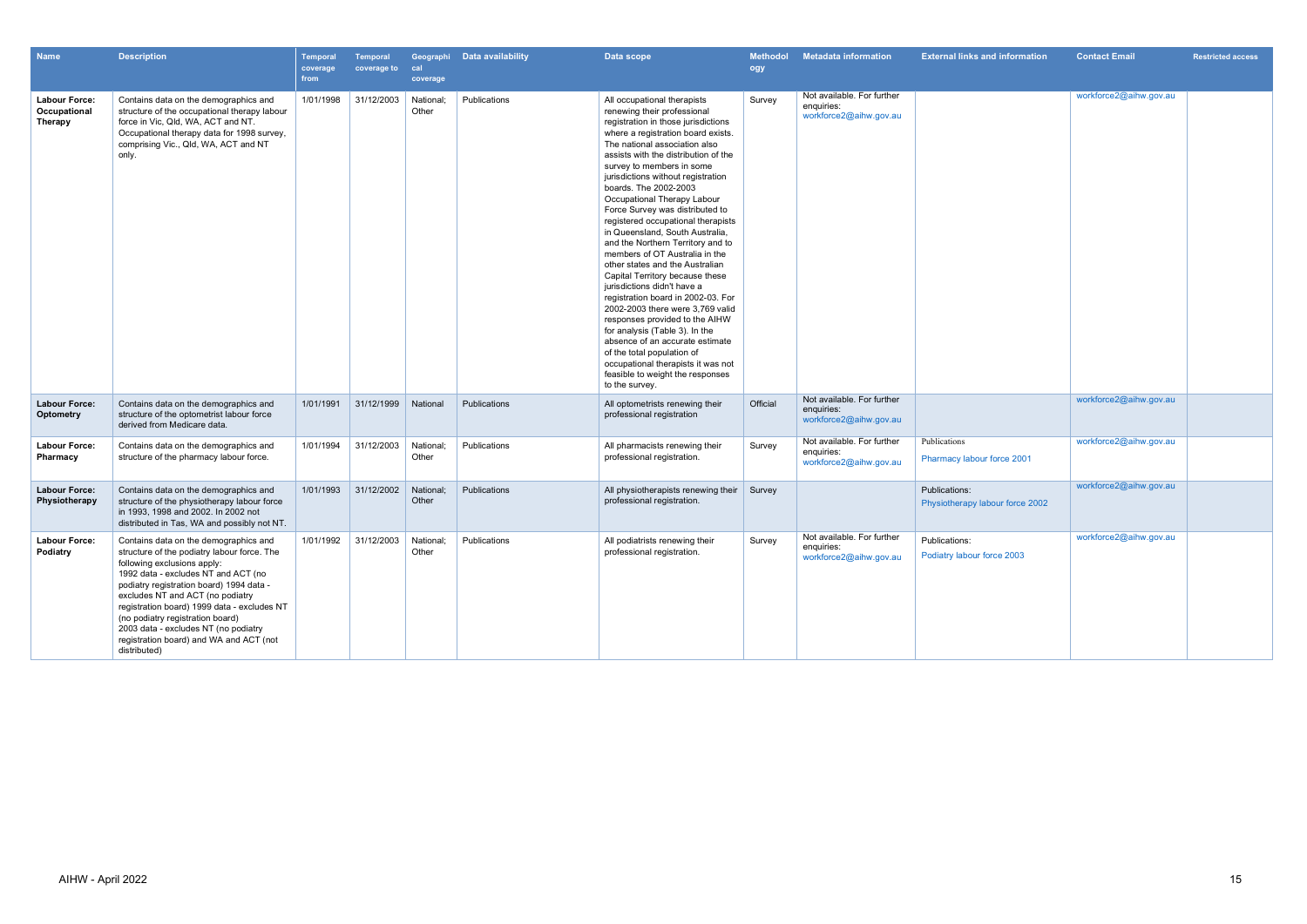| <b>Name</b>                                            | <b>Description</b>                                                                                                                                                                                                                                                                                                                                                                                                               | Temporal<br>coverage<br>from | <b>Temporal</b><br>coverage to | cal<br>coverage    | Geographi Data availability | Data scope                                                                                                                                                                                                                                                                                                                                                                                                                                                                                                                                                                                                                                                                                                                                                                                                                                                                                                                                     | <b>Methodol</b><br>ogy | <b>Metadata information</b>                                        | <b>External links and information</b>            | <b>Contact Email</b>   | <b>Restricted access</b> |
|--------------------------------------------------------|----------------------------------------------------------------------------------------------------------------------------------------------------------------------------------------------------------------------------------------------------------------------------------------------------------------------------------------------------------------------------------------------------------------------------------|------------------------------|--------------------------------|--------------------|-----------------------------|------------------------------------------------------------------------------------------------------------------------------------------------------------------------------------------------------------------------------------------------------------------------------------------------------------------------------------------------------------------------------------------------------------------------------------------------------------------------------------------------------------------------------------------------------------------------------------------------------------------------------------------------------------------------------------------------------------------------------------------------------------------------------------------------------------------------------------------------------------------------------------------------------------------------------------------------|------------------------|--------------------------------------------------------------------|--------------------------------------------------|------------------------|--------------------------|
| <b>Labour Force:</b><br>Occupational<br><b>Therapy</b> | Contains data on the demographics and<br>structure of the occupational therapy labour<br>force in Vic, Qld, WA, ACT and NT.<br>Occupational therapy data for 1998 survey,<br>comprising Vic., Qld, WA, ACT and NT<br>only.                                                                                                                                                                                                       | 1/01/1998                    | 31/12/2003                     | National;<br>Other | Publications                | All occupational therapists<br>renewing their professional<br>registration in those jurisdictions<br>where a registration board exists.<br>The national association also<br>assists with the distribution of the<br>survey to members in some<br>jurisdictions without registration<br>boards. The 2002-2003<br>Occupational Therapy Labour<br>Force Survey was distributed to<br>registered occupational therapists<br>in Queensland, South Australia,<br>and the Northern Territory and to<br>members of OT Australia in the<br>other states and the Australian<br>Capital Territory because these<br>jurisdictions didn't have a<br>registration board in 2002-03. For<br>2002-2003 there were 3,769 valid<br>responses provided to the AIHW<br>for analysis (Table 3). In the<br>absence of an accurate estimate<br>of the total population of<br>occupational therapists it was not<br>feasible to weight the responses<br>to the survey. | Survey                 | Not available. For further<br>enquiries:<br>workforce2@aihw.gov.au |                                                  | workforce2@aihw.gov.au |                          |
| <b>Labour Force:</b><br><b>Optometry</b>               | Contains data on the demographics and<br>structure of the optometrist labour force<br>derived from Medicare data.                                                                                                                                                                                                                                                                                                                | 1/01/1991                    | 31/12/1999                     | National           | Publications                | All optometrists renewing their<br>professional registration                                                                                                                                                                                                                                                                                                                                                                                                                                                                                                                                                                                                                                                                                                                                                                                                                                                                                   | Official               | Not available. For further<br>enquiries:<br>workforce2@aihw.gov.au |                                                  | workforce2@aihw.gov.au |                          |
| <b>Labour Force:</b><br>Pharmacy                       | Contains data on the demographics and<br>structure of the pharmacy labour force.                                                                                                                                                                                                                                                                                                                                                 | 1/01/1994                    | 31/12/2003                     | National;<br>Other | Publications                | All pharmacists renewing their<br>professional registration.                                                                                                                                                                                                                                                                                                                                                                                                                                                                                                                                                                                                                                                                                                                                                                                                                                                                                   | Survey                 | Not available. For further<br>enquiries:<br>workforce2@aihw.gov.au | Publications<br>Pharmacy labour force 2001       | workforce2@aihw.gov.au |                          |
| <b>Labour Force:</b><br>Physiotherapy                  | Contains data on the demographics and<br>structure of the physiotherapy labour force<br>in 1993, 1998 and 2002, In 2002 not<br>distributed in Tas, WA and possibly not NT.                                                                                                                                                                                                                                                       | 1/01/1993                    | 31/12/2002                     | National:<br>Other | Publications                | All physiotherapists renewing their<br>professional registration.                                                                                                                                                                                                                                                                                                                                                                                                                                                                                                                                                                                                                                                                                                                                                                                                                                                                              | Survey                 |                                                                    | Publications:<br>Physiotherapy labour force 2002 | workforce2@aihw.gov.au |                          |
| <b>Labour Force:</b><br>Podiatry                       | Contains data on the demographics and<br>structure of the podiatry labour force. The<br>following exclusions apply:<br>1992 data - excludes NT and ACT (no<br>podiatry registration board) 1994 data -<br>excludes NT and ACT (no podiatry<br>registration board) 1999 data - excludes NT<br>(no podiatry registration board)<br>2003 data - excludes NT (no podiatry<br>registration board) and WA and ACT (not<br>distributed) | 1/01/1992                    | 31/12/2003   National;         | Other              | Publications                | All podiatrists renewing their<br>professional registration.                                                                                                                                                                                                                                                                                                                                                                                                                                                                                                                                                                                                                                                                                                                                                                                                                                                                                   | Survey                 | Not available. For further<br>enquiries:<br>workforce2@aihw.gov.au | Publications:<br>Podiatry labour force 2003      | workforce2@aihw.gov.au |                          |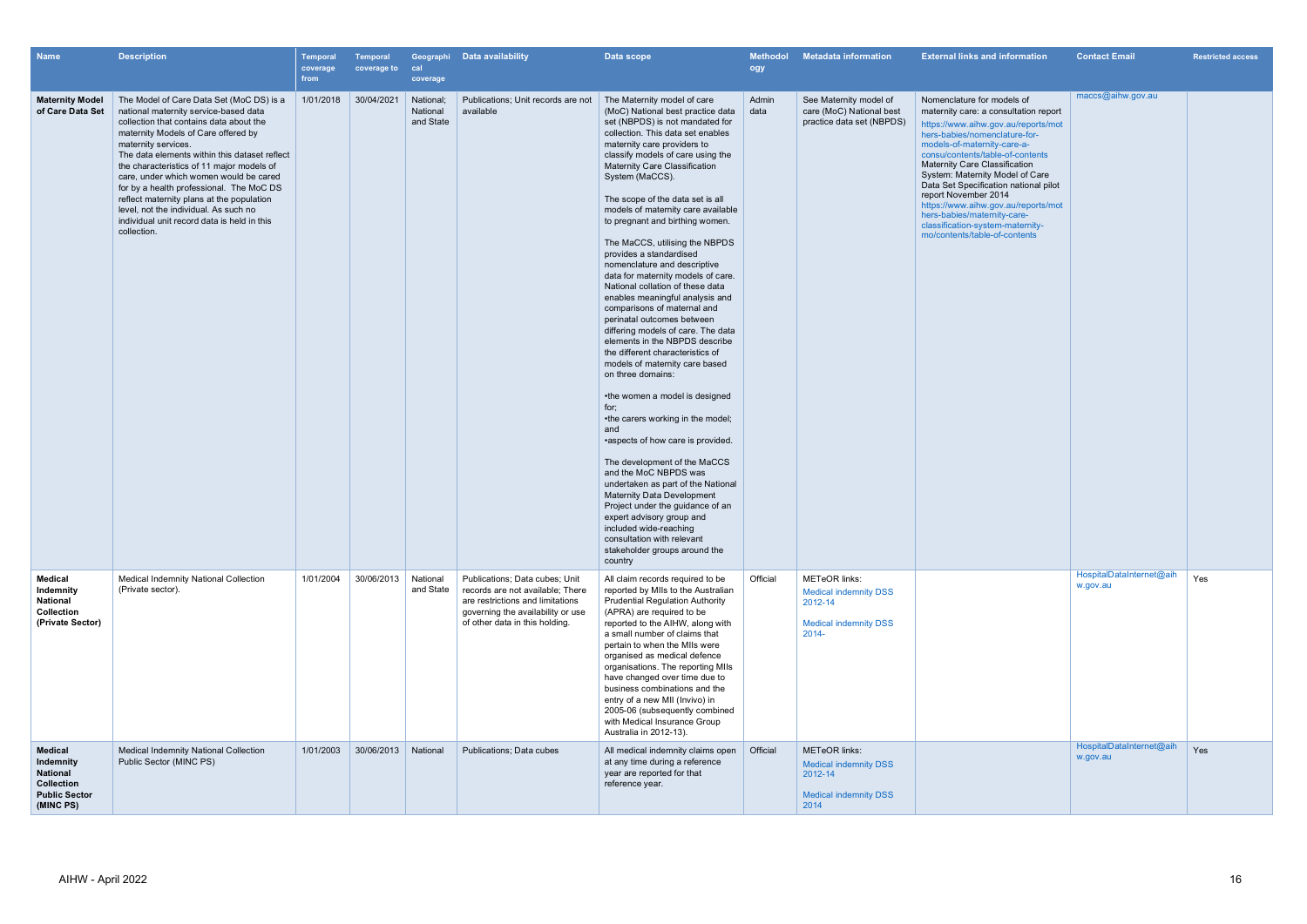| <b>Name</b>                                                                                | <b>Description</b>                                                                                                                                                                                                                                                                                                                                                                                                                                                                                                                 | <b>Temporal</b><br>coverage<br>from | Temporal<br>coverage to | cal<br>coverage                    | Geographi Data availability                                                                                                                                                   | Data scope                                                                                                                                                                                                                                                                                                                                                                                                                                                                                                                                                                                                                                                                                                                                                                                                                                                                                                                                                                                                                                                                                                                                                                                                                                                         | <b>Methodol</b><br>ogy | <b>Metadata information</b>                                                                                 | <b>External links and information</b>                                                                                                                                                                                                                                                                                                                                                                                                                                                                 | <b>Contact Email</b>                 | <b>Restricted access</b> |
|--------------------------------------------------------------------------------------------|------------------------------------------------------------------------------------------------------------------------------------------------------------------------------------------------------------------------------------------------------------------------------------------------------------------------------------------------------------------------------------------------------------------------------------------------------------------------------------------------------------------------------------|-------------------------------------|-------------------------|------------------------------------|-------------------------------------------------------------------------------------------------------------------------------------------------------------------------------|--------------------------------------------------------------------------------------------------------------------------------------------------------------------------------------------------------------------------------------------------------------------------------------------------------------------------------------------------------------------------------------------------------------------------------------------------------------------------------------------------------------------------------------------------------------------------------------------------------------------------------------------------------------------------------------------------------------------------------------------------------------------------------------------------------------------------------------------------------------------------------------------------------------------------------------------------------------------------------------------------------------------------------------------------------------------------------------------------------------------------------------------------------------------------------------------------------------------------------------------------------------------|------------------------|-------------------------------------------------------------------------------------------------------------|-------------------------------------------------------------------------------------------------------------------------------------------------------------------------------------------------------------------------------------------------------------------------------------------------------------------------------------------------------------------------------------------------------------------------------------------------------------------------------------------------------|--------------------------------------|--------------------------|
| <b>Maternity Model</b><br>of Care Data Set                                                 | The Model of Care Data Set (MoC DS) is a<br>national maternity service-based data<br>collection that contains data about the<br>maternity Models of Care offered by<br>maternity services.<br>The data elements within this dataset reflect<br>the characteristics of 11 major models of<br>care, under which women would be cared<br>for by a health professional. The MoC DS<br>reflect maternity plans at the population<br>level, not the individual. As such no<br>individual unit record data is held in this<br>collection. | 1/01/2018                           | 30/04/2021              | National:<br>National<br>and State | Publications; Unit records are not<br>available                                                                                                                               | The Maternity model of care<br>(MoC) National best practice data<br>set (NBPDS) is not mandated for<br>collection. This data set enables<br>maternity care providers to<br>classify models of care using the<br><b>Maternity Care Classification</b><br>System (MaCCS).<br>The scope of the data set is all<br>models of maternity care available<br>to pregnant and birthing women.<br>The MaCCS, utilising the NBPDS<br>provides a standardised<br>nomenclature and descriptive<br>data for maternity models of care.<br>National collation of these data<br>enables meaningful analysis and<br>comparisons of maternal and<br>perinatal outcomes between<br>differing models of care. The data<br>elements in the NBPDS describe<br>the different characteristics of<br>models of maternity care based<br>on three domains:<br>•the women a model is designed<br>for;<br>•the carers working in the model;<br>and<br>•aspects of how care is provided.<br>The development of the MaCCS<br>and the MoC NBPDS was<br>undertaken as part of the National<br><b>Maternity Data Development</b><br>Project under the guidance of an<br>expert advisory group and<br>included wide-reaching<br>consultation with relevant<br>stakeholder groups around the<br>country | Admin<br>data          | See Maternity model of<br>care (MoC) National best<br>practice data set (NBPDS)                             | Nomenclature for models of<br>maternity care: a consultation report<br>https://www.aihw.gov.au/reports/mot<br>hers-babies/nomenclature-for-<br>models-of-maternity-care-a-<br>consu/contents/table-of-contents<br><b>Maternity Care Classification</b><br>System: Maternity Model of Care<br>Data Set Specification national pilot<br>report November 2014<br>https://www.aihw.gov.au/reports/mot<br>hers-babies/maternity-care-<br>classification-system-maternity-<br>mo/contents/table-of-contents | maccs@aihw.gov.au                    |                          |
| <b>Medical</b><br>Indemnity<br>National<br>Collection<br>(Private Sector)                  | Medical Indemnity National Collection<br>(Private sector).                                                                                                                                                                                                                                                                                                                                                                                                                                                                         | 1/01/2004                           | 30/06/2013              | National<br>and State              | Publications; Data cubes; Unit<br>records are not available; There<br>are restrictions and limitations<br>governing the availability or use<br>of other data in this holding. | All claim records required to be<br>reported by MIIs to the Australian<br><b>Prudential Regulation Authority</b><br>(APRA) are required to be<br>reported to the AIHW, along with<br>a small number of claims that<br>pertain to when the MIIs were<br>organised as medical defence<br>organisations. The reporting MIIs<br>have changed over time due to<br>business combinations and the<br>entry of a new MII (Invivo) in<br>2005-06 (subsequently combined<br>with Medical Insurance Group<br>Australia in 2012-13).                                                                                                                                                                                                                                                                                                                                                                                                                                                                                                                                                                                                                                                                                                                                           | Official               | <b>METeOR</b> links:<br><b>Medical indemnity DSS</b><br>2012-14<br><b>Medical indemnity DSS</b><br>$2014 -$ |                                                                                                                                                                                                                                                                                                                                                                                                                                                                                                       | HospitalDataInternet@aih<br>w.gov.au | Yes                      |
| <b>Medical</b><br>Indemnity<br>National<br>Collection<br><b>Public Sector</b><br>(MINC PS) | <b>Medical Indemnity National Collection</b><br>Public Sector (MINC PS)                                                                                                                                                                                                                                                                                                                                                                                                                                                            | 1/01/2003                           | 30/06/2013              | National                           | Publications; Data cubes                                                                                                                                                      | All medical indemnity claims open<br>at any time during a reference<br>year are reported for that<br>reference year.                                                                                                                                                                                                                                                                                                                                                                                                                                                                                                                                                                                                                                                                                                                                                                                                                                                                                                                                                                                                                                                                                                                                               | Official               | <b>METeOR</b> links:<br><b>Medical indemnity DSS</b><br>2012-14<br><b>Medical indemnity DSS</b><br>2014     |                                                                                                                                                                                                                                                                                                                                                                                                                                                                                                       | HospitalDataInternet@aih<br>w.gov.au | Yes                      |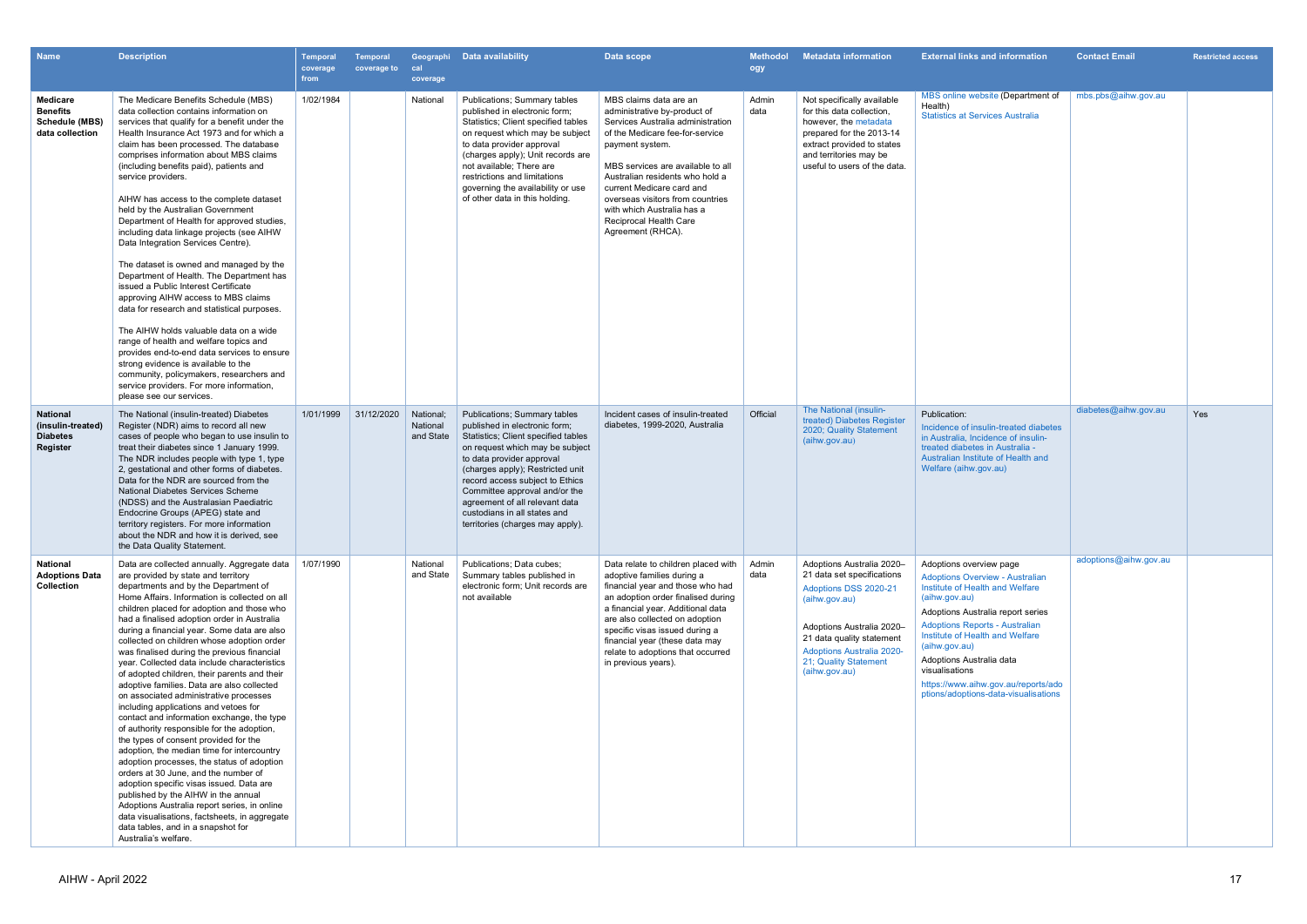| <b>Name</b>                                                             | <b>Description</b>                                                                                                                                                                                                                                                                                                                                                                                                                                                                                                                                                                                                                                                                                                                                                                                                                                                                                                                                                                                                                                                                                                                                                               | <b>Temporal</b><br>coverage<br>from | Temporal<br>coverage to | cal<br>coverage                    | Geographi Data availability                                                                                                                                                                                                                                                                                                                                                        | Data scope                                                                                                                                                                                                                                                                                                                                                              | <b>Methodol</b><br>ogy | <b>Metadata information</b>                                                                                                                                                                                                               | <b>External links and information</b>                                                                                                                                                                                                                                                                                                                                                | <b>Contact Email</b>  | <b>Restricted access</b> |
|-------------------------------------------------------------------------|----------------------------------------------------------------------------------------------------------------------------------------------------------------------------------------------------------------------------------------------------------------------------------------------------------------------------------------------------------------------------------------------------------------------------------------------------------------------------------------------------------------------------------------------------------------------------------------------------------------------------------------------------------------------------------------------------------------------------------------------------------------------------------------------------------------------------------------------------------------------------------------------------------------------------------------------------------------------------------------------------------------------------------------------------------------------------------------------------------------------------------------------------------------------------------|-------------------------------------|-------------------------|------------------------------------|------------------------------------------------------------------------------------------------------------------------------------------------------------------------------------------------------------------------------------------------------------------------------------------------------------------------------------------------------------------------------------|-------------------------------------------------------------------------------------------------------------------------------------------------------------------------------------------------------------------------------------------------------------------------------------------------------------------------------------------------------------------------|------------------------|-------------------------------------------------------------------------------------------------------------------------------------------------------------------------------------------------------------------------------------------|--------------------------------------------------------------------------------------------------------------------------------------------------------------------------------------------------------------------------------------------------------------------------------------------------------------------------------------------------------------------------------------|-----------------------|--------------------------|
| <b>Medicare</b><br><b>Benefits</b><br>Schedule (MBS)<br>data collection | The Medicare Benefits Schedule (MBS)<br>data collection contains information on<br>services that qualify for a benefit under the<br>Health Insurance Act 1973 and for which a<br>claim has been processed. The database<br>comprises information about MBS claims<br>(including benefits paid), patients and<br>service providers.<br>AIHW has access to the complete dataset<br>held by the Australian Government<br>Department of Health for approved studies,<br>including data linkage projects (see AIHW<br>Data Integration Services Centre).<br>The dataset is owned and managed by the<br>Department of Health. The Department has<br>issued a Public Interest Certificate<br>approving AIHW access to MBS claims<br>data for research and statistical purposes.<br>The AIHW holds valuable data on a wide<br>range of health and welfare topics and<br>provides end-to-end data services to ensure<br>strong evidence is available to the<br>community, policymakers, researchers and<br>service providers. For more information,<br>please see our services.                                                                                                           | 1/02/1984                           |                         | National                           | Publications; Summary tables<br>published in electronic form;<br>Statistics; Client specified tables<br>on request which may be subject<br>to data provider approval<br>(charges apply); Unit records are<br>not available; There are<br>restrictions and limitations<br>governing the availability or use<br>of other data in this holding.                                       | MBS claims data are an<br>administrative by-product of<br>Services Australia administration<br>of the Medicare fee-for-service<br>payment system.<br>MBS services are available to all<br>Australian residents who hold a<br>current Medicare card and<br>overseas visitors from countries<br>with which Australia has a<br>Reciprocal Health Care<br>Agreement (RHCA). | Admin<br>data          | Not specifically available<br>for this data collection.<br>however, the metadata<br>prepared for the 2013-14<br>extract provided to states<br>and territories may be<br>useful to users of the data.                                      | MBS online website (Department of<br>Health)<br><b>Statistics at Services Australia</b>                                                                                                                                                                                                                                                                                              | mbs.pbs@aihw.gov.au   |                          |
| <b>National</b><br>(insulin-treated)<br><b>Diabetes</b><br>Register     | The National (insulin-treated) Diabetes<br>Register (NDR) aims to record all new<br>cases of people who began to use insulin to<br>treat their diabetes since 1 January 1999.<br>The NDR includes people with type 1, type<br>2, gestational and other forms of diabetes.<br>Data for the NDR are sourced from the<br>National Diabetes Services Scheme<br>(NDSS) and the Australasian Paediatric<br>Endocrine Groups (APEG) state and<br>territory registers. For more information<br>about the NDR and how it is derived, see<br>the Data Quality Statement.                                                                                                                                                                                                                                                                                                                                                                                                                                                                                                                                                                                                                   | 1/01/1999                           | 31/12/2020              | National:<br>National<br>and State | Publications; Summary tables<br>published in electronic form;<br>Statistics; Client specified tables<br>on request which may be subject<br>to data provider approval<br>(charges apply); Restricted unit<br>record access subject to Ethics<br>Committee approval and/or the<br>agreement of all relevant data<br>custodians in all states and<br>territories (charges may apply). | Incident cases of insulin-treated<br>diabetes, 1999-2020, Australia                                                                                                                                                                                                                                                                                                     | Official               | The National (insulin-<br>treated) Diabetes Register<br>2020; Quality Statement<br>(aihw.gov.au)                                                                                                                                          | Publication:<br>Incidence of insulin-treated diabetes<br>in Australia, Incidence of insulin-<br>treated diabetes in Australia -<br>Australian Institute of Health and<br>Welfare (aihw.gov.au)                                                                                                                                                                                       | diabetes@aihw.gov.au  | Yes                      |
| <b>National</b><br><b>Adoptions Data</b><br>Collection                  | Data are collected annually. Aggregate data<br>are provided by state and territory<br>departments and by the Department of<br>Home Affairs. Information is collected on all<br>children placed for adoption and those who<br>had a finalised adoption order in Australia<br>during a financial year. Some data are also<br>collected on children whose adoption order<br>was finalised during the previous financial<br>year. Collected data include characteristics<br>of adopted children, their parents and their<br>adoptive families. Data are also collected<br>on associated administrative processes<br>including applications and vetoes for<br>contact and information exchange, the type<br>of authority responsible for the adoption,<br>the types of consent provided for the<br>adoption, the median time for intercountry<br>adoption processes, the status of adoption<br>orders at 30 June, and the number of<br>adoption specific visas issued. Data are<br>published by the AIHW in the annual<br>Adoptions Australia report series, in online<br>data visualisations, factsheets, in aggregate<br>data tables, and in a snapshot for<br>Australia's welfare. | 1/07/1990                           |                         | National<br>and State              | Publications; Data cubes;<br>Summary tables published in<br>electronic form; Unit records are<br>not available                                                                                                                                                                                                                                                                     | Data relate to children placed with<br>adoptive families during a<br>financial year and those who had<br>an adoption order finalised during<br>a financial year. Additional data<br>are also collected on adoption<br>specific visas issued during a<br>financial year (these data may<br>relate to adoptions that occurred<br>in previous years).                      | Admin<br>data          | Adoptions Australia 2020-<br>21 data set specifications<br>Adoptions DSS 2020-21<br>(aihw.gov.au)<br>Adoptions Australia 2020-<br>21 data quality statement<br><b>Adoptions Australia 2020-</b><br>21; Quality Statement<br>(aihw.gov.au) | Adoptions overview page<br><b>Adoptions Overview - Australian</b><br>Institute of Health and Welfare<br>(aihw.gov.au)<br>Adoptions Australia report series<br><b>Adoptions Reports - Australian</b><br>Institute of Health and Welfare<br>(aihw.gov.au)<br>Adoptions Australia data<br>visualisations<br>https://www.aihw.gov.au/reports/ado<br>ptions/adoptions-data-visualisations | adoptions@aihw.gov.au |                          |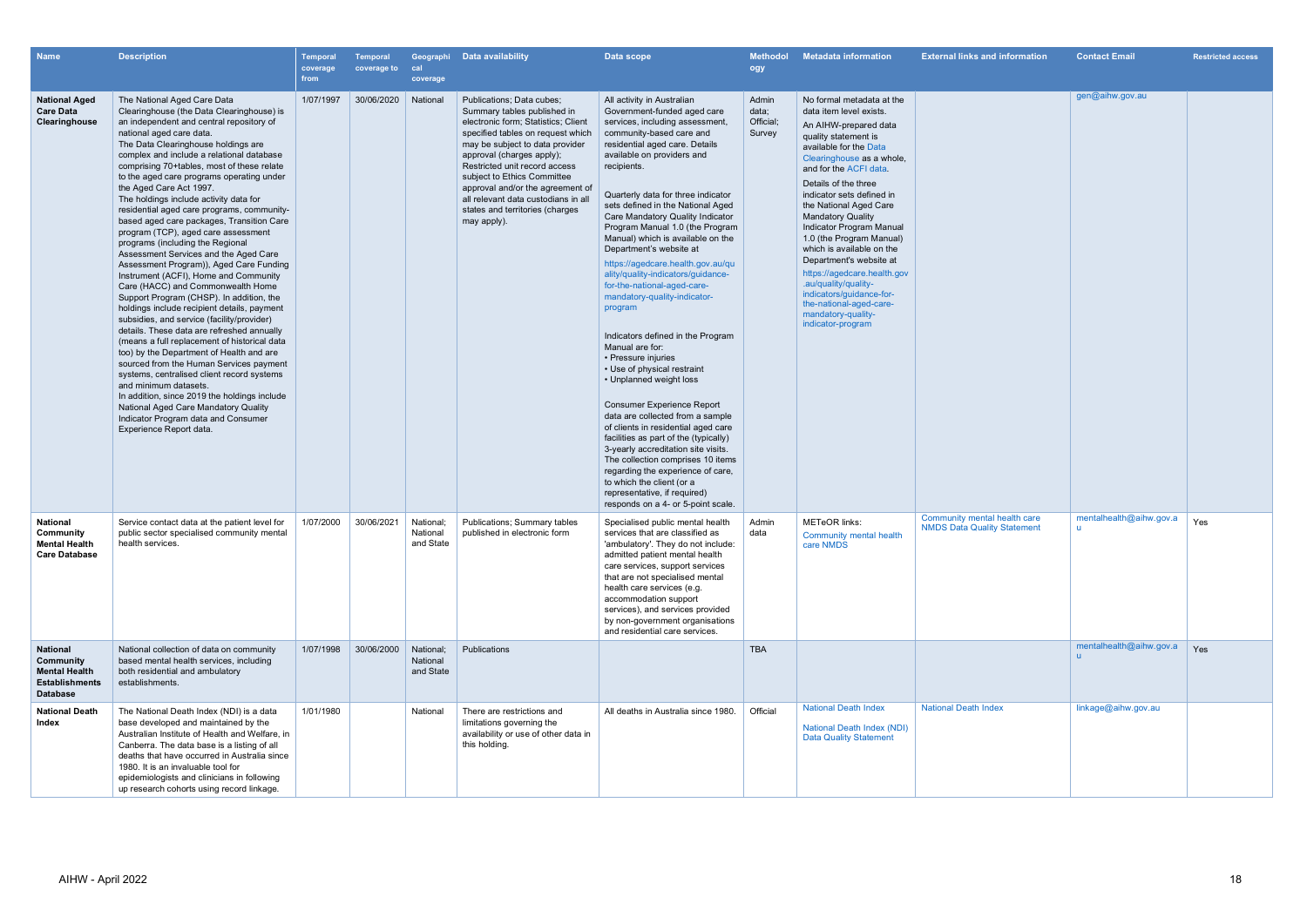| <b>Name</b>                                                                                      | <b>Description</b>                                                                                                                                                                                                                                                                                                                                                                                                                                                                                                                                                                                                                                                                                                                                                                                                                                                                                                                                                                                                                                                                                                                                                                                                                                                                                          | Temporal<br>coverage<br>from | <b>Temporal</b><br>coverage to | cal<br>coverage                    | Geographi Data availability                                                                                                                                                                                                                                                                                                                                                                       | Data scope                                                                                                                                                                                                                                                                                                                                                                                                                                                                                                                                                                                                                                                                                                                                                                                                                                                                                                                                                                                                                                                                                           | <b>Methodol</b><br>ogy                | <b>Metadata information</b>                                                                                                                                                                                                                                                                                                                                                                                                                                                                                                                                                | <b>External links and information</b>                              | <b>Contact Email</b>                    | <b>Restricted access</b> |
|--------------------------------------------------------------------------------------------------|-------------------------------------------------------------------------------------------------------------------------------------------------------------------------------------------------------------------------------------------------------------------------------------------------------------------------------------------------------------------------------------------------------------------------------------------------------------------------------------------------------------------------------------------------------------------------------------------------------------------------------------------------------------------------------------------------------------------------------------------------------------------------------------------------------------------------------------------------------------------------------------------------------------------------------------------------------------------------------------------------------------------------------------------------------------------------------------------------------------------------------------------------------------------------------------------------------------------------------------------------------------------------------------------------------------|------------------------------|--------------------------------|------------------------------------|---------------------------------------------------------------------------------------------------------------------------------------------------------------------------------------------------------------------------------------------------------------------------------------------------------------------------------------------------------------------------------------------------|------------------------------------------------------------------------------------------------------------------------------------------------------------------------------------------------------------------------------------------------------------------------------------------------------------------------------------------------------------------------------------------------------------------------------------------------------------------------------------------------------------------------------------------------------------------------------------------------------------------------------------------------------------------------------------------------------------------------------------------------------------------------------------------------------------------------------------------------------------------------------------------------------------------------------------------------------------------------------------------------------------------------------------------------------------------------------------------------------|---------------------------------------|----------------------------------------------------------------------------------------------------------------------------------------------------------------------------------------------------------------------------------------------------------------------------------------------------------------------------------------------------------------------------------------------------------------------------------------------------------------------------------------------------------------------------------------------------------------------------|--------------------------------------------------------------------|-----------------------------------------|--------------------------|
| <b>National Aged</b><br><b>Care Data</b><br>Clearinghouse                                        | The National Aged Care Data<br>Clearinghouse (the Data Clearinghouse) is<br>an independent and central repository of<br>national aged care data.<br>The Data Clearinghouse holdings are<br>complex and include a relational database<br>comprising 70+tables, most of these relate<br>to the aged care programs operating under<br>the Aged Care Act 1997.<br>The holdings include activity data for<br>residential aged care programs, community-<br>based aged care packages, Transition Care<br>program (TCP), aged care assessment<br>programs (including the Regional<br>Assessment Services and the Aged Care<br>Assessment Program)), Aged Care Funding<br>Instrument (ACFI), Home and Community<br>Care (HACC) and Commonwealth Home<br>Support Program (CHSP). In addition, the<br>holdings include recipient details, payment<br>subsidies, and service (facility/provider)<br>details. These data are refreshed annually<br>(means a full replacement of historical data<br>too) by the Department of Health and are<br>sourced from the Human Services payment<br>systems, centralised client record systems<br>and minimum datasets.<br>In addition, since 2019 the holdings include<br>National Aged Care Mandatory Quality<br>Indicator Program data and Consumer<br>Experience Report data. | 1/07/1997                    | 30/06/2020                     | National                           | Publications; Data cubes;<br>Summary tables published in<br>electronic form; Statistics; Client<br>specified tables on request which<br>may be subject to data provider<br>approval (charges apply);<br>Restricted unit record access<br>subject to Ethics Committee<br>approval and/or the agreement of<br>all relevant data custodians in all<br>states and territories (charges<br>may apply). | All activity in Australian<br>Government-funded aged care<br>services, including assessment,<br>community-based care and<br>residential aged care. Details<br>available on providers and<br>recipients.<br>Quarterly data for three indicator<br>sets defined in the National Aged<br>Care Mandatory Quality Indicator<br>Program Manual 1.0 (the Program<br>Manual) which is available on the<br>Department's website at<br>https://agedcare.health.gov.au/qu<br>ality/quality-indicators/guidance-<br>for-the-national-aged-care-<br>mandatory-quality-indicator-<br>program<br>Indicators defined in the Program<br>Manual are for:<br>• Pressure injuries<br>• Use of physical restraint<br>• Unplanned weight loss<br><b>Consumer Experience Report</b><br>data are collected from a sample<br>of clients in residential aged care<br>facilities as part of the (typically)<br>3-yearly accreditation site visits.<br>The collection comprises 10 items<br>regarding the experience of care,<br>to which the client (or a<br>representative, if required)<br>responds on a 4- or 5-point scale. | Admin<br>data;<br>Official;<br>Survey | No formal metadata at the<br>data item level exists.<br>An AIHW-prepared data<br>quality statement is<br>available for the Data<br>Clearinghouse as a whole,<br>and for the ACFI data.<br>Details of the three<br>indicator sets defined in<br>the National Aged Care<br><b>Mandatory Quality</b><br>Indicator Program Manual<br>1.0 (the Program Manual)<br>which is available on the<br>Department's website at<br>https://agedcare.health.gov<br>.au/quality/quality-<br>indicators/guidance-for-<br>the-national-aged-care-<br>mandatory-quality-<br>indicator-program |                                                                    | gen@aihw.gov.au                         |                          |
| <b>National</b><br>Community<br><b>Mental Health</b><br><b>Care Database</b>                     | Service contact data at the patient level for<br>public sector specialised community mental<br>health services.                                                                                                                                                                                                                                                                                                                                                                                                                                                                                                                                                                                                                                                                                                                                                                                                                                                                                                                                                                                                                                                                                                                                                                                             | 1/07/2000                    | 30/06/2021                     | National:<br>National<br>and State | Publications; Summary tables<br>published in electronic form                                                                                                                                                                                                                                                                                                                                      | Specialised public mental health<br>services that are classified as<br>'ambulatory'. They do not include:<br>admitted patient mental health<br>care services, support services<br>that are not specialised mental<br>health care services (e.g.<br>accommodation support<br>services), and services provided<br>by non-government organisations<br>and residential care services.                                                                                                                                                                                                                                                                                                                                                                                                                                                                                                                                                                                                                                                                                                                    | Admin<br>data                         | <b>METeOR</b> links:<br>Community mental health<br>care NMDS                                                                                                                                                                                                                                                                                                                                                                                                                                                                                                               | Community mental health care<br><b>NMDS Data Quality Statement</b> | mentalhealth@aihw.gov.a<br>$\mathbf{u}$ | Yes                      |
| <b>National</b><br>Community<br><b>Mental Health</b><br><b>Establishments</b><br><b>Database</b> | National collection of data on community<br>based mental health services, including<br>both residential and ambulatory<br>establishments.                                                                                                                                                                                                                                                                                                                                                                                                                                                                                                                                                                                                                                                                                                                                                                                                                                                                                                                                                                                                                                                                                                                                                                   | 1/07/1998                    | 30/06/2000                     | National:<br>National<br>and State | Publications                                                                                                                                                                                                                                                                                                                                                                                      |                                                                                                                                                                                                                                                                                                                                                                                                                                                                                                                                                                                                                                                                                                                                                                                                                                                                                                                                                                                                                                                                                                      | <b>TBA</b>                            |                                                                                                                                                                                                                                                                                                                                                                                                                                                                                                                                                                            |                                                                    | mentalhealth@aihw.gov.a                 | Yes                      |
| <b>National Death</b><br>Index                                                                   | The National Death Index (NDI) is a data<br>base developed and maintained by the<br>Australian Institute of Health and Welfare, in<br>Canberra. The data base is a listing of all<br>deaths that have occurred in Australia since<br>1980. It is an invaluable tool for<br>epidemiologists and clinicians in following<br>up research cohorts using record linkage.                                                                                                                                                                                                                                                                                                                                                                                                                                                                                                                                                                                                                                                                                                                                                                                                                                                                                                                                         | 1/01/1980                    |                                | National                           | There are restrictions and<br>limitations governing the<br>availability or use of other data in<br>this holding.                                                                                                                                                                                                                                                                                  | All deaths in Australia since 1980.                                                                                                                                                                                                                                                                                                                                                                                                                                                                                                                                                                                                                                                                                                                                                                                                                                                                                                                                                                                                                                                                  | Official                              | <b>National Death Index</b><br><b>National Death Index (NDI)</b><br><b>Data Quality Statement</b>                                                                                                                                                                                                                                                                                                                                                                                                                                                                          | <b>National Death Index</b>                                        | linkage@aihw.gov.au                     |                          |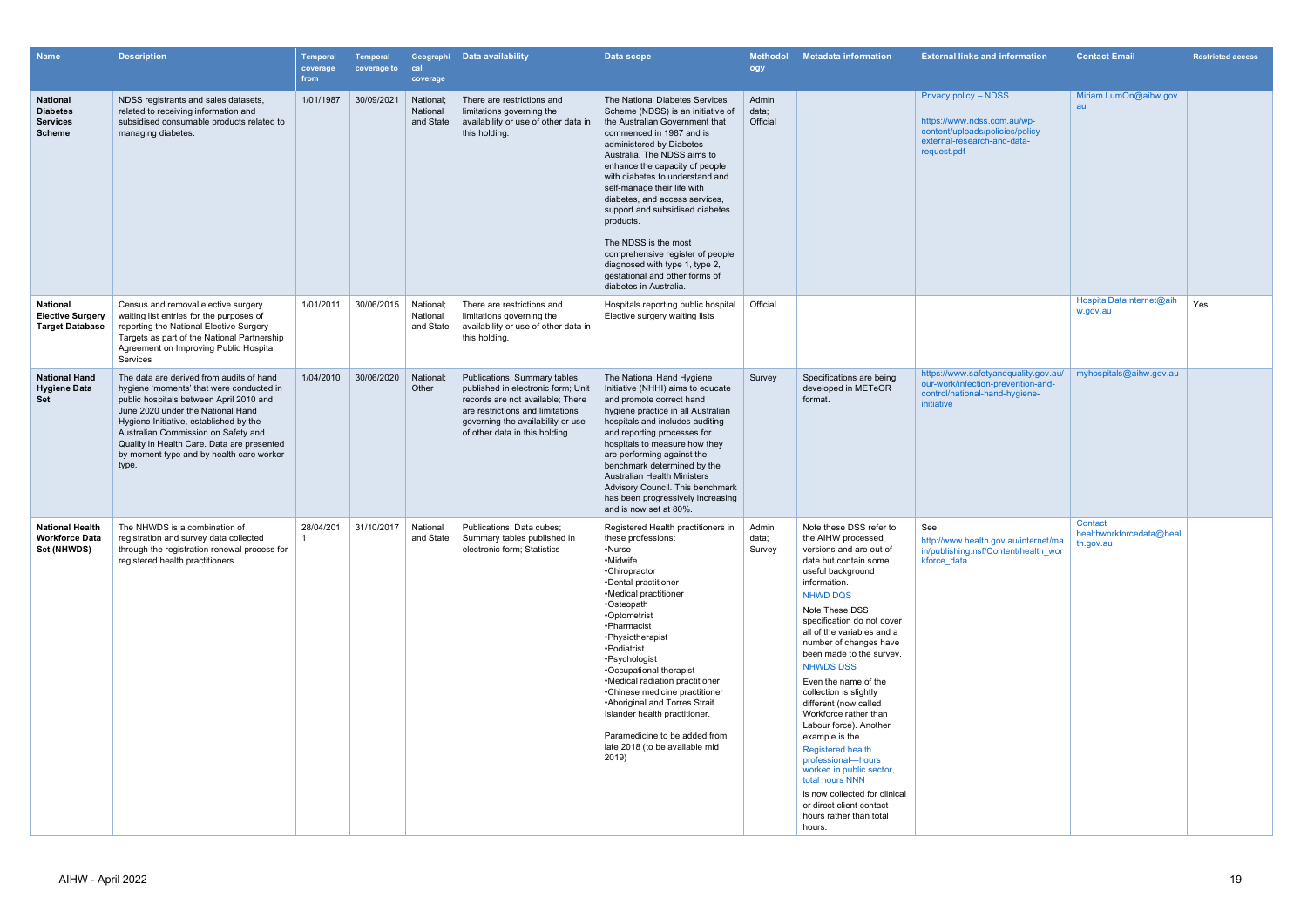| <b>Name</b>                                                            | <b>Description</b>                                                                                                                                                                                                                                                                                                                                       | <b>Temporal</b><br>coverage<br>from | Temporal<br>coverage to | cal<br>coverage                    | Geographi Data availability                                                                                                                                                                                       | Data scope                                                                                                                                                                                                                                                                                                                                                                                                                                                                                                                                   | <b>Methodol</b><br>ogy     | <b>Metadata information</b>                                                                                                                                                                                                                                                                                                                                                                                                                                                                                                                                                                                                                                          | <b>External links and information</b>                                                                                                  | <b>Contact Email</b>                 | <b>Restricted access</b> |
|------------------------------------------------------------------------|----------------------------------------------------------------------------------------------------------------------------------------------------------------------------------------------------------------------------------------------------------------------------------------------------------------------------------------------------------|-------------------------------------|-------------------------|------------------------------------|-------------------------------------------------------------------------------------------------------------------------------------------------------------------------------------------------------------------|----------------------------------------------------------------------------------------------------------------------------------------------------------------------------------------------------------------------------------------------------------------------------------------------------------------------------------------------------------------------------------------------------------------------------------------------------------------------------------------------------------------------------------------------|----------------------------|----------------------------------------------------------------------------------------------------------------------------------------------------------------------------------------------------------------------------------------------------------------------------------------------------------------------------------------------------------------------------------------------------------------------------------------------------------------------------------------------------------------------------------------------------------------------------------------------------------------------------------------------------------------------|----------------------------------------------------------------------------------------------------------------------------------------|--------------------------------------|--------------------------|
| <b>National</b><br><b>Diabetes</b><br><b>Services</b><br><b>Scheme</b> | NDSS registrants and sales datasets,<br>related to receiving information and<br>subsidised consumable products related to<br>managing diabetes.                                                                                                                                                                                                          | 1/01/1987                           | 30/09/2021              | National;<br>National<br>and State | There are restrictions and<br>limitations governing the<br>availability or use of other data in<br>this holding.                                                                                                  | The National Diabetes Services<br>Scheme (NDSS) is an initiative of<br>the Australian Government that<br>commenced in 1987 and is<br>administered by Diabetes<br>Australia. The NDSS aims to<br>enhance the capacity of people<br>with diabetes to understand and<br>self-manage their life with<br>diabetes, and access services,<br>support and subsidised diabetes<br>products.<br>The NDSS is the most<br>comprehensive register of people<br>diagnosed with type 1, type 2,<br>gestational and other forms of<br>diabetes in Australia. | Admin<br>data;<br>Official |                                                                                                                                                                                                                                                                                                                                                                                                                                                                                                                                                                                                                                                                      | Privacy policy - NDSS<br>https://www.ndss.com.au/wp-<br>content/uploads/policies/policy-<br>external-research-and-data-<br>request.pdf | Miriam.LumOn@aihw.gov.<br>au         |                          |
| <b>National</b><br><b>Elective Surgery</b><br><b>Target Database</b>   | Census and removal elective surgery<br>waiting list entries for the purposes of<br>reporting the National Elective Surgery<br>Targets as part of the National Partnership<br>Agreement on Improving Public Hospital<br>Services                                                                                                                          | 1/01/2011                           | 30/06/2015              | National;<br>National<br>and State | There are restrictions and<br>limitations governing the<br>availability or use of other data in<br>this holding.                                                                                                  | Hospitals reporting public hospital<br>Elective surgery waiting lists                                                                                                                                                                                                                                                                                                                                                                                                                                                                        | Official                   |                                                                                                                                                                                                                                                                                                                                                                                                                                                                                                                                                                                                                                                                      |                                                                                                                                        | HospitalDataInternet@aih<br>w.gov.au | Yes                      |
| <b>National Hand</b><br><b>Hygiene Data</b><br><b>Set</b>              | The data are derived from audits of hand<br>hygiene 'moments' that were conducted in<br>public hospitals between April 2010 and<br>June 2020 under the National Hand<br>Hygiene Initiative, established by the<br>Australian Commission on Safety and<br>Quality in Health Care. Data are presented<br>by moment type and by health care worker<br>type. | 1/04/2010                           | 30/06/2020              | National;<br>Other                 | Publications; Summary tables<br>published in electronic form; Unit<br>records are not available; There<br>are restrictions and limitations<br>governing the availability or use<br>of other data in this holding. | The National Hand Hygiene<br>Initiative (NHHI) aims to educate<br>and promote correct hand<br>hygiene practice in all Australian<br>hospitals and includes auditing<br>and reporting processes for<br>hospitals to measure how they<br>are performing against the<br>benchmark determined by the<br><b>Australian Health Ministers</b><br>Advisory Council. This benchmark<br>has been progressively increasing<br>and is now set at 80%.                                                                                                    | Survey                     | Specifications are being<br>developed in METeOR<br>format.                                                                                                                                                                                                                                                                                                                                                                                                                                                                                                                                                                                                           | https://www.safetyandquality.gov.au/<br>our-work/infection-prevention-and-<br>control/national-hand-hygiene-<br>initiative             | myhospitals@aihw.gov.au              |                          |
| <b>National Health</b><br><b>Workforce Data</b><br>Set (NHWDS)         | The NHWDS is a combination of<br>registration and survey data collected<br>through the registration renewal process for<br>registered health practitioners.                                                                                                                                                                                              | 28/04/201                           | 31/10/2017              | National                           | Publications; Data cubes;<br>and State   Summary tables published in<br>electronic form; Statistics                                                                                                               | Registered Health practitioners in<br>these professions:<br>•Nurse<br>•Midwife<br>•Chiropractor<br>•Dental practitioner<br>•Medical practitioner<br>•Osteopath<br>•Optometrist<br>•Pharmacist<br>•Physiotherapist<br>•Podiatrist<br>•Psychologist<br>•Occupational therapist<br>•Medical radiation practitioner<br>•Chinese medicine practitioner<br>•Aboriginal and Torres Strait<br>Islander health practitioner.<br>Paramedicine to be added from<br>late 2018 (to be available mid<br>2019)                                              | Admin<br>data;<br>Survey   | Note these DSS refer to<br>the AIHW processed<br>versions and are out of<br>date but contain some<br>useful background<br>information.<br><b>NHWD DQS</b><br>Note These DSS<br>specification do not cover<br>all of the variables and a<br>number of changes have<br>been made to the survey.<br><b>NHWDS DSS</b><br>Even the name of the<br>collection is slightly<br>different (now called<br>Workforce rather than<br>Labour force). Another<br>example is the<br><b>Registered health</b><br>professional-hours<br>worked in public sector,<br>total hours NNN<br>is now collected for clinical<br>or direct client contact<br>hours rather than total<br>hours. | See<br>http://www.health.gov.au/internet/ma   th.gov.au<br>in/publishing.nsf/Content/health wor<br>kforce data                         | Contact<br>healthworkforcedata@heal  |                          |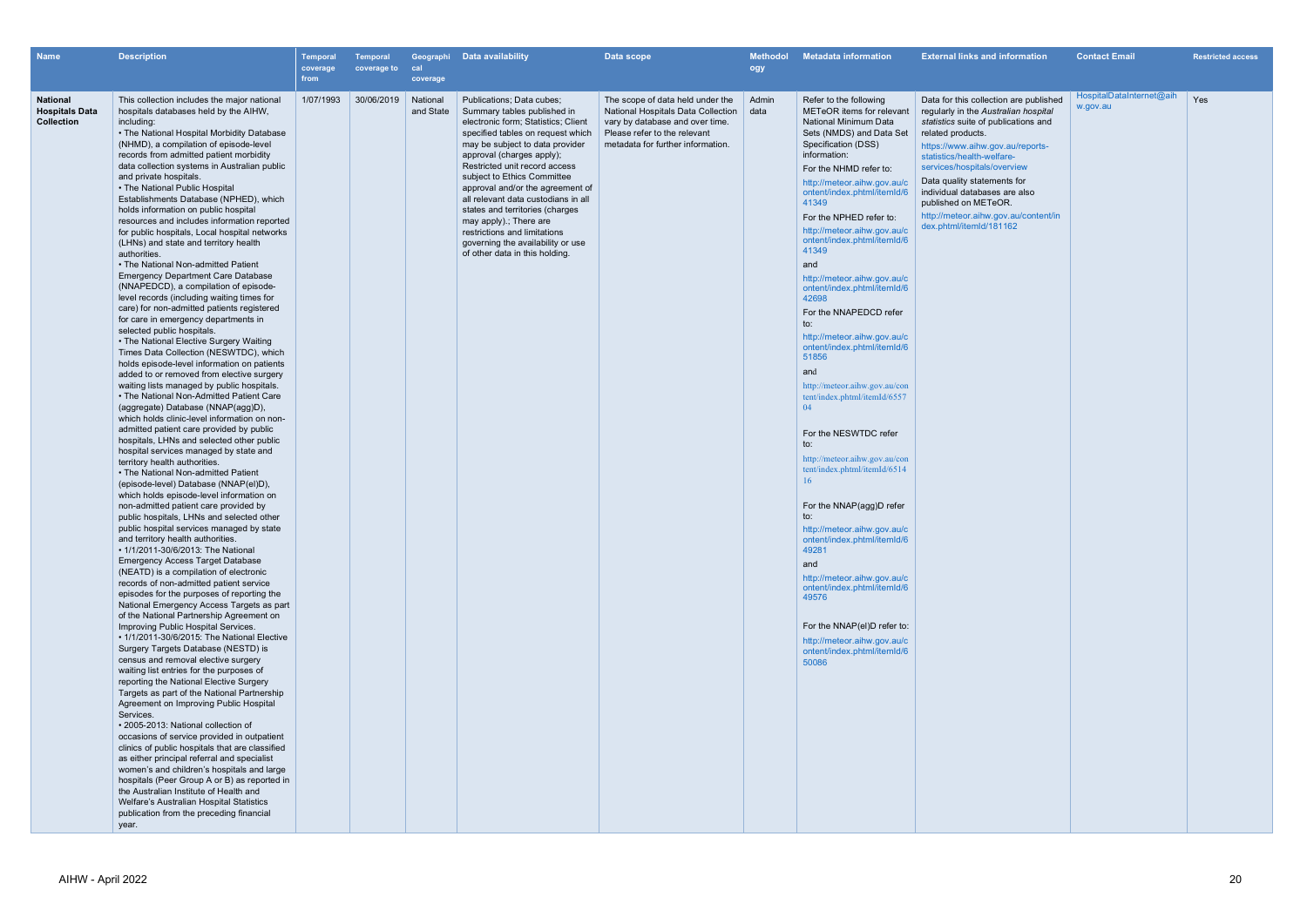| Name                                                          | <b>Description</b>                                                                                                                                                                                                                                                                                                                                                                                                                                                                                                                                                                                                                                                                                                                                                                                                                                                                                                                                                                                                                                                                                                                                                                                                                                                                                                                                                                                                                                                                                                                                                                                                                                                                                                                                                                                                                                                                                                                                                                                                                                                                                                                                                                                                                                                                                                                                                                                                                                                                                                                                                                                                                                                                                                                                                                                                                                  | <b>Temporal</b><br>coverage<br>from | <b>Temporal</b><br>coverage to | cal<br>coverage       | Geographi Data availability                                                                                                                                                                                                                                                                                                                                                                                                                                                                                         | Data scope                                                                                                                                                                     | <b>Methodol</b><br>ogy | <b>Metadata information</b>                                                                                                                                                                                                                                                                                                                                                                                                                                                                                                                                                                                                                                                                                                                                                                                                                                                                                                                                                                                                 | <b>External links and information</b>                                                                                                                                                                                                                                                                                                                                                                   | <b>Contact Email</b>                 | <b>Restricted access</b> |
|---------------------------------------------------------------|-----------------------------------------------------------------------------------------------------------------------------------------------------------------------------------------------------------------------------------------------------------------------------------------------------------------------------------------------------------------------------------------------------------------------------------------------------------------------------------------------------------------------------------------------------------------------------------------------------------------------------------------------------------------------------------------------------------------------------------------------------------------------------------------------------------------------------------------------------------------------------------------------------------------------------------------------------------------------------------------------------------------------------------------------------------------------------------------------------------------------------------------------------------------------------------------------------------------------------------------------------------------------------------------------------------------------------------------------------------------------------------------------------------------------------------------------------------------------------------------------------------------------------------------------------------------------------------------------------------------------------------------------------------------------------------------------------------------------------------------------------------------------------------------------------------------------------------------------------------------------------------------------------------------------------------------------------------------------------------------------------------------------------------------------------------------------------------------------------------------------------------------------------------------------------------------------------------------------------------------------------------------------------------------------------------------------------------------------------------------------------------------------------------------------------------------------------------------------------------------------------------------------------------------------------------------------------------------------------------------------------------------------------------------------------------------------------------------------------------------------------------------------------------------------------------------------------------------------------|-------------------------------------|--------------------------------|-----------------------|---------------------------------------------------------------------------------------------------------------------------------------------------------------------------------------------------------------------------------------------------------------------------------------------------------------------------------------------------------------------------------------------------------------------------------------------------------------------------------------------------------------------|--------------------------------------------------------------------------------------------------------------------------------------------------------------------------------|------------------------|-----------------------------------------------------------------------------------------------------------------------------------------------------------------------------------------------------------------------------------------------------------------------------------------------------------------------------------------------------------------------------------------------------------------------------------------------------------------------------------------------------------------------------------------------------------------------------------------------------------------------------------------------------------------------------------------------------------------------------------------------------------------------------------------------------------------------------------------------------------------------------------------------------------------------------------------------------------------------------------------------------------------------------|---------------------------------------------------------------------------------------------------------------------------------------------------------------------------------------------------------------------------------------------------------------------------------------------------------------------------------------------------------------------------------------------------------|--------------------------------------|--------------------------|
| <b>National</b><br><b>Hospitals Data</b><br><b>Collection</b> | This collection includes the major national<br>hospitals databases held by the AIHW,<br>including:<br>• The National Hospital Morbidity Database<br>(NHMD), a compilation of episode-level<br>records from admitted patient morbidity<br>data collection systems in Australian public<br>and private hospitals.<br>• The National Public Hospital<br>Establishments Database (NPHED), which<br>holds information on public hospital<br>resources and includes information reported<br>for public hospitals, Local hospital networks<br>(LHNs) and state and territory health<br>authorities.<br>. The National Non-admitted Patient<br><b>Emergency Department Care Database</b><br>(NNAPEDCD), a compilation of episode-<br>level records (including waiting times for<br>care) for non-admitted patients registered<br>for care in emergency departments in<br>selected public hospitals.<br>• The National Elective Surgery Waiting<br>Times Data Collection (NESWTDC), which<br>holds episode-level information on patients<br>added to or removed from elective surgery<br>waiting lists managed by public hospitals.<br>• The National Non-Admitted Patient Care<br>(aggregate) Database (NNAP(agg)D),<br>which holds clinic-level information on non-<br>admitted patient care provided by public<br>hospitals, LHNs and selected other public<br>hospital services managed by state and<br>territory health authorities.<br>• The National Non-admitted Patient<br>(episode-level) Database (NNAP(el)D),<br>which holds episode-level information on<br>non-admitted patient care provided by<br>public hospitals, LHNs and selected other<br>public hospital services managed by state<br>and territory health authorities.<br>• 1/1/2011-30/6/2013: The National<br><b>Emergency Access Target Database</b><br>(NEATD) is a compilation of electronic<br>records of non-admitted patient service<br>episodes for the purposes of reporting the<br>National Emergency Access Targets as part<br>of the National Partnership Agreement on<br>Improving Public Hospital Services.<br>• 1/1/2011-30/6/2015: The National Elective<br>Surgery Targets Database (NESTD) is<br>census and removal elective surgery<br>waiting list entries for the purposes of<br>reporting the National Elective Surgery<br>Targets as part of the National Partnership<br>Agreement on Improving Public Hospital<br>Services.<br>• 2005-2013: National collection of<br>occasions of service provided in outpatient<br>clinics of public hospitals that are classified<br>as either principal referral and specialist<br>women's and children's hospitals and large<br>hospitals (Peer Group A or B) as reported in<br>the Australian Institute of Health and<br>Welfare's Australian Hospital Statistics<br>publication from the preceding financial<br>year. | 1/07/1993                           | 30/06/2019                     | National<br>and State | Publications: Data cubes:<br>Summary tables published in<br>electronic form; Statistics; Client<br>specified tables on request which<br>may be subject to data provider<br>approval (charges apply);<br>Restricted unit record access<br>subject to Ethics Committee<br>approval and/or the agreement of<br>all relevant data custodians in all<br>states and territories (charges<br>may apply) ; There are<br>restrictions and limitations<br>governing the availability or use<br>of other data in this holding. | The scope of data held under the<br>National Hospitals Data Collection<br>vary by database and over time.<br>Please refer to the relevant<br>metadata for further information. | Admin<br>data          | Refer to the following<br>METeOR items for relevant<br>National Minimum Data<br>Sets (NMDS) and Data Set<br>Specification (DSS)<br>information:<br>For the NHMD refer to:<br>http://meteor.aihw.gov.au/c<br>ontent/index.phtml/itemId/6<br>41349<br>For the NPHED refer to:<br>http://meteor.aihw.gov.au/c<br>ontent/index.phtml/itemId/6<br>41349<br>and<br>http://meteor.aihw.gov.au/c<br>ontent/index.phtml/itemId/6<br>42698<br>For the NNAPEDCD refer<br>to:<br>http://meteor.aihw.gov.au/c<br>ontent/index.phtml/itemId/6<br>51856<br>and<br>http://meteor.aihw.gov.au/con<br>tent/index.phtml/itemId/6557<br>04<br>For the NESWTDC refer<br>to:<br>http://meteor.aihw.gov.au/con<br>tent/index.phtml/itemId/6514<br>16<br>For the NNAP(agg)D refer<br>to:<br>http://meteor.aihw.gov.au/c<br>ontent/index.phtml/itemId/6<br>49281<br>and<br>http://meteor.aihw.gov.au/c<br>ontent/index.phtml/itemId/6<br>49576<br>For the NNAP(el)D refer to:<br>http://meteor.aihw.gov.au/c<br>ontent/index.phtml/itemId/6<br>50086 | Data for this collection are published<br>regularly in the Australian hospital<br>statistics suite of publications and<br>related products.<br>https://www.aihw.gov.au/reports-<br>statistics/health-welfare-<br>services/hospitals/overview<br>Data quality statements for<br>individual databases are also<br>published on METeOR.<br>http://meteor.aihw.gov.au/content/in<br>dex.phtml/itemId/181162 | HospitalDataInternet@aih<br>w.gov.au | Yes                      |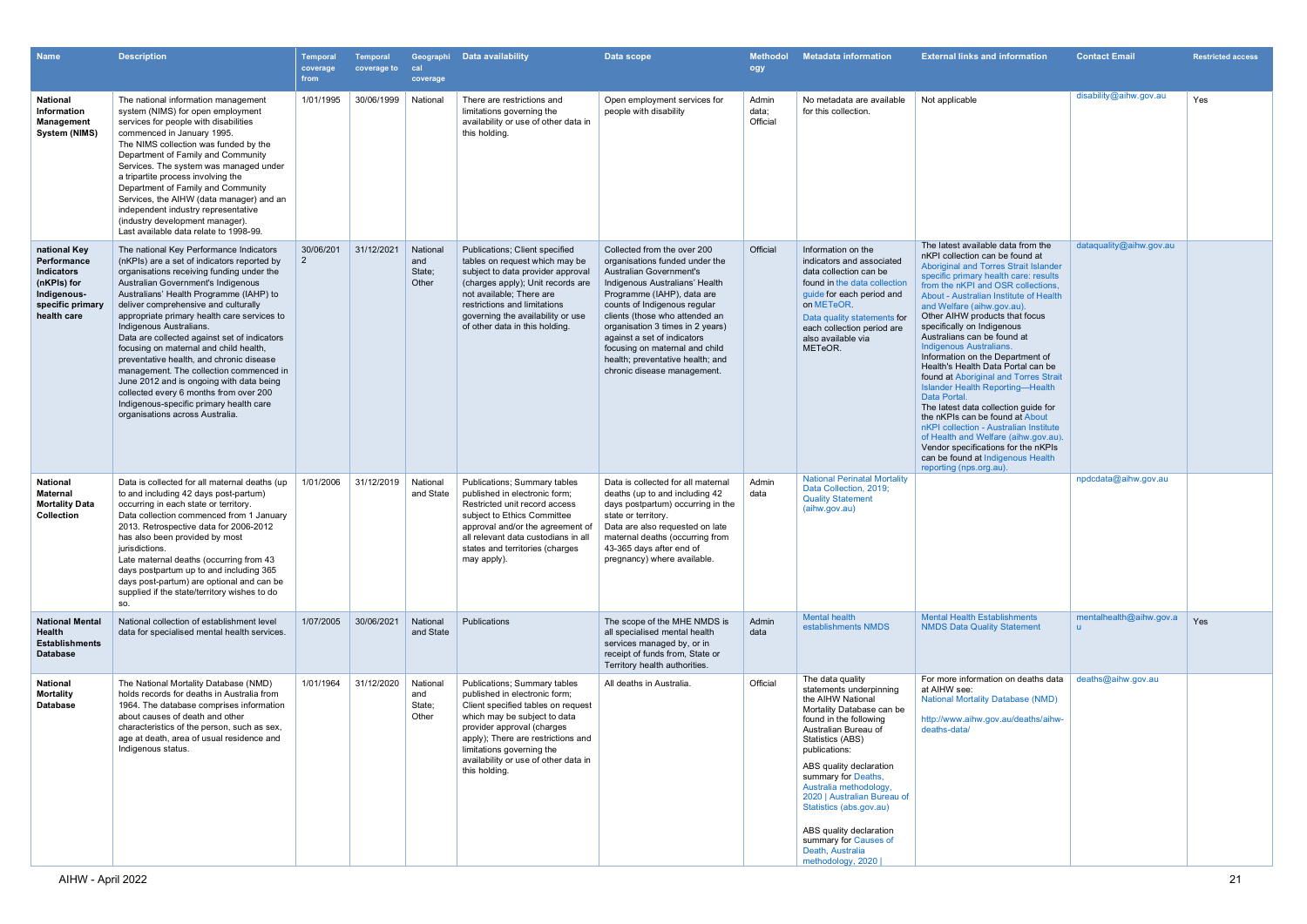| <b>Name</b>                                                                                                       | <b>Description</b>                                                                                                                                                                                                                                                                                                                                                                                                                                                                                                                                                                                                                                                                          | Temporal<br>coverage<br>from | <b>Temporal</b><br>coverage to | cal<br>coverage                    | Geographi Data availability                                                                                                                                                                                                                                                                   | Data scope                                                                                                                                                                                                                                                                                                                                                                                         | <b>Methodol</b><br>ogy     | <b>Metadata information</b>                                                                                                                                                                                                                                                                                                                                                                                             | <b>External links and information</b>                                                                                                                                                                                                                                                                                                                                                                                                                                                                                                                                                                                                                                                                                                                                                                                                                    | <b>Contact Email</b>                    | <b>Restricted access</b> |
|-------------------------------------------------------------------------------------------------------------------|---------------------------------------------------------------------------------------------------------------------------------------------------------------------------------------------------------------------------------------------------------------------------------------------------------------------------------------------------------------------------------------------------------------------------------------------------------------------------------------------------------------------------------------------------------------------------------------------------------------------------------------------------------------------------------------------|------------------------------|--------------------------------|------------------------------------|-----------------------------------------------------------------------------------------------------------------------------------------------------------------------------------------------------------------------------------------------------------------------------------------------|----------------------------------------------------------------------------------------------------------------------------------------------------------------------------------------------------------------------------------------------------------------------------------------------------------------------------------------------------------------------------------------------------|----------------------------|-------------------------------------------------------------------------------------------------------------------------------------------------------------------------------------------------------------------------------------------------------------------------------------------------------------------------------------------------------------------------------------------------------------------------|----------------------------------------------------------------------------------------------------------------------------------------------------------------------------------------------------------------------------------------------------------------------------------------------------------------------------------------------------------------------------------------------------------------------------------------------------------------------------------------------------------------------------------------------------------------------------------------------------------------------------------------------------------------------------------------------------------------------------------------------------------------------------------------------------------------------------------------------------------|-----------------------------------------|--------------------------|
| National<br>Information<br>Management<br>System (NIMS)                                                            | The national information management<br>system (NIMS) for open employment<br>services for people with disabilities<br>commenced in January 1995.<br>The NIMS collection was funded by the<br>Department of Family and Community<br>Services. The system was managed under<br>a tripartite process involving the<br>Department of Family and Community<br>Services, the AIHW (data manager) and an<br>independent industry representative<br>(industry development manager).<br>Last available data relate to 1998-99.                                                                                                                                                                        | 1/01/1995                    | 30/06/1999                     | National                           | There are restrictions and<br>limitations governing the<br>availability or use of other data in<br>this holding.                                                                                                                                                                              | Open employment services for<br>people with disability                                                                                                                                                                                                                                                                                                                                             | Admin<br>data;<br>Official | No metadata are available<br>for this collection.                                                                                                                                                                                                                                                                                                                                                                       | Not applicable                                                                                                                                                                                                                                                                                                                                                                                                                                                                                                                                                                                                                                                                                                                                                                                                                                           | disability@aihw.gov.au                  | Yes                      |
| national Key<br>Performance<br><b>Indicators</b><br>(nKPIs) for<br>Indigenous-<br>specific primary<br>health care | The national Key Performance Indicators<br>(nKPIs) are a set of indicators reported by<br>organisations receiving funding under the<br>Australian Government's Indigenous<br>Australians' Health Programme (IAHP) to<br>deliver comprehensive and culturally<br>appropriate primary health care services to<br>Indigenous Australians.<br>Data are collected against set of indicators<br>focusing on maternal and child health,<br>preventative health, and chronic disease<br>management. The collection commenced in<br>June 2012 and is ongoing with data being<br>collected every 6 months from over 200<br>Indigenous-specific primary health care<br>organisations across Australia. | 30/06/201<br>$\overline{2}$  | 31/12/2021                     | National<br>and<br>State;<br>Other | <b>Publications: Client specified</b><br>tables on request which may be<br>subject to data provider approval<br>(charges apply); Unit records are<br>not available: There are<br>restrictions and limitations<br>governing the availability or use<br>of other data in this holding.          | Collected from the over 200<br>organisations funded under the<br>Australian Government's<br>Indigenous Australians' Health<br>Programme (IAHP), data are<br>counts of Indigenous regular<br>clients (those who attended an<br>organisation 3 times in 2 years)<br>against a set of indicators<br>focusing on maternal and child<br>health; preventative health; and<br>chronic disease management. | Official                   | Information on the<br>indicators and associated<br>data collection can be<br>found in the data collection<br>guide for each period and<br>on METeOR.<br>Data quality statements for<br>each collection period are<br>also available via<br>METeOR.                                                                                                                                                                      | The latest available data from the<br>nKPI collection can be found at<br>Aboriginal and Torres Strait Islander<br>specific primary health care: results<br>from the nKPI and OSR collections.<br>About - Australian Institute of Health<br>and Welfare (aihw.gov.au).<br>Other AIHW products that focus<br>specifically on Indigenous<br>Australians can be found at<br><b>Indigenous Australians.</b><br>Information on the Department of<br>Health's Health Data Portal can be<br>found at Aboriginal and Torres Strait<br><b>Islander Health Reporting-Health</b><br>Data Portal.<br>The latest data collection guide for<br>the nKPIs can be found at About<br>nKPI collection - Australian Institute<br>of Health and Welfare (aihw.gov.au).<br>Vendor specifications for the nKPIs<br>can be found at Indigenous Health<br>reporting (nps.org.au). | dataquality@aihw.gov.au                 |                          |
| <b>National</b><br>Maternal<br><b>Mortality Data</b><br><b>Collection</b>                                         | Data is collected for all maternal deaths (up<br>to and including 42 days post-partum)<br>occurring in each state or territory.<br>Data collection commenced from 1 January<br>2013. Retrospective data for 2006-2012<br>has also been provided by most<br>jurisdictions.<br>Late maternal deaths (occurring from 43<br>days postpartum up to and including 365<br>days post-partum) are optional and can be<br>supplied if the state/territory wishes to do<br>SO.                                                                                                                                                                                                                         | 1/01/2006                    | 31/12/2019                     | National<br>and State              | Publications; Summary tables<br>published in electronic form;<br>Restricted unit record access<br>subject to Ethics Committee<br>approval and/or the agreement of<br>all relevant data custodians in all<br>states and territories (charges<br>may apply).                                    | Data is collected for all maternal<br>deaths (up to and including 42<br>days postpartum) occurring in the<br>state or territory.<br>Data are also requested on late<br>maternal deaths (occurring from<br>43-365 days after end of<br>pregnancy) where available.                                                                                                                                  | Admin<br>data              | <b>National Perinatal Mortality</b><br>Data Collection, 2019;<br><b>Quality Statement</b><br>(aihw.gov.au)                                                                                                                                                                                                                                                                                                              |                                                                                                                                                                                                                                                                                                                                                                                                                                                                                                                                                                                                                                                                                                                                                                                                                                                          | npdcdata@aihw.gov.au                    |                          |
| <b>National Mental</b><br>Health<br><b>Establishments</b><br><b>Database</b>                                      | National collection of establishment level<br>data for specialised mental health services.                                                                                                                                                                                                                                                                                                                                                                                                                                                                                                                                                                                                  | 1/07/2005                    | 30/06/2021                     | National<br>and State              | Publications                                                                                                                                                                                                                                                                                  | The scope of the MHE NMDS is<br>all specialised mental health<br>services managed by, or in<br>receipt of funds from, State or<br>Territory health authorities.                                                                                                                                                                                                                                    | Admin<br>data              | <b>Mental health</b><br>establishments NMDS                                                                                                                                                                                                                                                                                                                                                                             | <b>Mental Health Establishments</b><br><b>NMDS Data Quality Statement</b>                                                                                                                                                                                                                                                                                                                                                                                                                                                                                                                                                                                                                                                                                                                                                                                | mentalhealth@aihw.gov.a<br>$\mathbf{u}$ | Yes                      |
| <b>National</b><br><b>Mortality</b><br><b>Database</b>                                                            | The National Mortality Database (NMD)<br>holds records for deaths in Australia from<br>1964. The database comprises information<br>about causes of death and other<br>characteristics of the person, such as sex,<br>age at death, area of usual residence and<br>Indigenous status.                                                                                                                                                                                                                                                                                                                                                                                                        | 1/01/1964                    | 31/12/2020                     | National<br>and<br>State;<br>Other | Publications; Summary tables<br>published in electronic form;<br>Client specified tables on request<br>which may be subject to data<br>provider approval (charges<br>apply); There are restrictions and<br>limitations governing the<br>availability or use of other data in<br>this holding. | All deaths in Australia.                                                                                                                                                                                                                                                                                                                                                                           | Official                   | The data quality<br>statements underpinning<br>the AIHW National<br>Mortality Database can be<br>found in the following<br>Australian Bureau of<br>Statistics (ABS)<br>publications:<br>ABS quality declaration<br>summary for Deaths,<br>Australia methodology,<br>2020   Australian Bureau of<br>Statistics (abs.gov.au)<br>ABS quality declaration<br>summary for Causes of<br>Death, Australia<br>methodology, 2020 | For more information on deaths data<br>at AIHW see:<br><b>National Mortality Database (NMD)</b><br>http://www.aihw.gov.au/deaths/aihw-<br>deaths-data/                                                                                                                                                                                                                                                                                                                                                                                                                                                                                                                                                                                                                                                                                                   | deaths@aihw.gov.au                      |                          |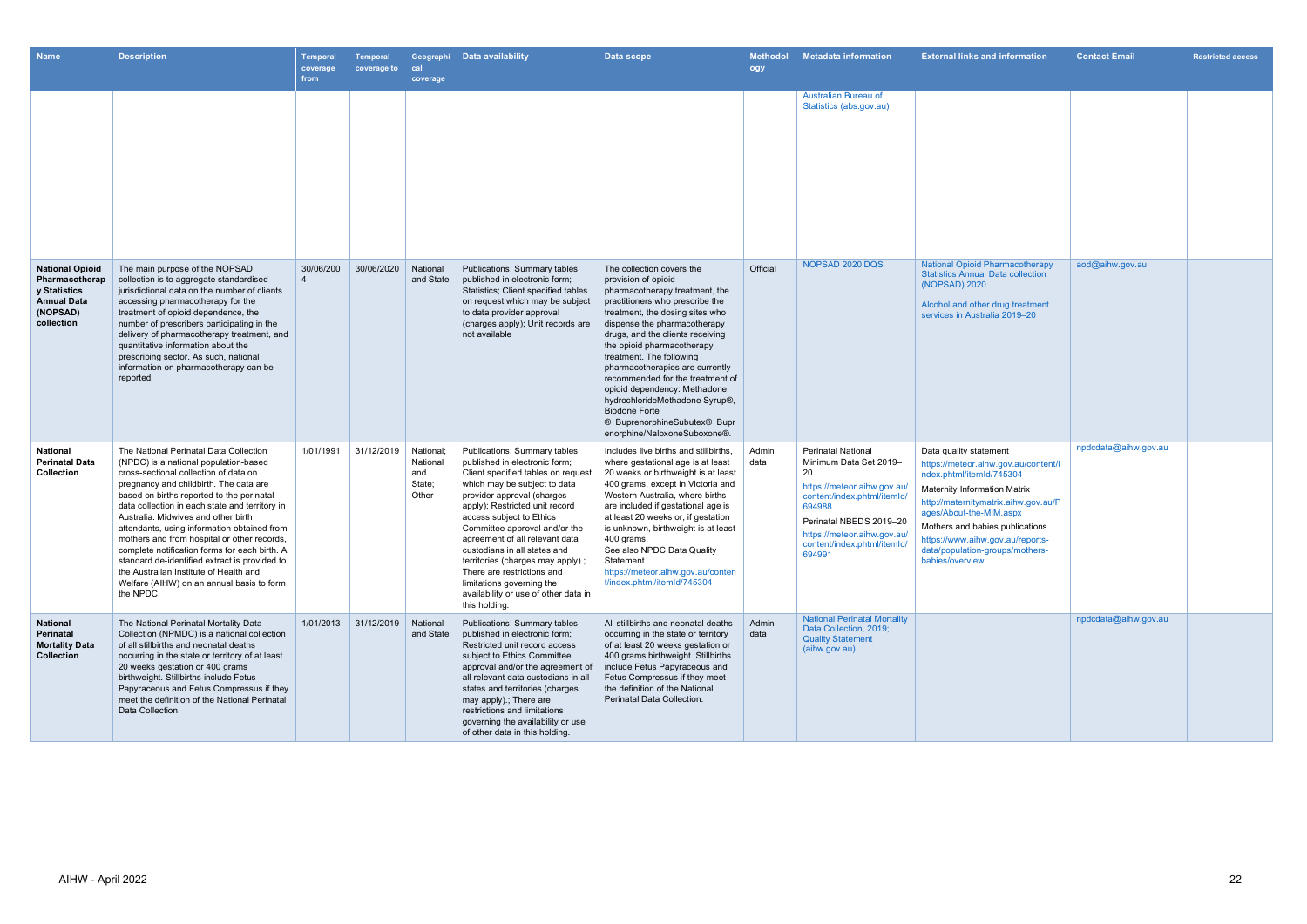| <b>Name</b>                                                                                              | <b>Description</b>                                                                                                                                                                                                                                                                                                                                                                                                                                                                                                                                                                                           | <b>Temporal</b><br>coverage<br>from | <b>Temporal</b><br>coverage to | cal<br>coverage                                 | Geographi Data availability                                                                                                                                                                                                                                                                                                                                                                                                                                                                        | Data scope                                                                                                                                                                                                                                                                                                                                                                                                                                                                                                              | <b>Methodol</b><br>ogy | <b>Metadata information</b>                                                                                                                                                                                                          | <b>External links and information</b>                                                                                                                                                                                                                                                                                             | <b>Contact Email</b> | <b>Restricted access</b> |
|----------------------------------------------------------------------------------------------------------|--------------------------------------------------------------------------------------------------------------------------------------------------------------------------------------------------------------------------------------------------------------------------------------------------------------------------------------------------------------------------------------------------------------------------------------------------------------------------------------------------------------------------------------------------------------------------------------------------------------|-------------------------------------|--------------------------------|-------------------------------------------------|----------------------------------------------------------------------------------------------------------------------------------------------------------------------------------------------------------------------------------------------------------------------------------------------------------------------------------------------------------------------------------------------------------------------------------------------------------------------------------------------------|-------------------------------------------------------------------------------------------------------------------------------------------------------------------------------------------------------------------------------------------------------------------------------------------------------------------------------------------------------------------------------------------------------------------------------------------------------------------------------------------------------------------------|------------------------|--------------------------------------------------------------------------------------------------------------------------------------------------------------------------------------------------------------------------------------|-----------------------------------------------------------------------------------------------------------------------------------------------------------------------------------------------------------------------------------------------------------------------------------------------------------------------------------|----------------------|--------------------------|
|                                                                                                          |                                                                                                                                                                                                                                                                                                                                                                                                                                                                                                                                                                                                              |                                     |                                |                                                 |                                                                                                                                                                                                                                                                                                                                                                                                                                                                                                    |                                                                                                                                                                                                                                                                                                                                                                                                                                                                                                                         |                        | Australian Bureau of<br>Statistics (abs.gov.au)                                                                                                                                                                                      |                                                                                                                                                                                                                                                                                                                                   |                      |                          |
| <b>National Opioid</b><br>Pharmacotherap<br>y Statistics<br><b>Annual Data</b><br>(NOPSAD)<br>collection | The main purpose of the NOPSAD<br>collection is to aggregate standardised<br>jurisdictional data on the number of clients<br>accessing pharmacotherapy for the<br>treatment of opioid dependence, the<br>number of prescribers participating in the<br>delivery of pharmacotherapy treatment, and<br>quantitative information about the<br>prescribing sector. As such, national<br>information on pharmacotherapy can be<br>reported.                                                                                                                                                                       | 30/06/200                           | 30/06/2020                     | National<br>and State                           | <b>Publications: Summary tables</b><br>published in electronic form:<br>Statistics; Client specified tables<br>on request which may be subject<br>to data provider approval<br>(charges apply); Unit records are<br>not available                                                                                                                                                                                                                                                                  | The collection covers the<br>provision of opioid<br>pharmacotherapy treatment, the<br>practitioners who prescribe the<br>treatment, the dosing sites who<br>dispense the pharmacotherapy<br>drugs, and the clients receiving<br>the opioid pharmacotherapy<br>treatment. The following<br>pharmacotherapies are currently<br>recommended for the treatment of<br>opioid dependency: Methadone<br>hydrochlorideMethadone Syrup®,<br><b>Biodone Forte</b><br>® BuprenorphineSubutex® Bupr<br>enorphine/NaloxoneSuboxone®. | Official               | NOPSAD 2020 DQS                                                                                                                                                                                                                      | <b>National Opioid Pharmacotherapy</b><br><b>Statistics Annual Data collection</b><br>(NOPSAD) 2020<br>Alcohol and other drug treatment<br>services in Australia 2019-20                                                                                                                                                          | aod@aihw.gov.au      |                          |
| <b>National</b><br><b>Perinatal Data</b><br>Collection                                                   | The National Perinatal Data Collection<br>(NPDC) is a national population-based<br>cross-sectional collection of data on<br>pregnancy and childbirth. The data are<br>based on births reported to the perinatal<br>data collection in each state and territory in<br>Australia. Midwives and other birth<br>attendants, using information obtained from<br>mothers and from hospital or other records,<br>complete notification forms for each birth. A<br>standard de-identified extract is provided to<br>the Australian Institute of Health and<br>Welfare (AIHW) on an annual basis to form<br>the NPDC. | 1/01/1991                           | 31/12/2019                     | National:<br>National<br>and<br>State;<br>Other | <b>Publications; Summary tables</b><br>published in electronic form;<br>Client specified tables on request<br>which may be subject to data<br>provider approval (charges<br>apply); Restricted unit record<br>access subject to Ethics<br>Committee approval and/or the<br>agreement of all relevant data<br>custodians in all states and<br>territories (charges may apply).;<br>There are restrictions and<br>limitations governing the<br>availability or use of other data in<br>this holding. | Includes live births and stillbirths.<br>where gestational age is at least<br>20 weeks or birthweight is at least<br>400 grams, except in Victoria and<br>Western Australia, where births<br>are included if gestational age is<br>at least 20 weeks or, if gestation<br>is unknown, birthweight is at least<br>400 grams.<br>See also NPDC Data Quality<br>Statement<br>https://meteor.aihw.gov.au/conten<br>t/index.phtml/itemId/745304                                                                               | Admin<br>data          | <b>Perinatal National</b><br>Minimum Data Set 2019-<br>20<br>https://meteor.aihw.gov.au/<br>content/index.phtml/itemId/<br>694988<br>Perinatal NBEDS 2019-20<br>https://meteor.aihw.gov.au/<br>content/index.phtml/itemId/<br>694991 | Data quality statement<br>https://meteor.aihw.gov.au/content/i<br>ndex.phtml/itemId/745304<br><b>Maternity Information Matrix</b><br>http://maternitymatrix.aihw.gov.au/P<br>ages/About-the-MIM.aspx<br>Mothers and babies publications<br>https://www.aihw.gov.au/reports-<br>data/population-groups/mothers-<br>babies/overview | npdcdata@aihw.gov.au |                          |
| <b>National</b><br>Perinatal<br><b>Mortality Data</b><br><b>Collection</b>                               | The National Perinatal Mortality Data<br>Collection (NPMDC) is a national collection<br>of all stillbirths and neonatal deaths<br>occurring in the state or territory of at least<br>20 weeks gestation or 400 grams<br>birthweight. Stillbirths include Fetus<br>Papyraceous and Fetus Compressus if they<br>meet the definition of the National Perinatal<br>Data Collection.                                                                                                                                                                                                                              | 1/01/2013                           | 31/12/2019                     | National<br>and State                           | <b>Publications; Summary tables</b><br>published in electronic form;<br>Restricted unit record access<br>subject to Ethics Committee<br>approval and/or the agreement of<br>all relevant data custodians in all<br>states and territories (charges<br>may apply) ; There are<br>restrictions and limitations<br>governing the availability or use<br>of other data in this holding.                                                                                                                | All stillbirths and neonatal deaths<br>occurring in the state or territory<br>of at least 20 weeks gestation or<br>400 grams birthweight. Stillbirths<br>include Fetus Papyraceous and<br>Fetus Compressus if they meet<br>the definition of the National<br>Perinatal Data Collection.                                                                                                                                                                                                                                 | Admin<br>data          | <b>National Perinatal Mortality</b><br>Data Collection, 2019;<br><b>Quality Statement</b><br>(aihw.gov.au)                                                                                                                           |                                                                                                                                                                                                                                                                                                                                   | npdcdata@aihw.gov.au |                          |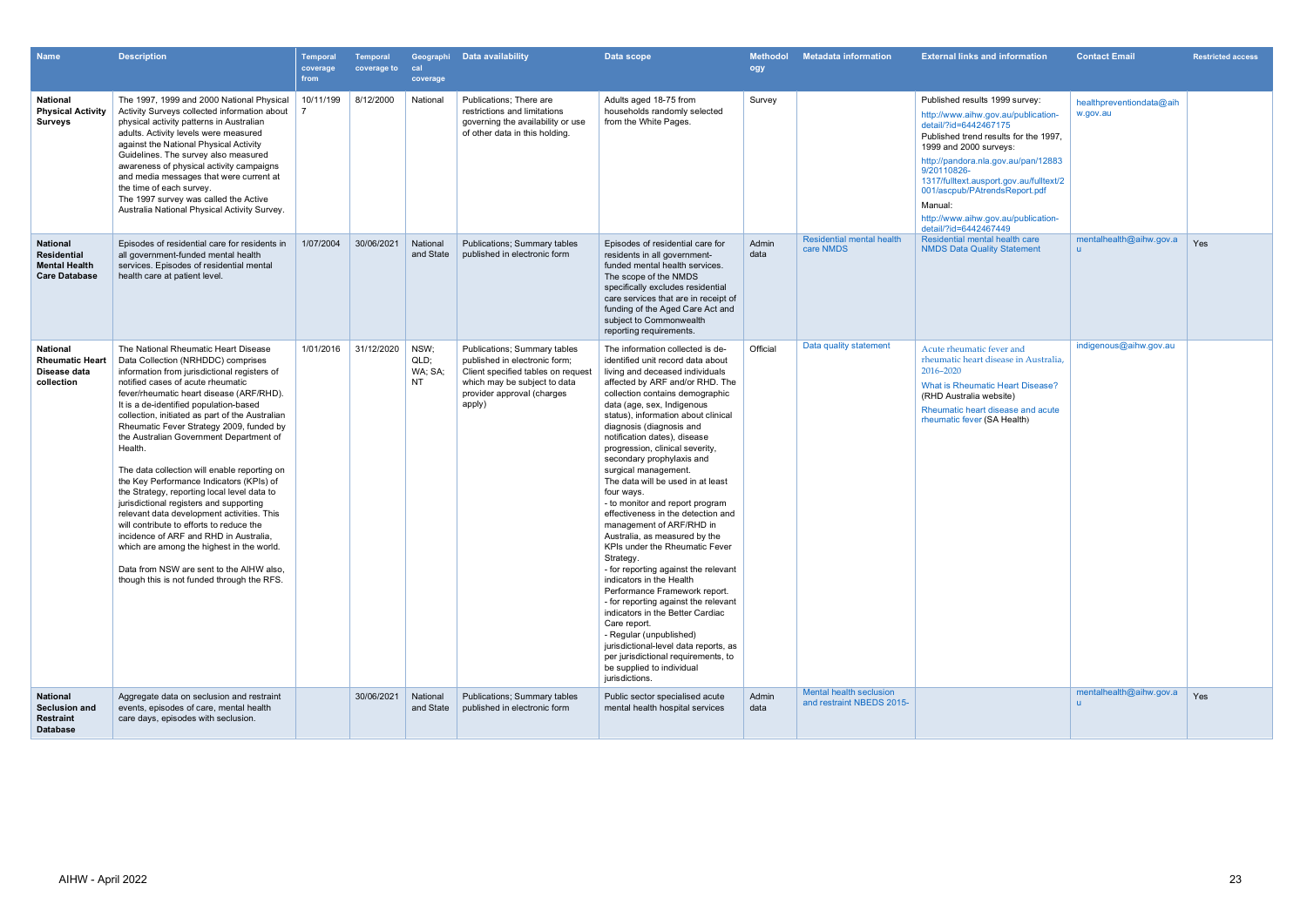| <b>Name</b>                                                                    | <b>Description</b>                                                                                                                                                                                                                                                                                                                                                                                                                                                                                                                                                                                                                                                                                                                                                                                                                                                          | Temporal<br>coverage<br>from | <b>Temporal</b><br>coverage to | Geographi<br>cal<br>coverage         | Data availability                                                                                                                                                                  | Data scope                                                                                                                                                                                                                                                                                                                                                                                                                                                                                                                                                                                                                                                                                                                                                                                                                                                                                                                                                                                                 | <b>Methodol</b><br>ogy | <b>Metadata information</b>                          | <b>External links and information</b>                                                                                                                                                                                                                                                                                                                                          | <b>Contact Email</b>                    | <b>Restricted access</b> |
|--------------------------------------------------------------------------------|-----------------------------------------------------------------------------------------------------------------------------------------------------------------------------------------------------------------------------------------------------------------------------------------------------------------------------------------------------------------------------------------------------------------------------------------------------------------------------------------------------------------------------------------------------------------------------------------------------------------------------------------------------------------------------------------------------------------------------------------------------------------------------------------------------------------------------------------------------------------------------|------------------------------|--------------------------------|--------------------------------------|------------------------------------------------------------------------------------------------------------------------------------------------------------------------------------|------------------------------------------------------------------------------------------------------------------------------------------------------------------------------------------------------------------------------------------------------------------------------------------------------------------------------------------------------------------------------------------------------------------------------------------------------------------------------------------------------------------------------------------------------------------------------------------------------------------------------------------------------------------------------------------------------------------------------------------------------------------------------------------------------------------------------------------------------------------------------------------------------------------------------------------------------------------------------------------------------------|------------------------|------------------------------------------------------|--------------------------------------------------------------------------------------------------------------------------------------------------------------------------------------------------------------------------------------------------------------------------------------------------------------------------------------------------------------------------------|-----------------------------------------|--------------------------|
| <b>National</b><br><b>Physical Activity</b><br><b>Surveys</b>                  | The 1997, 1999 and 2000 National Physical<br>Activity Surveys collected information about<br>physical activity patterns in Australian<br>adults. Activity levels were measured<br>against the National Physical Activity<br>Guidelines. The survey also measured<br>awareness of physical activity campaigns<br>and media messages that were current at<br>the time of each survey.<br>The 1997 survey was called the Active<br>Australia National Physical Activity Survey.                                                                                                                                                                                                                                                                                                                                                                                                | 10/11/199                    | 8/12/2000                      | National                             | Publications; There are<br>restrictions and limitations<br>governing the availability or use<br>of other data in this holding.                                                     | Adults aged 18-75 from<br>households randomly selected<br>from the White Pages.                                                                                                                                                                                                                                                                                                                                                                                                                                                                                                                                                                                                                                                                                                                                                                                                                                                                                                                            | Survey                 |                                                      | Published results 1999 survey:<br>http://www.aihw.gov.au/publication-<br>detail/?id=6442467175<br>Published trend results for the 1997.<br>1999 and 2000 surveys:<br>http://pandora.nla.gov.au/pan/12883<br>9/20110826-<br>1317/fulltext.ausport.gov.au/fulltext/2<br>001/ascpub/PAtrendsReport.pdf<br>Manual:<br>http://www.aihw.gov.au/publication-<br>detail/?id=6442467449 | healthpreventiondata@aih<br>w.gov.au    |                          |
| <b>National</b><br>Residential<br><b>Mental Health</b><br><b>Care Database</b> | Episodes of residential care for residents in<br>all government-funded mental health<br>services. Episodes of residential mental<br>health care at patient level.                                                                                                                                                                                                                                                                                                                                                                                                                                                                                                                                                                                                                                                                                                           | 1/07/2004                    | 30/06/2021                     | National<br>and State                | <b>Publications; Summary tables</b><br>published in electronic form                                                                                                                | Episodes of residential care for<br>residents in all government-<br>funded mental health services.<br>The scope of the NMDS<br>specifically excludes residential<br>care services that are in receipt of<br>funding of the Aged Care Act and<br>subject to Commonwealth<br>reporting requirements.                                                                                                                                                                                                                                                                                                                                                                                                                                                                                                                                                                                                                                                                                                         | Admin<br>data          | <b>Residential mental health</b><br>care NMDS        | Residential mental health care<br><b>NMDS Data Quality Statement</b>                                                                                                                                                                                                                                                                                                           | mentalhealth@aihw.gov.a<br>$\mathbf{u}$ | Yes                      |
| <b>National</b><br><b>Rheumatic Heart</b><br>Disease data<br>collection        | The National Rheumatic Heart Disease<br>Data Collection (NRHDDC) comprises<br>information from jurisdictional registers of<br>notified cases of acute rheumatic<br>fever/rheumatic heart disease (ARF/RHD).<br>It is a de-identified population-based<br>collection, initiated as part of the Australian<br>Rheumatic Fever Strategy 2009, funded by<br>the Australian Government Department of<br>Health.<br>The data collection will enable reporting on<br>the Key Performance Indicators (KPIs) of<br>the Strategy, reporting local level data to<br>jurisdictional registers and supporting<br>relevant data development activities. This<br>will contribute to efforts to reduce the<br>incidence of ARF and RHD in Australia,<br>which are among the highest in the world.<br>Data from NSW are sent to the AIHW also.<br>though this is not funded through the RFS. | 1/01/2016                    | 31/12/2020                     | NSW;<br>QLD;<br>WA; SA;<br><b>NT</b> | <b>Publications; Summary tables</b><br>published in electronic form;<br>Client specified tables on request<br>which may be subject to data<br>provider approval (charges<br>apply) | The information collected is de-<br>identified unit record data about<br>living and deceased individuals<br>affected by ARF and/or RHD. The<br>collection contains demographic<br>data (age, sex, Indigenous<br>status), information about clinical<br>diagnosis (diagnosis and<br>notification dates), disease<br>progression, clinical severity,<br>secondary prophylaxis and<br>surgical management.<br>The data will be used in at least<br>four ways.<br>- to monitor and report program<br>effectiveness in the detection and<br>management of ARF/RHD in<br>Australia, as measured by the<br>KPIs under the Rheumatic Fever<br>Strategy.<br>- for reporting against the relevant<br>indicators in the Health<br>Performance Framework report.<br>- for reporting against the relevant<br>indicators in the Better Cardiac<br>Care report.<br>- Regular (unpublished)<br>jurisdictional-level data reports, as<br>per jurisdictional requirements, to<br>be supplied to individual<br>jurisdictions. | Official               | Data quality statement                               | Acute rheumatic fever and<br>rheumatic heart disease in Australia,<br>2016-2020<br>What is Rheumatic Heart Disease?<br>(RHD Australia website)<br>Rheumatic heart disease and acute<br>rheumatic fever (SA Health)                                                                                                                                                             | indigenous@aihw.gov.au                  |                          |
| <b>National</b><br><b>Seclusion and</b><br><b>Restraint</b><br><b>Database</b> | Aggregate data on seclusion and restraint<br>events, episodes of care, mental health<br>care days, episodes with seclusion.                                                                                                                                                                                                                                                                                                                                                                                                                                                                                                                                                                                                                                                                                                                                                 |                              | 30/06/2021                     | National<br>and State                | <b>Publications; Summary tables</b><br>published in electronic form                                                                                                                | Public sector specialised acute<br>mental health hospital services                                                                                                                                                                                                                                                                                                                                                                                                                                                                                                                                                                                                                                                                                                                                                                                                                                                                                                                                         | Admin<br>data          | Mental health seclusion<br>and restraint NBEDS 2015- |                                                                                                                                                                                                                                                                                                                                                                                | mentalhealth@aihw.gov.a                 | Yes                      |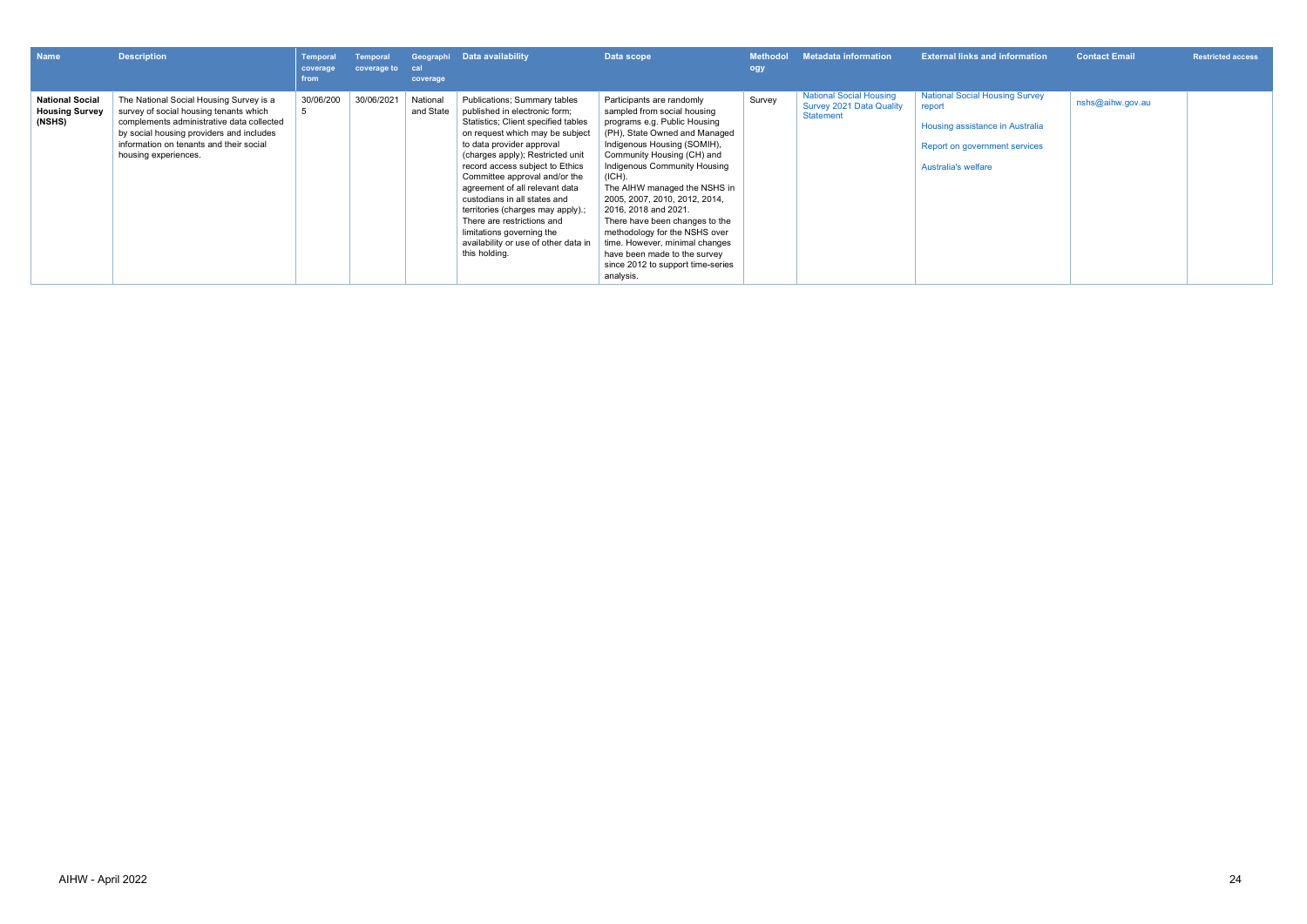| <b>Name</b>                                               | <b>Description</b>                                                                                                                                                                                                                            | <b>Temporal</b><br>coverage<br>from | Temporal<br>coverage to | cal<br>coverage       | Geographi Data availability                                                                                                                                                                                                                                                                                                                                                                                                                                                                             | Data scope                                                                                                                                                                                                                                                                                                                                                                                                                                                                                                       | <b>Methodol</b><br>ogy | <b>Metadata information</b>                                             | <b>External links and information</b>                                                                                                             | <b>Contact Email</b> | <b>Restricted access</b> |
|-----------------------------------------------------------|-----------------------------------------------------------------------------------------------------------------------------------------------------------------------------------------------------------------------------------------------|-------------------------------------|-------------------------|-----------------------|---------------------------------------------------------------------------------------------------------------------------------------------------------------------------------------------------------------------------------------------------------------------------------------------------------------------------------------------------------------------------------------------------------------------------------------------------------------------------------------------------------|------------------------------------------------------------------------------------------------------------------------------------------------------------------------------------------------------------------------------------------------------------------------------------------------------------------------------------------------------------------------------------------------------------------------------------------------------------------------------------------------------------------|------------------------|-------------------------------------------------------------------------|---------------------------------------------------------------------------------------------------------------------------------------------------|----------------------|--------------------------|
| <b>National Social</b><br><b>Housing Survey</b><br>(NSHS) | The National Social Housing Survey is a<br>survey of social housing tenants which<br>complements administrative data collected<br>by social housing providers and includes<br>information on tenants and their social<br>housing experiences. | 30/06/200                           | 30/06/2021              | National<br>and State | Publications; Summary tables<br>published in electronic form;<br>Statistics; Client specified tables<br>on request which may be subject<br>to data provider approval<br>(charges apply); Restricted unit<br>record access subject to Ethics<br>Committee approval and/or the<br>agreement of all relevant data<br>custodians in all states and<br>territories (charges may apply).;<br>There are restrictions and<br>limitations governing the<br>availability or use of other data in<br>this holding. | Participants are randomly<br>sampled from social housing<br>programs e.g. Public Housing<br>(PH), State Owned and Managed<br>Indigenous Housing (SOMIH),<br>Community Housing (CH) and<br>Indigenous Community Housing<br>(ICH).<br>The AIHW managed the NSHS in<br>2005, 2007, 2010, 2012, 2014,<br>2016, 2018 and 2021.<br>There have been changes to the<br>methodology for the NSHS over<br>time. However, minimal changes<br>have been made to the survey<br>since 2012 to support time-series<br>analysis. | Survey                 | <b>National Social Housing</b><br>Survey 2021 Data Quality<br>Statement | <b>National Social Housing Survey</b><br>report<br>Housing assistance in Australia<br>Report on government services<br><b>Australia's welfare</b> | nshs@aihw.gov.au     |                          |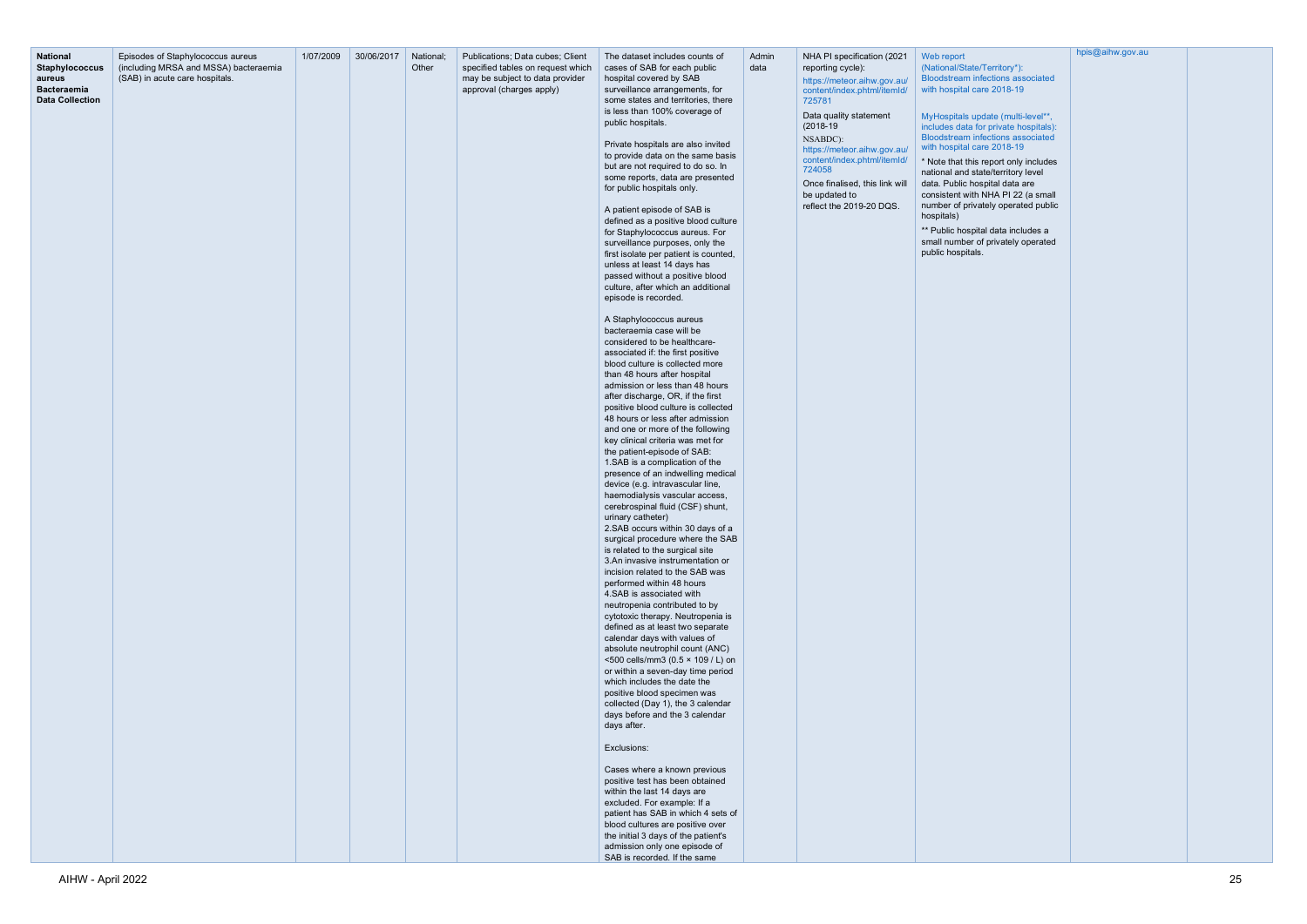|                                                                                             |                                                                                                              | 1/07/2009 | 30/06/2017 | National; | Publications; Data cubes; Client                                                                 | The dataset includes counts of                                                                                                                                                                                                                                                                                                                                                                                                                                                                                                                                                                                                                                                                                                                                                                                                                                                                                                                                                                                                                                                                                                                                                                                                                                                                                                                                                                                                                                                                                                                                                                                                                                                                                                                                                                                                                                                                                                                                                                                                                                                                                                                                                                                                                                                                                                                       | Admin | NHA PI specification (2021                                                                                                                                                                                                                                                                            |                                                                                                                                                                                                                                                                                                                                                                                                                                                                                                                                                                    |
|---------------------------------------------------------------------------------------------|--------------------------------------------------------------------------------------------------------------|-----------|------------|-----------|--------------------------------------------------------------------------------------------------|------------------------------------------------------------------------------------------------------------------------------------------------------------------------------------------------------------------------------------------------------------------------------------------------------------------------------------------------------------------------------------------------------------------------------------------------------------------------------------------------------------------------------------------------------------------------------------------------------------------------------------------------------------------------------------------------------------------------------------------------------------------------------------------------------------------------------------------------------------------------------------------------------------------------------------------------------------------------------------------------------------------------------------------------------------------------------------------------------------------------------------------------------------------------------------------------------------------------------------------------------------------------------------------------------------------------------------------------------------------------------------------------------------------------------------------------------------------------------------------------------------------------------------------------------------------------------------------------------------------------------------------------------------------------------------------------------------------------------------------------------------------------------------------------------------------------------------------------------------------------------------------------------------------------------------------------------------------------------------------------------------------------------------------------------------------------------------------------------------------------------------------------------------------------------------------------------------------------------------------------------------------------------------------------------------------------------------------------------|-------|-------------------------------------------------------------------------------------------------------------------------------------------------------------------------------------------------------------------------------------------------------------------------------------------------------|--------------------------------------------------------------------------------------------------------------------------------------------------------------------------------------------------------------------------------------------------------------------------------------------------------------------------------------------------------------------------------------------------------------------------------------------------------------------------------------------------------------------------------------------------------------------|
| <b>National</b><br>Staphylococcus<br>aureus<br><b>Bacteraemia</b><br><b>Data Collection</b> | Episodes of Staphylococcus aureus<br>(including MRSA and MSSA) bacteraemia<br>(SAB) in acute care hospitals. |           |            | Other     | specified tables on request which<br>may be subject to data provider<br>approval (charges apply) | cases of SAB for each public<br>hospital covered by SAB<br>surveillance arrangements, for<br>some states and territories, there<br>is less than 100% coverage of<br>public hospitals.<br>Private hospitals are also invited<br>to provide data on the same basis<br>but are not required to do so. In<br>some reports, data are presented<br>for public hospitals only.<br>A patient episode of SAB is<br>defined as a positive blood culture<br>for Staphylococcus aureus. For<br>surveillance purposes, only the<br>first isolate per patient is counted,<br>unless at least 14 days has<br>passed without a positive blood<br>culture, after which an additional<br>episode is recorded.<br>A Staphylococcus aureus<br>bacteraemia case will be<br>considered to be healthcare-<br>associated if: the first positive<br>blood culture is collected more<br>than 48 hours after hospital<br>admission or less than 48 hours<br>after discharge, OR, if the first<br>positive blood culture is collected<br>48 hours or less after admission<br>and one or more of the following<br>key clinical criteria was met for<br>the patient-episode of SAB:<br>1.SAB is a complication of the<br>presence of an indwelling medical<br>device (e.g. intravascular line,<br>haemodialysis vascular access,<br>cerebrospinal fluid (CSF) shunt,<br>urinary catheter)<br>2.SAB occurs within 30 days of a<br>surgical procedure where the SAB<br>is related to the surgical site<br>3.An invasive instrumentation or<br>incision related to the SAB was<br>performed within 48 hours<br>4. SAB is associated with<br>neutropenia contributed to by<br>cytotoxic therapy. Neutropenia is<br>defined as at least two separate<br>calendar days with values of<br>absolute neutrophil count (ANC)<br><500 cells/mm3 (0.5 × 109 / L) on<br>or within a seven-day time period<br>which includes the date the<br>positive blood specimen was<br>collected (Day 1), the 3 calendar<br>days before and the 3 calendar<br>days after.<br>Exclusions:<br>Cases where a known previous<br>positive test has been obtained<br>within the last 14 days are<br>excluded. For example: If a<br>patient has SAB in which 4 sets of<br>blood cultures are positive over<br>the initial 3 days of the patient's<br>admission only one episode of<br>SAB is recorded. If the same | data  | reporting cycle):<br>https://meteor.aihw.gov.au/<br>content/index.phtml/itemId/<br>725781<br>Data quality statement<br>$(2018-19)$<br>NSABDC):<br>https://meteor.aihw.gov.au/<br>content/index.phtml/itemId/<br>724058<br>Once finalised, this link will<br>be updated to<br>reflect the 2019-20 DQS. | Web report<br>(National/State/Territory*):<br><b>Bloodstream infections associat</b><br>with hospital care 2018-19<br>MyHospitals update (multi-level)<br>includes data for private hospita<br><b>Bloodstream infections associat</b><br>with hospital care 2018-19<br>* Note that this report only inclu-<br>national and state/territory level<br>data. Public hospital data are<br>consistent with NHA PI 22 (a sn<br>number of privately operated pu<br>hospitals)<br>** Public hospital data includes<br>small number of privately opera<br>public hospitals. |

| $\mathbf{v}$ $\mathbf{v}$ $\mathbf{v}$ $\mathbf{v}$ $\mathbf{v}$ |
|------------------------------------------------------------------|
| (National/State/Territory*):                                     |
| <b>Bloodstream infections associated</b>                         |
| with hospital care 2018-19                                       |

[MyHospitals update \(multi-level\\*\\*,](https://www.aihw.gov.au/reports-data/myhospitals/content/latest-updates)  [includes data for private hospitals\):](https://www.aihw.gov.au/reports-data/myhospitals/content/latest-updates)  [Bloodstream infections associated](https://www.aihw.gov.au/reports-data/myhospitals/content/latest-updates) 

\* Note that this report only includes consistent with NHA PI 22 (a small number of privately operated public

> al data includes a f privately operated

[hpis@aihw.gov.au](mailto:hpis@aihw.gov.au)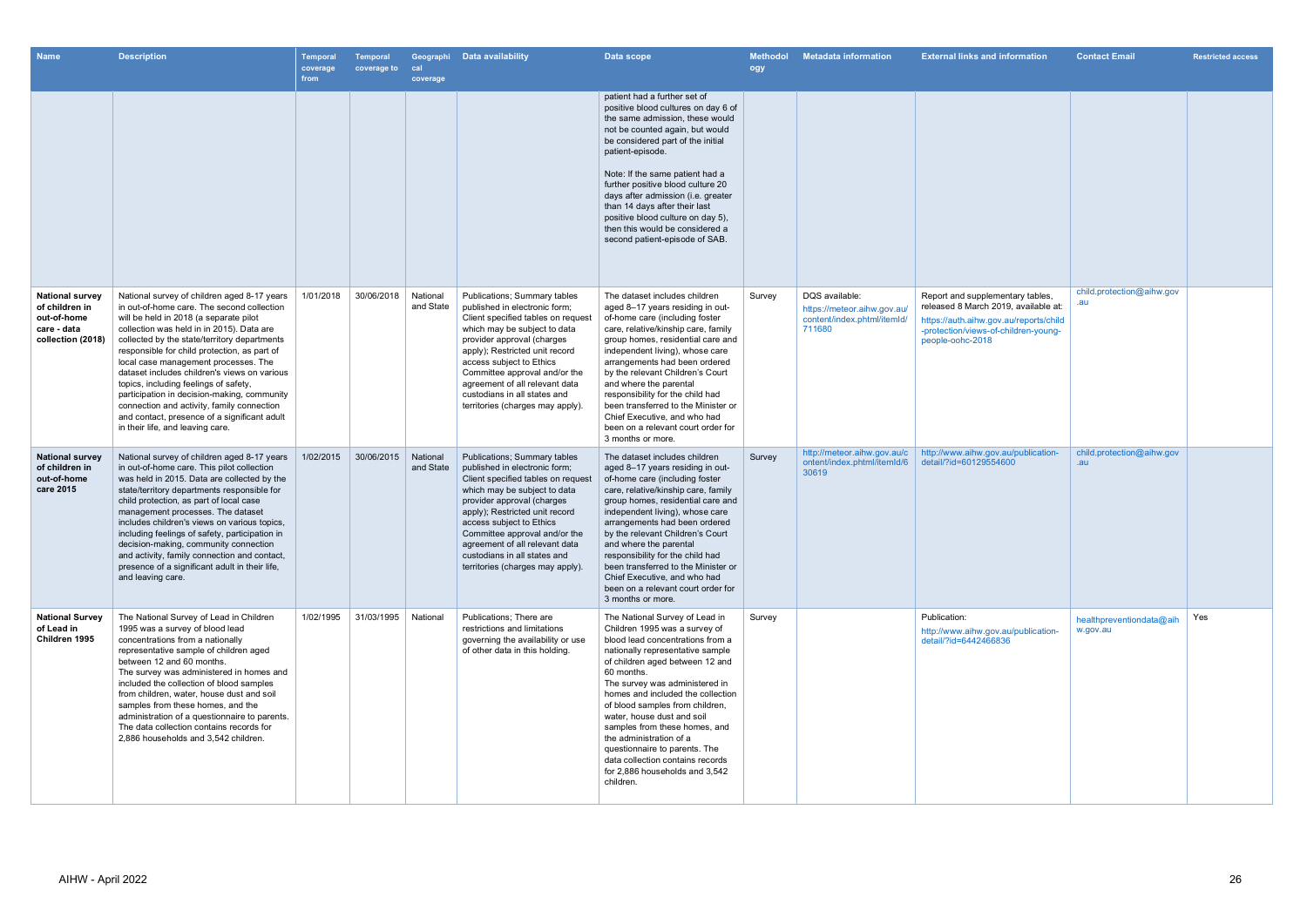| <b>Name</b>                                                                                 | <b>Description</b>                                                                                                                                                                                                                                                                                                                                                                                                                                                                                                                                                                                 | Temporal<br>coverage<br>from | <b>Temporal</b><br>coverage to | cal<br>coverage       | Geographi Data availability                                                                                                                                                                                                                                                                                                                                                   | Data scope                                                                                                                                                                                                                                                                                                                                                                                                                                                                                                       | <b>Methodol</b><br>ogy | <b>Metadata information</b>                                                            | <b>External links and information</b>                                                                                                                                          | <b>Contact Email</b>                 | <b>Restricted access</b> |
|---------------------------------------------------------------------------------------------|----------------------------------------------------------------------------------------------------------------------------------------------------------------------------------------------------------------------------------------------------------------------------------------------------------------------------------------------------------------------------------------------------------------------------------------------------------------------------------------------------------------------------------------------------------------------------------------------------|------------------------------|--------------------------------|-----------------------|-------------------------------------------------------------------------------------------------------------------------------------------------------------------------------------------------------------------------------------------------------------------------------------------------------------------------------------------------------------------------------|------------------------------------------------------------------------------------------------------------------------------------------------------------------------------------------------------------------------------------------------------------------------------------------------------------------------------------------------------------------------------------------------------------------------------------------------------------------------------------------------------------------|------------------------|----------------------------------------------------------------------------------------|--------------------------------------------------------------------------------------------------------------------------------------------------------------------------------|--------------------------------------|--------------------------|
|                                                                                             |                                                                                                                                                                                                                                                                                                                                                                                                                                                                                                                                                                                                    |                              |                                |                       |                                                                                                                                                                                                                                                                                                                                                                               | patient had a further set of<br>positive blood cultures on day 6 of<br>the same admission, these would<br>not be counted again, but would<br>be considered part of the initial<br>patient-episode.<br>Note: If the same patient had a<br>further positive blood culture 20<br>days after admission (i.e. greater<br>than 14 days after their last<br>positive blood culture on day 5),<br>then this would be considered a<br>second patient-episode of SAB.                                                      |                        |                                                                                        |                                                                                                                                                                                |                                      |                          |
| <b>National survey</b><br>of children in<br>out-of-home<br>care - data<br>collection (2018) | National survey of children aged 8-17 years<br>in out-of-home care. The second collection<br>will be held in 2018 (a separate pilot<br>collection was held in in 2015). Data are<br>collected by the state/territory departments<br>responsible for child protection, as part of<br>local case management processes. The<br>dataset includes children's views on various<br>topics, including feelings of safety,<br>participation in decision-making, community<br>connection and activity, family connection<br>and contact, presence of a significant adult<br>in their life, and leaving care. | 1/01/2018                    | 30/06/2018                     | National<br>and State | Publications; Summary tables<br>published in electronic form;<br>Client specified tables on request<br>which may be subject to data<br>provider approval (charges<br>apply); Restricted unit record<br>access subject to Ethics<br>Committee approval and/or the<br>agreement of all relevant data<br>custodians in all states and<br>territories (charges may apply)         | The dataset includes children<br>aged 8-17 years residing in out-<br>of-home care (including foster<br>care, relative/kinship care, family<br>group homes, residential care and<br>independent living), whose care<br>arrangements had been ordered<br>by the relevant Children's Court<br>and where the parental<br>responsibility for the child had<br>been transferred to the Minister or<br>Chief Executive, and who had<br>been on a relevant court order for<br>3 months or more.                          | Survey                 | DQS available:<br>https://meteor.aihw.gov.au/<br>content/index.phtml/itemId/<br>711680 | Report and supplementary tables,<br>released 8 March 2019, available at:<br>https://auth.aihw.gov.au/reports/child<br>-protection/views-of-children-young-<br>people-oohc-2018 | child.protection@aihw.gov            |                          |
| <b>National survey</b><br>of children in<br>out-of-home<br>care 2015                        | National survey of children aged 8-17 years<br>in out-of-home care. This pilot collection<br>was held in 2015. Data are collected by the<br>state/territory departments responsible for<br>child protection, as part of local case<br>management processes. The dataset<br>includes children's views on various topics,<br>including feelings of safety, participation in<br>decision-making, community connection<br>and activity, family connection and contact,<br>presence of a significant adult in their life,<br>and leaving care.                                                          | 1/02/2015                    | 30/06/2015                     | National<br>and State | <b>Publications; Summary tables</b><br>published in electronic form;<br>Client specified tables on request<br>which may be subject to data<br>provider approval (charges<br>apply); Restricted unit record<br>access subject to Ethics<br>Committee approval and/or the<br>agreement of all relevant data<br>custodians in all states and<br>territories (charges may apply). | The dataset includes children<br>aged 8-17 years residing in out-<br>of-home care (including foster<br>care, relative/kinship care, family<br>group homes, residential care and<br>independent living), whose care<br>arrangements had been ordered<br>by the relevant Children's Court<br>and where the parental<br>responsibility for the child had<br>been transferred to the Minister or<br>Chief Executive, and who had<br>been on a relevant court order for<br>3 months or more.                          | Survey                 | http://meteor.aihw.gov.au/c<br>ontent/index.phtml/itemId/6<br>30619                    | http://www.aihw.gov.au/publication-<br>detail/?id=60129554600                                                                                                                  | child.protection@aihw.gov<br>.au     |                          |
| <b>National Survey</b><br>of Lead in<br>Children 1995                                       | The National Survey of Lead in Children<br>1995 was a survey of blood lead<br>concentrations from a nationally<br>representative sample of children aged<br>between 12 and 60 months.<br>The survey was administered in homes and<br>included the collection of blood samples<br>from children, water, house dust and soil<br>samples from these homes, and the<br>administration of a questionnaire to parents.<br>The data collection contains records for<br>2,886 households and 3,542 children.                                                                                               | 1/02/1995                    | 31/03/1995                     | National              | Publications; There are<br>restrictions and limitations<br>governing the availability or use<br>of other data in this holding.                                                                                                                                                                                                                                                | The National Survey of Lead in<br>Children 1995 was a survey of<br>blood lead concentrations from a<br>nationally representative sample<br>of children aged between 12 and<br>60 months.<br>The survey was administered in<br>homes and included the collection<br>of blood samples from children,<br>water, house dust and soil<br>samples from these homes, and<br>the administration of a<br>questionnaire to parents. The<br>data collection contains records<br>for 2,886 households and 3,542<br>children. | Survey                 |                                                                                        | Publication:<br>http://www.aihw.gov.au/publication-<br>detail/?id=6442466836                                                                                                   | healthpreventiondata@aih<br>w.gov.au | Yes                      |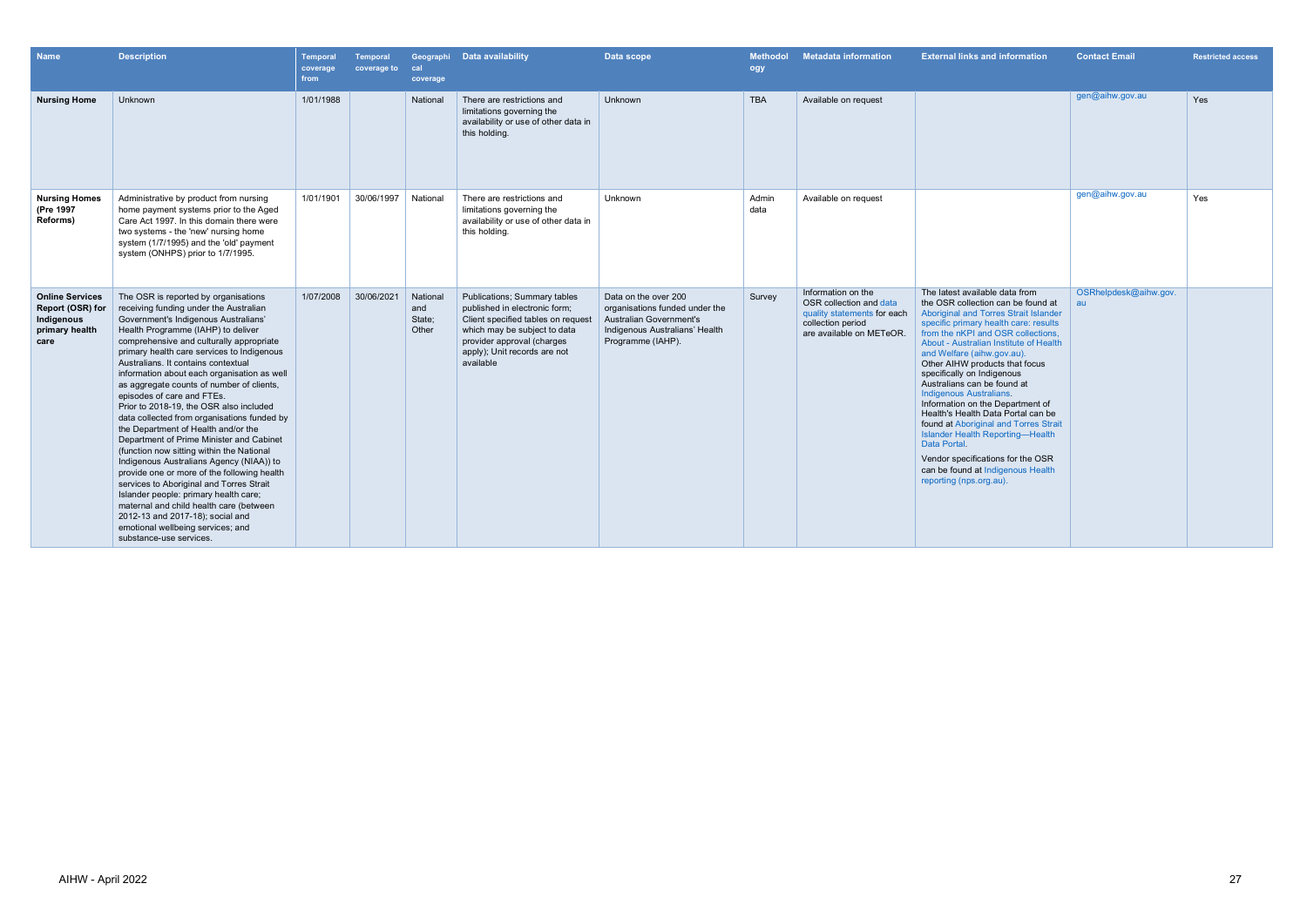| <b>Name</b>                                                                        | <b>Description</b>                                                                                                                                                                                                                                                                                                                                                                                                                                                                                                                                                                                                                                                                                                                                                                                                                                                                                                                                                               | <b>Temporal</b><br>coverage<br>from | <b>Temporal</b><br>coverage to | cal<br>coverage                    | Geographi Data availability                                                                                                                                                                                           | Data scope                                                                                                                                      | <b>Methodol</b><br>ogy | <b>Metadata information</b>                                                                                                   | <b>External links and information</b>                                                                                                                                                                                                                                                                                                                                                                                                                                                                                                                                                                                                                                                           | <b>Contact Email</b>        | <b>Restricted access</b> |
|------------------------------------------------------------------------------------|----------------------------------------------------------------------------------------------------------------------------------------------------------------------------------------------------------------------------------------------------------------------------------------------------------------------------------------------------------------------------------------------------------------------------------------------------------------------------------------------------------------------------------------------------------------------------------------------------------------------------------------------------------------------------------------------------------------------------------------------------------------------------------------------------------------------------------------------------------------------------------------------------------------------------------------------------------------------------------|-------------------------------------|--------------------------------|------------------------------------|-----------------------------------------------------------------------------------------------------------------------------------------------------------------------------------------------------------------------|-------------------------------------------------------------------------------------------------------------------------------------------------|------------------------|-------------------------------------------------------------------------------------------------------------------------------|-------------------------------------------------------------------------------------------------------------------------------------------------------------------------------------------------------------------------------------------------------------------------------------------------------------------------------------------------------------------------------------------------------------------------------------------------------------------------------------------------------------------------------------------------------------------------------------------------------------------------------------------------------------------------------------------------|-----------------------------|--------------------------|
| <b>Nursing Home</b>                                                                | Unknown                                                                                                                                                                                                                                                                                                                                                                                                                                                                                                                                                                                                                                                                                                                                                                                                                                                                                                                                                                          | 1/01/1988                           |                                | National                           | There are restrictions and<br>limitations governing the<br>availability or use of other data in<br>this holding.                                                                                                      | Unknown                                                                                                                                         | <b>TBA</b>             | Available on request                                                                                                          |                                                                                                                                                                                                                                                                                                                                                                                                                                                                                                                                                                                                                                                                                                 | gen@aihw.gov.au             | Yes                      |
| <b>Nursing Homes</b><br>(Pre 1997<br>Reforms)                                      | Administrative by product from nursing<br>home payment systems prior to the Aged<br>Care Act 1997. In this domain there were<br>two systems - the 'new' nursing home<br>system (1/7/1995) and the 'old' payment<br>system (ONHPS) prior to 1/7/1995.                                                                                                                                                                                                                                                                                                                                                                                                                                                                                                                                                                                                                                                                                                                             | 1/01/1901                           | 30/06/1997                     | National                           | There are restrictions and<br>limitations governing the<br>availability or use of other data in<br>this holding.                                                                                                      | Unknown                                                                                                                                         | Admin<br>data          | Available on request                                                                                                          |                                                                                                                                                                                                                                                                                                                                                                                                                                                                                                                                                                                                                                                                                                 | gen@aihw.gov.au             | Yes                      |
| <b>Online Services</b><br>Report (OSR) for<br>Indigenous<br>primary health<br>care | The OSR is reported by organisations<br>receiving funding under the Australian<br>Government's Indigenous Australians'<br>Health Programme (IAHP) to deliver<br>comprehensive and culturally appropriate<br>primary health care services to Indigenous<br>Australians. It contains contextual<br>information about each organisation as well<br>as aggregate counts of number of clients,<br>episodes of care and FTEs.<br>Prior to 2018-19, the OSR also included<br>data collected from organisations funded by<br>the Department of Health and/or the<br>Department of Prime Minister and Cabinet<br>(function now sitting within the National<br>Indigenous Australians Agency (NIAA)) to<br>provide one or more of the following health<br>services to Aboriginal and Torres Strait<br>Islander people: primary health care;<br>maternal and child health care (between<br>2012-13 and 2017-18); social and<br>emotional wellbeing services; and<br>substance-use services. | 1/07/2008                           | 30/06/2021                     | National<br>and<br>State;<br>Other | <b>Publications: Summary tables</b><br>published in electronic form;<br>Client specified tables on request<br>which may be subject to data<br>provider approval (charges<br>apply); Unit records are not<br>available | Data on the over 200<br>organisations funded under the<br><b>Australian Government's</b><br>Indigenous Australians' Health<br>Programme (IAHP). | Survey                 | Information on the<br>OSR collection and data<br>quality statements for each<br>collection period<br>are available on METeOR. | The latest available data from<br>the OSR collection can be found at<br><b>Aboriginal and Torres Strait Islander</b><br>specific primary health care: results<br>from the nKPI and OSR collections.<br>About - Australian Institute of Health<br>and Welfare (aihw.gov.au).<br>Other AIHW products that focus<br>specifically on Indigenous<br>Australians can be found at<br><b>Indigenous Australians.</b><br>Information on the Department of<br>Health's Health Data Portal can be<br>found at Aboriginal and Torres Strait<br><b>Islander Health Reporting-Health</b><br>Data Portal.<br>Vendor specifications for the OSR<br>can be found at Indigenous Health<br>reporting (nps.org.au). | OSRhelpdesk@aihw.gov.<br>au |                          |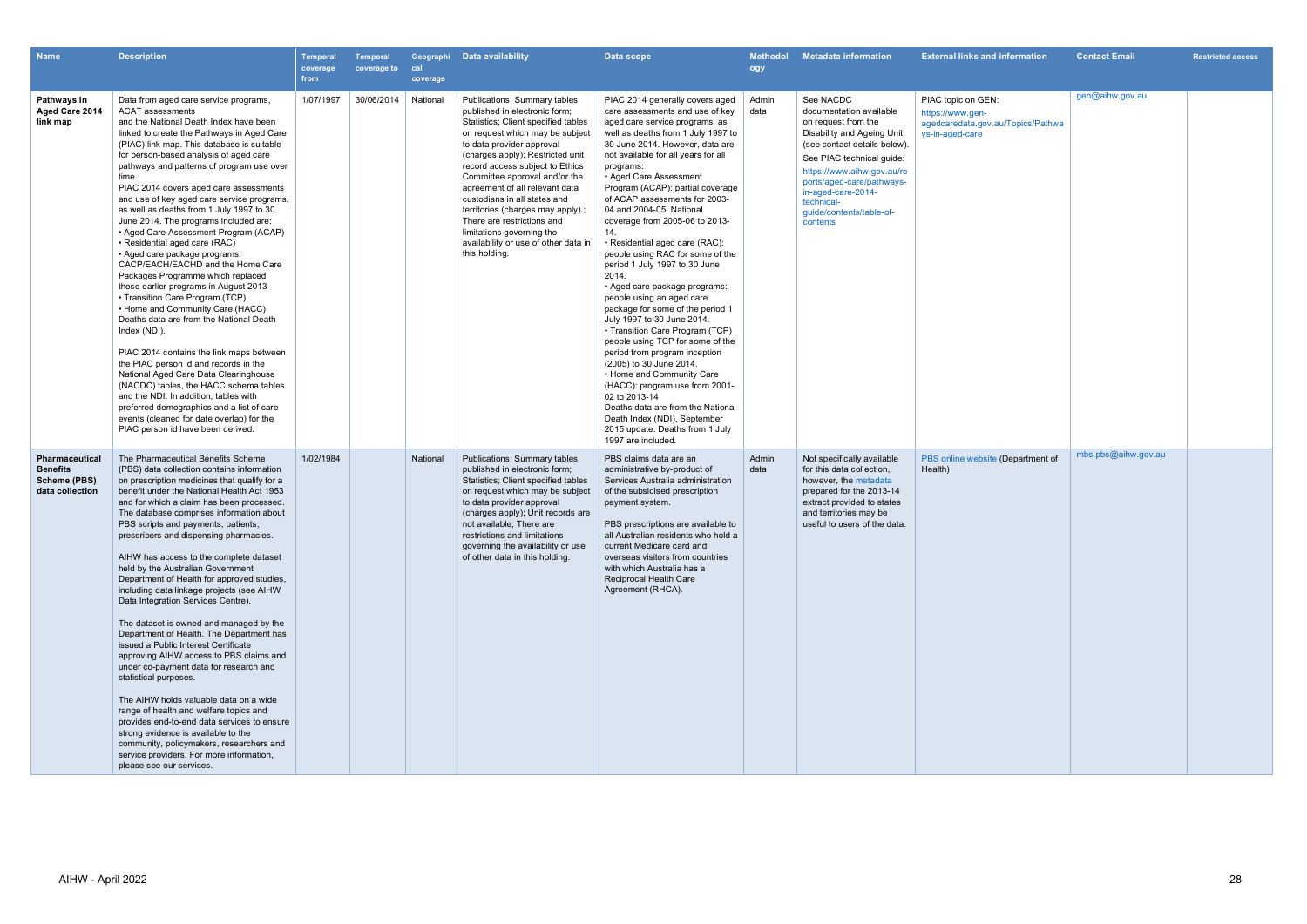| <b>Name</b>                                                                 | <b>Description</b>                                                                                                                                                                                                                                                                                                                                                                                                                                                                                                                                                                                                                                                                                                                                                                                                                                                                                                                                                                                                                                                                                                                                                                                  | <b>Temporal</b><br>coverage<br>from | <b>Temporal</b><br>coverage to | cal<br>coverage | Geographi Data availability                                                                                                                                                                                                                                                                                                                                                                                                                                                                             | Data scope                                                                                                                                                                                                                                                                                                                                                                                                                                                                                                                                                                                                                                                                                                                                                                                                                                                                                                                                                                                             | <b>Methodol</b><br>ogy | <b>Metadata information</b>                                                                                                                                                                                                                                                                   | <b>External links and information</b>                                                          | <b>Contact Email</b> | <b>Restricted access</b> |
|-----------------------------------------------------------------------------|-----------------------------------------------------------------------------------------------------------------------------------------------------------------------------------------------------------------------------------------------------------------------------------------------------------------------------------------------------------------------------------------------------------------------------------------------------------------------------------------------------------------------------------------------------------------------------------------------------------------------------------------------------------------------------------------------------------------------------------------------------------------------------------------------------------------------------------------------------------------------------------------------------------------------------------------------------------------------------------------------------------------------------------------------------------------------------------------------------------------------------------------------------------------------------------------------------|-------------------------------------|--------------------------------|-----------------|---------------------------------------------------------------------------------------------------------------------------------------------------------------------------------------------------------------------------------------------------------------------------------------------------------------------------------------------------------------------------------------------------------------------------------------------------------------------------------------------------------|--------------------------------------------------------------------------------------------------------------------------------------------------------------------------------------------------------------------------------------------------------------------------------------------------------------------------------------------------------------------------------------------------------------------------------------------------------------------------------------------------------------------------------------------------------------------------------------------------------------------------------------------------------------------------------------------------------------------------------------------------------------------------------------------------------------------------------------------------------------------------------------------------------------------------------------------------------------------------------------------------------|------------------------|-----------------------------------------------------------------------------------------------------------------------------------------------------------------------------------------------------------------------------------------------------------------------------------------------|------------------------------------------------------------------------------------------------|----------------------|--------------------------|
| Pathways in<br>Aged Care 2014<br>link map                                   | Data from aged care service programs,<br><b>ACAT</b> assessments<br>and the National Death Index have been<br>linked to create the Pathways in Aged Care<br>(PIAC) link map. This database is suitable<br>for person-based analysis of aged care<br>pathways and patterns of program use over<br>time.<br>PIAC 2014 covers aged care assessments<br>and use of key aged care service programs,<br>as well as deaths from 1 July 1997 to 30<br>June 2014. The programs included are:<br>• Aged Care Assessment Program (ACAP)<br>• Residential aged care (RAC)<br>• Aged care package programs:<br>CACP/EACH/EACHD and the Home Care<br>Packages Programme which replaced<br>these earlier programs in August 2013<br>• Transition Care Program (TCP)<br>• Home and Community Care (HACC)<br>Deaths data are from the National Death<br>Index (NDI).<br>PIAC 2014 contains the link maps between<br>the PIAC person id and records in the<br>National Aged Care Data Clearinghouse<br>(NACDC) tables, the HACC schema tables<br>and the NDI. In addition, tables with<br>preferred demographics and a list of care<br>events (cleaned for date overlap) for the<br>PIAC person id have been derived. | 1/07/1997                           | 30/06/2014                     | National        | Publications; Summary tables<br>published in electronic form:<br>Statistics; Client specified tables<br>on request which may be subject<br>to data provider approval<br>(charges apply); Restricted unit<br>record access subject to Ethics<br>Committee approval and/or the<br>agreement of all relevant data<br>custodians in all states and<br>territories (charges may apply).;<br>There are restrictions and<br>limitations governing the<br>availability or use of other data in<br>this holding. | PIAC 2014 generally covers aged<br>care assessments and use of key<br>aged care service programs, as<br>well as deaths from 1 July 1997 to<br>30 June 2014. However, data are<br>not available for all years for all<br>programs:<br>• Aged Care Assessment<br>Program (ACAP): partial coverage<br>of ACAP assessments for 2003-<br>04 and 2004-05. National<br>coverage from 2005-06 to 2013-<br>14.<br>• Residential aged care (RAC):<br>people using RAC for some of the<br>period 1 July 1997 to 30 June<br>2014.<br>• Aged care package programs:<br>people using an aged care<br>package for some of the period 1<br>July 1997 to 30 June 2014.<br>• Transition Care Program (TCP)<br>people using TCP for some of the<br>period from program inception<br>(2005) to 30 June 2014.<br>• Home and Community Care<br>(HACC): program use from 2001-<br>02 to 2013-14<br>Deaths data are from the National<br>Death Index (NDI), September<br>2015 update. Deaths from 1 July<br>1997 are included. | Admin<br>data          | See NACDC<br>documentation available<br>on request from the<br>Disability and Ageing Unit<br>(see contact details below).<br>See PIAC technical quide:<br>https://www.aihw.gov.au/re<br>ports/aged-care/pathways-<br>in-aged-care-2014-<br>technical-<br>quide/contents/table-of-<br>contents | PIAC topic on GEN:<br>https://www.gen-<br>agedcaredata.gov.au/Topics/Pathwa<br>ys-in-aged-care | gen@aihw.gov.au      |                          |
| <b>Pharmaceutical</b><br><b>Benefits</b><br>Scheme (PBS)<br>data collection | The Pharmaceutical Benefits Scheme<br>(PBS) data collection contains information<br>on prescription medicines that qualify for a<br>benefit under the National Health Act 1953<br>and for which a claim has been processed.<br>The database comprises information about<br>PBS scripts and payments, patients,<br>prescribers and dispensing pharmacies.<br>AIHW has access to the complete dataset<br>held by the Australian Government<br>Department of Health for approved studies,<br>including data linkage projects (see AIHW<br>Data Integration Services Centre).<br>The dataset is owned and managed by the<br>Department of Health. The Department has<br>issued a Public Interest Certificate<br>approving AIHW access to PBS claims and<br>under co-payment data for research and<br>statistical purposes.<br>The AIHW holds valuable data on a wide<br>range of health and welfare topics and<br>provides end-to-end data services to ensure<br>strong evidence is available to the<br>community, policymakers, researchers and<br>service providers. For more information,<br>please see our services.                                                                                | 1/02/1984                           |                                | National        | Publications; Summary tables<br>published in electronic form;<br>Statistics; Client specified tables<br>on request which may be subject<br>to data provider approval<br>(charges apply); Unit records are<br>not available; There are<br>restrictions and limitations<br>governing the availability or use<br>of other data in this holding.                                                                                                                                                            | PBS claims data are an<br>administrative by-product of<br>Services Australia administration<br>of the subsidised prescription<br>payment system.<br>PBS prescriptions are available to<br>all Australian residents who hold a<br>current Medicare card and<br>overseas visitors from countries<br>with which Australia has a<br>Reciprocal Health Care<br>Agreement (RHCA).                                                                                                                                                                                                                                                                                                                                                                                                                                                                                                                                                                                                                            | Admin<br>data          | Not specifically available<br>for this data collection,<br>however, the metadata<br>prepared for the 2013-14<br>extract provided to states<br>and territories may be<br>useful to users of the data.                                                                                          | PBS online website (Department of<br>Health)                                                   | mbs.pbs@aihw.gov.au  |                          |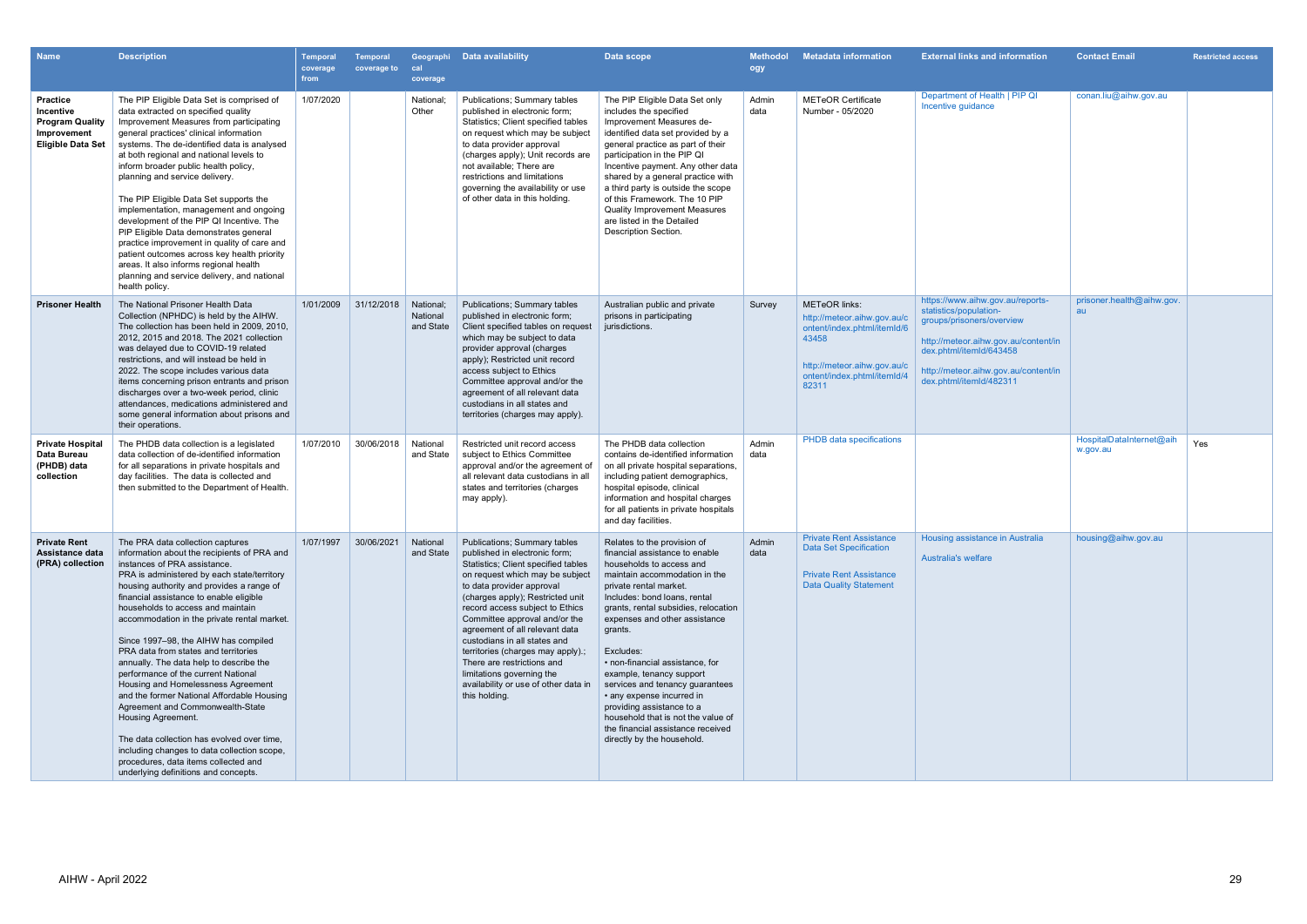| <b>Name</b>                                                                                       | <b>Description</b>                                                                                                                                                                                                                                                                                                                                                                                                                                                                                                                                                                                                                                                                                                                                                                                                                      | <b>Temporal</b><br>coverage<br>from | <b>Temporal</b><br>coverage to | cal<br>coverage                    | Geographi Data availability                                                                                                                                                                                                                                                                                                                                                                                                                                                                                    | Data scope                                                                                                                                                                                                                                                                                                                                                                                                                                                                                                                                                 | <b>Methodol</b><br>ogy | <b>Metadata information</b>                                                                                                                                        | <b>External links and information</b>                                                                                                                                                                                         | <b>Contact Email</b>                 | <b>Restricted access</b> |
|---------------------------------------------------------------------------------------------------|-----------------------------------------------------------------------------------------------------------------------------------------------------------------------------------------------------------------------------------------------------------------------------------------------------------------------------------------------------------------------------------------------------------------------------------------------------------------------------------------------------------------------------------------------------------------------------------------------------------------------------------------------------------------------------------------------------------------------------------------------------------------------------------------------------------------------------------------|-------------------------------------|--------------------------------|------------------------------------|----------------------------------------------------------------------------------------------------------------------------------------------------------------------------------------------------------------------------------------------------------------------------------------------------------------------------------------------------------------------------------------------------------------------------------------------------------------------------------------------------------------|------------------------------------------------------------------------------------------------------------------------------------------------------------------------------------------------------------------------------------------------------------------------------------------------------------------------------------------------------------------------------------------------------------------------------------------------------------------------------------------------------------------------------------------------------------|------------------------|--------------------------------------------------------------------------------------------------------------------------------------------------------------------|-------------------------------------------------------------------------------------------------------------------------------------------------------------------------------------------------------------------------------|--------------------------------------|--------------------------|
| <b>Practice</b><br>Incentive<br><b>Program Quality</b><br>Improvement<br><b>Eligible Data Set</b> | The PIP Eligible Data Set is comprised of<br>data extracted on specified quality<br>Improvement Measures from participating<br>general practices' clinical information<br>systems. The de-identified data is analysed<br>at both regional and national levels to<br>inform broader public health policy,<br>planning and service delivery.<br>The PIP Eligible Data Set supports the<br>implementation, management and ongoing<br>development of the PIP QI Incentive. The<br>PIP Eligible Data demonstrates general<br>practice improvement in quality of care and<br>patient outcomes across key health priority<br>areas. It also informs regional health<br>planning and service delivery, and national<br>health policy.                                                                                                           | 1/07/2020                           |                                | National;<br>Other                 | Publications; Summary tables<br>published in electronic form;<br>Statistics; Client specified tables<br>on request which may be subject<br>to data provider approval<br>(charges apply); Unit records are<br>not available; There are<br>restrictions and limitations<br>governing the availability or use<br>of other data in this holding.                                                                                                                                                                   | The PIP Eligible Data Set only<br>includes the specified<br>Improvement Measures de-<br>identified data set provided by a<br>general practice as part of their<br>participation in the PIP QI<br>Incentive payment. Any other data<br>shared by a general practice with<br>a third party is outside the scope<br>of this Framework. The 10 PIP<br><b>Quality Improvement Measures</b><br>are listed in the Detailed<br><b>Description Section.</b>                                                                                                         | Admin<br>data          | <b>METeOR Certificate</b><br>Number - 05/2020                                                                                                                      | Department of Health   PIP QI<br>Incentive guidance                                                                                                                                                                           | conan.liu@aihw.gov.au                |                          |
| <b>Prisoner Health</b>                                                                            | The National Prisoner Health Data<br>Collection (NPHDC) is held by the AIHW.<br>The collection has been held in 2009, 2010.<br>2012, 2015 and 2018. The 2021 collection<br>was delayed due to COVID-19 related<br>restrictions, and will instead be held in<br>2022. The scope includes various data<br>items concerning prison entrants and prison<br>discharges over a two-week period, clinic<br>attendances, medications administered and<br>some general information about prisons and<br>their operations.                                                                                                                                                                                                                                                                                                                        | 1/01/2009                           | 31/12/2018                     | National:<br>National<br>and State | <b>Publications: Summary tables</b><br>published in electronic form;<br>Client specified tables on request<br>which may be subject to data<br>provider approval (charges<br>apply); Restricted unit record<br>access subject to Ethics<br>Committee approval and/or the<br>agreement of all relevant data<br>custodians in all states and<br>territories (charges may apply).                                                                                                                                  | Australian public and private<br>prisons in participating<br>jurisdictions.                                                                                                                                                                                                                                                                                                                                                                                                                                                                                | Survey                 | <b>METeOR</b> links:<br>http://meteor.aihw.gov.au/c<br>ontent/index.phtml/itemId/6<br>43458<br>http://meteor.aihw.gov.au/c<br>ontent/index.phtml/itemId/4<br>82311 | https://www.aihw.gov.au/reports-<br>statistics/population-<br>groups/prisoners/overview<br>http://meteor.aihw.gov.au/content/in<br>dex.phtml/itemId/643458<br>http://meteor.aihw.gov.au/content/in<br>dex.phtml/itemId/482311 | prisoner.health@aihw.gov.<br>au      |                          |
| <b>Private Hospital</b><br>Data Bureau<br>(PHDB) data<br>collection                               | The PHDB data collection is a legislated<br>data collection of de-identified information<br>for all separations in private hospitals and<br>day facilities. The data is collected and<br>then submitted to the Department of Health.                                                                                                                                                                                                                                                                                                                                                                                                                                                                                                                                                                                                    | 1/07/2010                           | 30/06/2018                     | National<br>and State              | Restricted unit record access<br>subject to Ethics Committee<br>approval and/or the agreement of<br>all relevant data custodians in all<br>states and territories (charges<br>may apply).                                                                                                                                                                                                                                                                                                                      | The PHDB data collection<br>contains de-identified information<br>on all private hospital separations,<br>including patient demographics,<br>hospital episode, clinical<br>information and hospital charges<br>for all patients in private hospitals<br>and day facilities.                                                                                                                                                                                                                                                                                | Admin<br>data          | PHDB data specifications                                                                                                                                           |                                                                                                                                                                                                                               | HospitalDataInternet@aih<br>w.gov.au | Yes                      |
| <b>Private Rent</b><br>Assistance data<br>(PRA) collection                                        | The PRA data collection captures<br>information about the recipients of PRA and<br>instances of PRA assistance.<br>PRA is administered by each state/territory<br>housing authority and provides a range of<br>financial assistance to enable eligible<br>households to access and maintain<br>accommodation in the private rental market.<br>Since 1997-98, the AIHW has compiled<br>PRA data from states and territories<br>annually. The data help to describe the<br>performance of the current National<br>Housing and Homelessness Agreement<br>and the former National Affordable Housing<br>Agreement and Commonwealth-State<br>Housing Agreement.<br>The data collection has evolved over time.<br>including changes to data collection scope,<br>procedures, data items collected and<br>underlying definitions and concepts. |                                     | 1/07/1997 30/06/2021 National  | and State                          | <b>Publications; Summary tables</b><br>published in electronic form;<br>Statistics; Client specified tables<br>on request which may be subject<br>to data provider approval<br>(charges apply); Restricted unit<br>record access subject to Ethics<br>Committee approval and/or the<br>agreement of all relevant data<br>custodians in all states and<br>territories (charges may apply).;<br>There are restrictions and<br>limitations governing the<br>availability or use of other data in<br>this holding. | Relates to the provision of<br>financial assistance to enable<br>households to access and<br>maintain accommodation in the<br>private rental market.<br>Includes: bond loans, rental<br>grants, rental subsidies, relocation<br>expenses and other assistance<br>grants.<br>Excludes:<br>• non-financial assistance, for<br>example, tenancy support<br>services and tenancy guarantees<br>• any expense incurred in<br>providing assistance to a<br>household that is not the value of<br>the financial assistance received<br>directly by the household. | Admin<br>data          | <b>Private Rent Assistance</b><br><b>Data Set Specification</b><br><b>Private Rent Assistance</b><br><b>Data Quality Statement</b>                                 | Housing assistance in Australia<br><b>Australia's welfare</b>                                                                                                                                                                 | housing@aihw.gov.au                  |                          |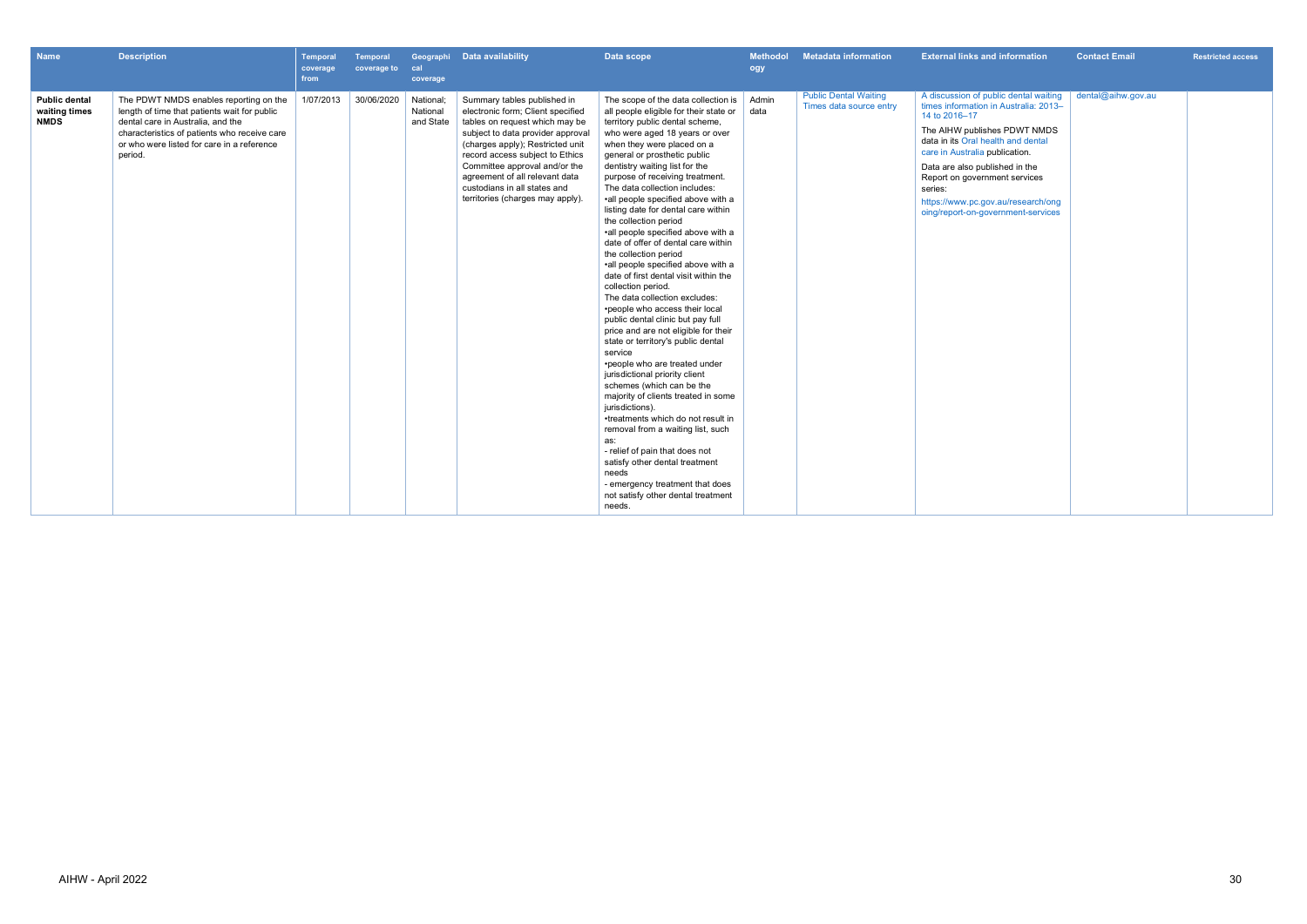| <b>Name</b>                                          | <b>Description</b>                                                                                                                                                                                                                   | Temporal<br>coverage<br>from | Temporal<br>coverage to | cal<br>coverage                    | Geographi Data availability                                                                                                                                                                                                                                                                                                                           | Data scope                                                                                                                                                                                                                                                                                                                                                                                                                                                                                                                                                                                                                                                                                                                                                                                                                                                                                                                                                                                                                                                                                                                                                                                                                                           | <b>Methodol</b><br>ogy | <b>Metadata information</b>                             | <b>External links and information</b>                                                                                                                                                                                                                                                                                                                             | <b>Contact Email</b> | <b>Restricted access</b> |
|------------------------------------------------------|--------------------------------------------------------------------------------------------------------------------------------------------------------------------------------------------------------------------------------------|------------------------------|-------------------------|------------------------------------|-------------------------------------------------------------------------------------------------------------------------------------------------------------------------------------------------------------------------------------------------------------------------------------------------------------------------------------------------------|------------------------------------------------------------------------------------------------------------------------------------------------------------------------------------------------------------------------------------------------------------------------------------------------------------------------------------------------------------------------------------------------------------------------------------------------------------------------------------------------------------------------------------------------------------------------------------------------------------------------------------------------------------------------------------------------------------------------------------------------------------------------------------------------------------------------------------------------------------------------------------------------------------------------------------------------------------------------------------------------------------------------------------------------------------------------------------------------------------------------------------------------------------------------------------------------------------------------------------------------------|------------------------|---------------------------------------------------------|-------------------------------------------------------------------------------------------------------------------------------------------------------------------------------------------------------------------------------------------------------------------------------------------------------------------------------------------------------------------|----------------------|--------------------------|
| <b>Public dental</b><br>waiting times<br><b>NMDS</b> | The PDWT NMDS enables reporting on the<br>length of time that patients wait for public<br>dental care in Australia, and the<br>characteristics of patients who receive care<br>or who were listed for care in a reference<br>period. | 1/07/2013                    | 30/06/2020              | National;<br>National<br>and State | Summary tables published in<br>electronic form; Client specified<br>tables on request which may be<br>subject to data provider approval<br>(charges apply); Restricted unit<br>record access subject to Ethics<br>Committee approval and/or the<br>agreement of all relevant data<br>custodians in all states and<br>territories (charges may apply). | The scope of the data collection is<br>all people eligible for their state or<br>territory public dental scheme,<br>who were aged 18 years or over<br>when they were placed on a<br>general or prosthetic public<br>dentistry waiting list for the<br>purpose of receiving treatment.<br>The data collection includes:<br>•all people specified above with a<br>listing date for dental care within<br>the collection period<br>•all people specified above with a<br>date of offer of dental care within<br>the collection period<br>•all people specified above with a<br>date of first dental visit within the<br>collection period.<br>The data collection excludes:<br>•people who access their local<br>public dental clinic but pay full<br>price and are not eligible for their<br>state or territory's public dental<br>service<br>•people who are treated under<br>jurisdictional priority client<br>schemes (which can be the<br>majority of clients treated in some<br>jurisdictions).<br>•treatments which do not result in<br>removal from a waiting list, such<br>as:<br>- relief of pain that does not<br>satisfy other dental treatment<br>needs<br>- emergency treatment that does<br>not satisfy other dental treatment<br>needs. | Admin<br>data          | <b>Public Dental Waiting</b><br>Times data source entry | A discussion of public dental waiting<br>times information in Australia: 2013-<br>14 to 2016-17<br>The AIHW publishes PDWT NMDS<br>data in its Oral health and dental<br>care in Australia publication.<br>Data are also published in the<br>Report on government services<br>series:<br>https://www.pc.gov.au/research/ong<br>oing/report-on-government-services | dental@aihw.gov.au   |                          |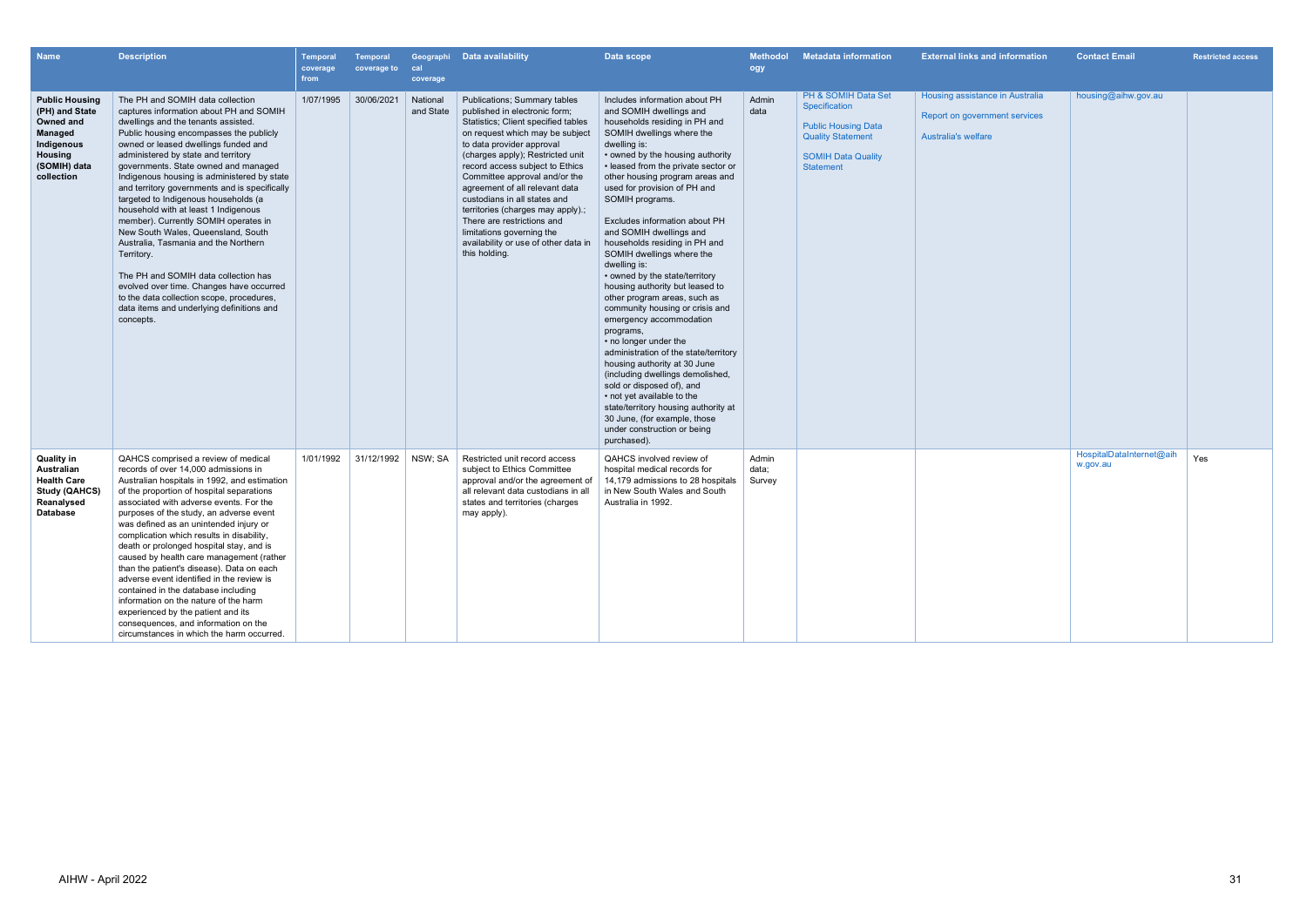| <b>Name</b>                                                                                                                   | <b>Description</b>                                                                                                                                                                                                                                                                                                                                                                                                                                                                                                                                                                                                                                                                                                                                                                                  | <b>Temporal</b><br>coverage<br>from | <b>Temporal</b><br>coverage to | cal<br>coverage       | Geographi Data availability                                                                                                                                                                                                                                                                                                                                                                                                                                                                             | Data scope                                                                                                                                                                                                                                                                                                                                                                                                                                                                                                                                                                                                                                                                                                                                                                                                                                                                                                                                               | <b>Methodol</b><br>ogy   | <b>Metadata information</b>                                                                                                                     | <b>External links and information</b>                                                          | <b>Contact Email</b>                 | <b>Restricted access</b> |
|-------------------------------------------------------------------------------------------------------------------------------|-----------------------------------------------------------------------------------------------------------------------------------------------------------------------------------------------------------------------------------------------------------------------------------------------------------------------------------------------------------------------------------------------------------------------------------------------------------------------------------------------------------------------------------------------------------------------------------------------------------------------------------------------------------------------------------------------------------------------------------------------------------------------------------------------------|-------------------------------------|--------------------------------|-----------------------|---------------------------------------------------------------------------------------------------------------------------------------------------------------------------------------------------------------------------------------------------------------------------------------------------------------------------------------------------------------------------------------------------------------------------------------------------------------------------------------------------------|----------------------------------------------------------------------------------------------------------------------------------------------------------------------------------------------------------------------------------------------------------------------------------------------------------------------------------------------------------------------------------------------------------------------------------------------------------------------------------------------------------------------------------------------------------------------------------------------------------------------------------------------------------------------------------------------------------------------------------------------------------------------------------------------------------------------------------------------------------------------------------------------------------------------------------------------------------|--------------------------|-------------------------------------------------------------------------------------------------------------------------------------------------|------------------------------------------------------------------------------------------------|--------------------------------------|--------------------------|
| <b>Public Housing</b><br>(PH) and State<br>Owned and<br>Managed<br>Indigenous<br><b>Housing</b><br>(SOMIH) data<br>collection | The PH and SOMIH data collection<br>captures information about PH and SOMIH<br>dwellings and the tenants assisted.<br>Public housing encompasses the publicly<br>owned or leased dwellings funded and<br>administered by state and territory<br>governments. State owned and managed<br>Indigenous housing is administered by state<br>and territory governments and is specifically<br>targeted to Indigenous households (a<br>household with at least 1 Indigenous<br>member). Currently SOMIH operates in<br>New South Wales, Queensland, South<br>Australia, Tasmania and the Northern<br>Territory.<br>The PH and SOMIH data collection has<br>evolved over time. Changes have occurred<br>to the data collection scope, procedures,<br>data items and underlying definitions and<br>concepts. | 1/07/1995                           | 30/06/2021                     | National<br>and State | Publications; Summary tables<br>published in electronic form:<br>Statistics; Client specified tables<br>on request which may be subject<br>to data provider approval<br>(charges apply); Restricted unit<br>record access subject to Ethics<br>Committee approval and/or the<br>agreement of all relevant data<br>custodians in all states and<br>territories (charges may apply).;<br>There are restrictions and<br>limitations governing the<br>availability or use of other data in<br>this holding. | Includes information about PH<br>and SOMIH dwellings and<br>households residing in PH and<br>SOMIH dwellings where the<br>dwelling is:<br>• owned by the housing authority<br>• leased from the private sector or<br>other housing program areas and<br>used for provision of PH and<br>SOMIH programs.<br>Excludes information about PH<br>and SOMIH dwellings and<br>households residing in PH and<br>SOMIH dwellings where the<br>dwelling is:<br>• owned by the state/territory<br>housing authority but leased to<br>other program areas, such as<br>community housing or crisis and<br>emergency accommodation<br>programs,<br>• no longer under the<br>administration of the state/territory<br>housing authority at 30 June<br>(including dwellings demolished,<br>sold or disposed of), and<br>• not yet available to the<br>state/territory housing authority at<br>30 June, (for example, those<br>under construction or being<br>purchased). | Admin<br>data            | PH & SOMIH Data Set<br>Specification<br><b>Public Housing Data</b><br><b>Quality Statement</b><br><b>SOMIH Data Quality</b><br><b>Statement</b> | Housing assistance in Australia<br>Report on government services<br><b>Australia's welfare</b> | housing@aihw.gov.au                  |                          |
| <b>Quality in</b><br>Australian<br><b>Health Care</b><br><b>Study (QAHCS)</b><br>Reanalysed<br>Database                       | QAHCS comprised a review of medical<br>records of over 14,000 admissions in<br>Australian hospitals in 1992, and estimation<br>of the proportion of hospital separations<br>associated with adverse events. For the<br>purposes of the study, an adverse event<br>was defined as an unintended injury or<br>complication which results in disability,<br>death or prolonged hospital stay, and is<br>caused by health care management (rather<br>than the patient's disease). Data on each<br>adverse event identified in the review is<br>contained in the database including<br>information on the nature of the harm<br>experienced by the patient and its<br>consequences, and information on the<br>circumstances in which the harm occurred.                                                  | 1/01/1992                           | 31/12/1992                     | NSW; SA               | Restricted unit record access<br>subject to Ethics Committee<br>approval and/or the agreement of<br>all relevant data custodians in all<br>states and territories (charges<br>may apply).                                                                                                                                                                                                                                                                                                               | QAHCS involved review of<br>hospital medical records for<br>14,179 admissions to 28 hospitals<br>in New South Wales and South<br>Australia in 1992.                                                                                                                                                                                                                                                                                                                                                                                                                                                                                                                                                                                                                                                                                                                                                                                                      | Admin<br>data;<br>Survey |                                                                                                                                                 |                                                                                                | HospitalDataInternet@aih<br>w.gov.au | Yes                      |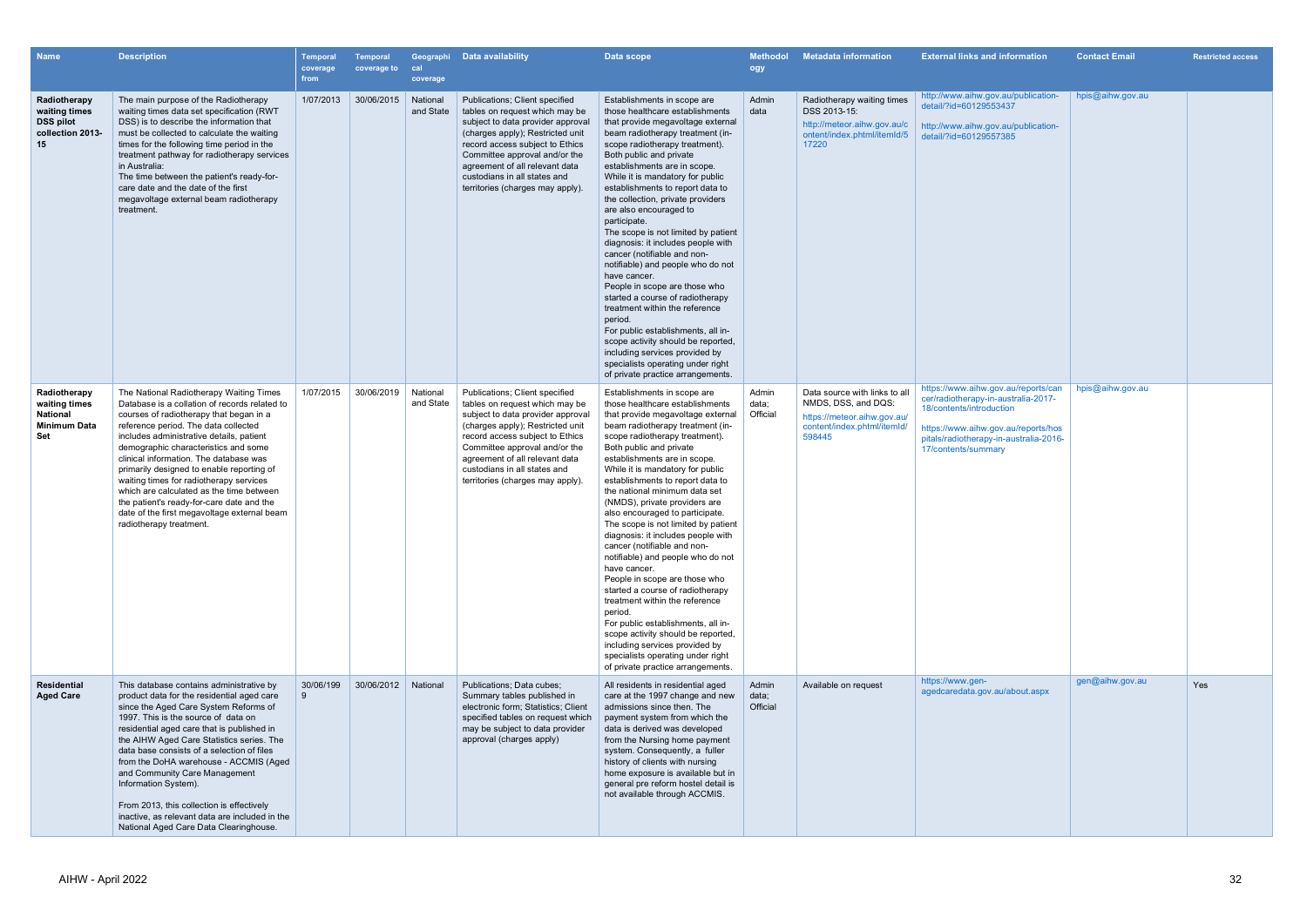| <b>Name</b>                                                                    | <b>Description</b>                                                                                                                                                                                                                                                                                                                                                                                                                                                                                                                                                   | Temporal<br>coverage<br>from | <b>Temporal</b><br>coverage to | cal<br>coverage       | Geographi Data availability                                                                                                                                                                                                                                                                                        | Data scope                                                                                                                                                                                                                                                                                                                                                                                                                                                                                                                                                                                                                                                                                                                                                                                                                                                                                   | <b>Methodol</b><br>ogy     | <b>Metadata information</b>                                                                                                  | <b>External links and information</b>                                                                                                                                                                          | <b>Contact Email</b> | <b>Restricted access</b> |
|--------------------------------------------------------------------------------|----------------------------------------------------------------------------------------------------------------------------------------------------------------------------------------------------------------------------------------------------------------------------------------------------------------------------------------------------------------------------------------------------------------------------------------------------------------------------------------------------------------------------------------------------------------------|------------------------------|--------------------------------|-----------------------|--------------------------------------------------------------------------------------------------------------------------------------------------------------------------------------------------------------------------------------------------------------------------------------------------------------------|----------------------------------------------------------------------------------------------------------------------------------------------------------------------------------------------------------------------------------------------------------------------------------------------------------------------------------------------------------------------------------------------------------------------------------------------------------------------------------------------------------------------------------------------------------------------------------------------------------------------------------------------------------------------------------------------------------------------------------------------------------------------------------------------------------------------------------------------------------------------------------------------|----------------------------|------------------------------------------------------------------------------------------------------------------------------|----------------------------------------------------------------------------------------------------------------------------------------------------------------------------------------------------------------|----------------------|--------------------------|
| Radiotherapy<br>waiting times<br><b>DSS pilot</b><br>collection 2013-<br>15    | The main purpose of the Radiotherapy<br>waiting times data set specification (RWT<br>DSS) is to describe the information that<br>must be collected to calculate the waiting<br>times for the following time period in the<br>treatment pathway for radiotherapy services<br>in Australia:<br>The time between the patient's ready-for-<br>care date and the date of the first<br>megavoltage external beam radiotherapy<br>treatment.                                                                                                                                | 1/07/2013                    | 30/06/2015                     | National<br>and State | Publications; Client specified<br>tables on request which may be<br>subject to data provider approval<br>(charges apply); Restricted unit<br>record access subject to Ethics<br>Committee approval and/or the<br>agreement of all relevant data<br>custodians in all states and<br>territories (charges may apply) | Establishments in scope are<br>those healthcare establishments<br>that provide megavoltage external<br>beam radiotherapy treatment (in-<br>scope radiotherapy treatment).<br>Both public and private<br>establishments are in scope.<br>While it is mandatory for public<br>establishments to report data to<br>the collection, private providers<br>are also encouraged to<br>participate.<br>The scope is not limited by patient<br>diagnosis: it includes people with<br>cancer (notifiable and non-<br>notifiable) and people who do not<br>have cancer.<br>People in scope are those who<br>started a course of radiotherapy<br>treatment within the reference<br>period.<br>For public establishments, all in-<br>scope activity should be reported,<br>including services provided by<br>specialists operating under right<br>of private practice arrangements.                       | Admin<br>data              | Radiotherapy waiting times<br>DSS 2013-15:<br>http://meteor.aihw.gov.au/c<br>ontent/index.phtml/itemId/5<br>17220            | http://www.aihw.gov.au/publication-<br>detail/?id=60129553437<br>http://www.aihw.gov.au/publication-<br>detail/?id=60129557385                                                                                 | hpis@aihw.gov.au     |                          |
| Radiotherapy<br>waiting times<br>National<br><b>Minimum Data</b><br><b>Set</b> | The National Radiotherapy Waiting Times<br>Database is a collation of records related to<br>courses of radiotherapy that began in a<br>reference period. The data collected<br>includes administrative details, patient<br>demographic characteristics and some<br>clinical information. The database was<br>primarily designed to enable reporting of<br>waiting times for radiotherapy services<br>which are calculated as the time between<br>the patient's ready-for-care date and the<br>date of the first megavoltage external beam<br>radiotherapy treatment. | 1/07/2015                    | 30/06/2019                     | National<br>and State | Publications; Client specified<br>tables on request which may be<br>subject to data provider approval<br>(charges apply); Restricted unit<br>record access subject to Ethics<br>Committee approval and/or the<br>agreement of all relevant data<br>custodians in all states and<br>territories (charges may apply) | Establishments in scope are<br>those healthcare establishments<br>that provide megavoltage external<br>beam radiotherapy treatment (in-<br>scope radiotherapy treatment).<br>Both public and private<br>establishments are in scope.<br>While it is mandatory for public<br>establishments to report data to<br>the national minimum data set<br>(NMDS), private providers are<br>also encouraged to participate.<br>The scope is not limited by patient<br>diagnosis: it includes people with<br>cancer (notifiable and non-<br>notifiable) and people who do not<br>have cancer.<br>People in scope are those who<br>started a course of radiotherapy<br>treatment within the reference<br>period.<br>For public establishments, all in-<br>scope activity should be reported,<br>including services provided by<br>specialists operating under right<br>of private practice arrangements. | Admin<br>data;<br>Official | Data source with links to all<br>NMDS, DSS, and DQS:<br>https://meteor.aihw.gov.au/<br>content/index.phtml/itemId/<br>598445 | https://www.aihw.gov.au/reports/can<br>cer/radiotherapy-in-australia-2017-<br>18/contents/introduction<br>https://www.aihw.gov.au/reports/hos<br>pitals/radiotherapy-in-australia-2016-<br>17/contents/summary | hpis@aihw.gov.au     |                          |
| <b>Residential</b><br><b>Aged Care</b>                                         | This database contains administrative by<br>product data for the residential aged care<br>since the Aged Care System Reforms of<br>1997. This is the source of data on<br>residential aged care that is published in<br>the AIHW Aged Care Statistics series. The<br>data base consists of a selection of files<br>from the DoHA warehouse - ACCMIS (Aged<br>and Community Care Management<br>Information System).<br>From 2013, this collection is effectively<br>inactive, as relevant data are included in the<br>National Aged Care Data Clearinghouse.          | 30/06/199                    | 30/06/2012 National            |                       | Publications; Data cubes;<br>Summary tables published in<br>electronic form; Statistics; Client<br>specified tables on request which<br>may be subject to data provider<br>approval (charges apply)                                                                                                                | All residents in residential aged<br>care at the 1997 change and new<br>admissions since then. The<br>payment system from which the<br>data is derived was developed<br>from the Nursing home payment<br>system. Consequently, a fuller<br>history of clients with nursing<br>home exposure is available but in<br>general pre reform hostel detail is<br>not available through ACCMIS.                                                                                                                                                                                                                                                                                                                                                                                                                                                                                                      | Admin<br>data;<br>Official | Available on request                                                                                                         | https://www.gen-<br>agedcaredata.gov.au/about.aspx                                                                                                                                                             | gen@aihw.gov.au      | Yes                      |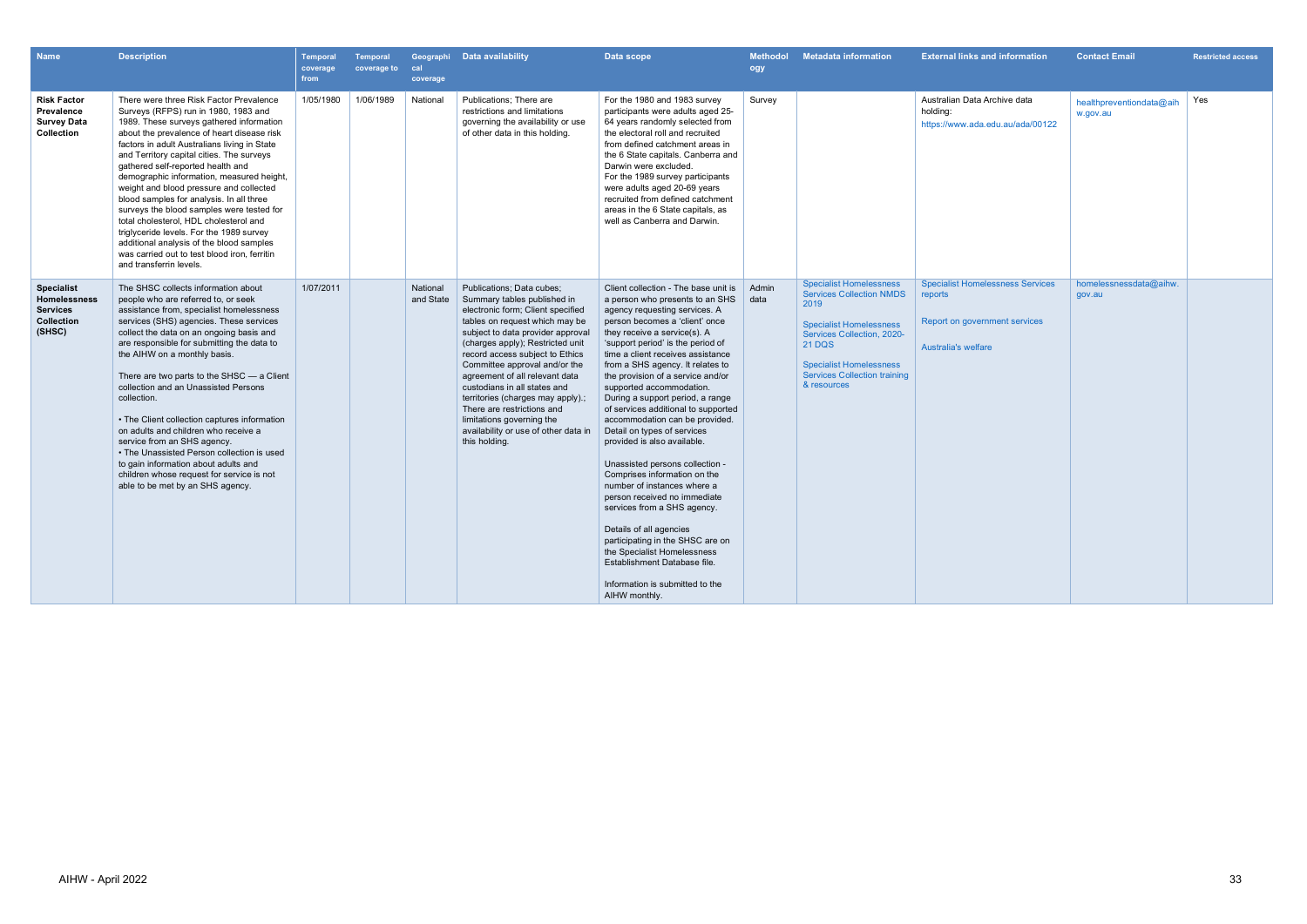| <b>Name</b>                                                                                | <b>Description</b>                                                                                                                                                                                                                                                                                                                                                                                                                                                                                                                                                                                                                                                                                        | Temporal<br>coverage<br>from | Temporal<br>coverage to | cal<br>coverage       | Geographi Data availability                                                                                                                                                                                                                                                                                                                                                                                                                                                                             | Data scope                                                                                                                                                                                                                                                                                                                                                                                                                                                                                                                                                                                                                                                                                                                                                                                                                                                                              | <b>Methodol</b><br>ogy | <b>Metadata information</b>                                                                                                                                                                                                                        | <b>External links and information</b>                                                                      | <b>Contact Email</b>                 | <b>Restricted access</b> |
|--------------------------------------------------------------------------------------------|-----------------------------------------------------------------------------------------------------------------------------------------------------------------------------------------------------------------------------------------------------------------------------------------------------------------------------------------------------------------------------------------------------------------------------------------------------------------------------------------------------------------------------------------------------------------------------------------------------------------------------------------------------------------------------------------------------------|------------------------------|-------------------------|-----------------------|---------------------------------------------------------------------------------------------------------------------------------------------------------------------------------------------------------------------------------------------------------------------------------------------------------------------------------------------------------------------------------------------------------------------------------------------------------------------------------------------------------|-----------------------------------------------------------------------------------------------------------------------------------------------------------------------------------------------------------------------------------------------------------------------------------------------------------------------------------------------------------------------------------------------------------------------------------------------------------------------------------------------------------------------------------------------------------------------------------------------------------------------------------------------------------------------------------------------------------------------------------------------------------------------------------------------------------------------------------------------------------------------------------------|------------------------|----------------------------------------------------------------------------------------------------------------------------------------------------------------------------------------------------------------------------------------------------|------------------------------------------------------------------------------------------------------------|--------------------------------------|--------------------------|
| <b>Risk Factor</b><br>Prevalence<br><b>Survey Data</b><br>Collection                       | There were three Risk Factor Prevalence<br>Surveys (RFPS) run in 1980, 1983 and<br>1989. These surveys gathered information<br>about the prevalence of heart disease risk<br>factors in adult Australians living in State<br>and Territory capital cities. The surveys<br>gathered self-reported health and<br>demographic information, measured height,<br>weight and blood pressure and collected<br>blood samples for analysis. In all three<br>surveys the blood samples were tested for<br>total cholesterol, HDL cholesterol and<br>triglyceride levels. For the 1989 survey<br>additional analysis of the blood samples<br>was carried out to test blood iron, ferritin<br>and transferrin levels. | 1/05/1980                    | 1/06/1989               | National              | Publications: There are<br>restrictions and limitations<br>governing the availability or use<br>of other data in this holding.                                                                                                                                                                                                                                                                                                                                                                          | For the 1980 and 1983 survey<br>participants were adults aged 25-<br>64 years randomly selected from<br>the electoral roll and recruited<br>from defined catchment areas in<br>the 6 State capitals. Canberra and<br>Darwin were excluded.<br>For the 1989 survey participants<br>were adults aged 20-69 years<br>recruited from defined catchment<br>areas in the 6 State capitals, as<br>well as Canberra and Darwin.                                                                                                                                                                                                                                                                                                                                                                                                                                                                 | Survey                 |                                                                                                                                                                                                                                                    | Australian Data Archive data<br>holding:<br>https://www.ada.edu.au/ada/00122                               | healthpreventiondata@aih<br>w.gov.au | Yes                      |
| <b>Specialist</b><br><b>Homelessness</b><br><b>Services</b><br><b>Collection</b><br>(SHSC) | The SHSC collects information about<br>people who are referred to, or seek<br>assistance from, specialist homelessness<br>services (SHS) agencies. These services<br>collect the data on an ongoing basis and<br>are responsible for submitting the data to<br>the AIHW on a monthly basis.<br>There are two parts to the SHSC $-$ a Client<br>collection and an Unassisted Persons<br>collection.<br>• The Client collection captures information<br>on adults and children who receive a<br>service from an SHS agency.<br>• The Unassisted Person collection is used<br>to gain information about adults and<br>children whose request for service is not<br>able to be met by an SHS agency.          | 1/07/2011                    |                         | National<br>and State | Publications: Data cubes:<br>Summary tables published in<br>electronic form; Client specified<br>tables on request which may be<br>subject to data provider approval<br>(charges apply); Restricted unit<br>record access subject to Ethics<br>Committee approval and/or the<br>agreement of all relevant data<br>custodians in all states and<br>territories (charges may apply).;<br>There are restrictions and<br>limitations governing the<br>availability or use of other data in<br>this holding. | Client collection - The base unit is<br>a person who presents to an SHS<br>agency requesting services. A<br>person becomes a 'client' once<br>they receive a service(s). A<br>'support period' is the period of<br>time a client receives assistance<br>from a SHS agency. It relates to<br>the provision of a service and/or<br>supported accommodation.<br>During a support period, a range<br>of services additional to supported<br>accommodation can be provided.<br>Detail on types of services<br>provided is also available.<br>Unassisted persons collection -<br>Comprises information on the<br>number of instances where a<br>person received no immediate<br>services from a SHS agency.<br>Details of all agencies<br>participating in the SHSC are on<br>the Specialist Homelessness<br>Establishment Database file.<br>Information is submitted to the<br>AIHW monthly. | Admin<br>data          | <b>Specialist Homelessness</b><br><b>Services Collection NMDS</b><br>2019<br><b>Specialist Homelessness</b><br>Services Collection, 2020-<br><b>21 DQS</b><br><b>Specialist Homelessness</b><br><b>Services Collection training</b><br>& resources | <b>Specialist Homelessness Services</b><br>reports<br>Report on government services<br>Australia's welfare | homelessnessdata@aihw.<br>gov.au     |                          |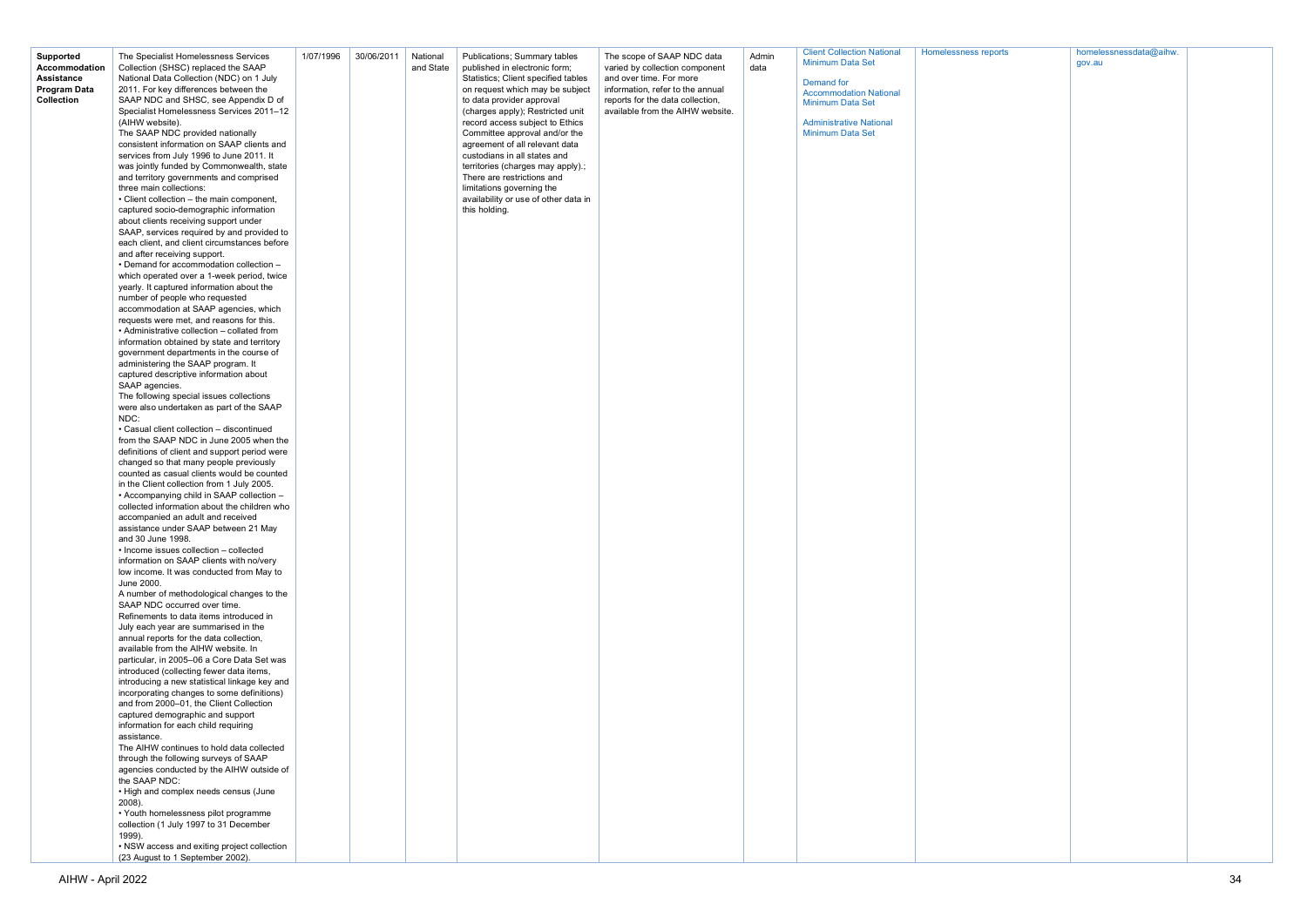| orts | homelessnessdata@aihw. |  |
|------|------------------------|--|
|      | gov.au                 |  |
|      |                        |  |
|      |                        |  |
|      |                        |  |
|      |                        |  |
|      |                        |  |
|      |                        |  |
|      |                        |  |
|      |                        |  |
|      |                        |  |
|      |                        |  |
|      |                        |  |
|      |                        |  |
|      |                        |  |
|      |                        |  |
|      |                        |  |
|      |                        |  |
|      |                        |  |
|      |                        |  |
|      |                        |  |
|      |                        |  |
|      |                        |  |
|      |                        |  |
|      |                        |  |
|      |                        |  |
|      |                        |  |
|      |                        |  |
|      |                        |  |
|      |                        |  |
|      |                        |  |
|      |                        |  |
|      |                        |  |
|      |                        |  |
|      |                        |  |
|      |                        |  |
|      |                        |  |
|      |                        |  |
|      |                        |  |
|      |                        |  |
|      |                        |  |
|      |                        |  |
|      |                        |  |
|      |                        |  |
|      |                        |  |
|      |                        |  |
|      |                        |  |
|      |                        |  |
|      |                        |  |
|      |                        |  |
|      |                        |  |
|      |                        |  |
|      |                        |  |
|      |                        |  |
|      |                        |  |
|      |                        |  |
|      |                        |  |
|      |                        |  |
|      |                        |  |
|      |                        |  |
|      |                        |  |
|      |                        |  |
|      |                        |  |
|      |                        |  |
|      |                        |  |
|      |                        |  |
|      |                        |  |
|      |                        |  |
|      |                        |  |
|      |                        |  |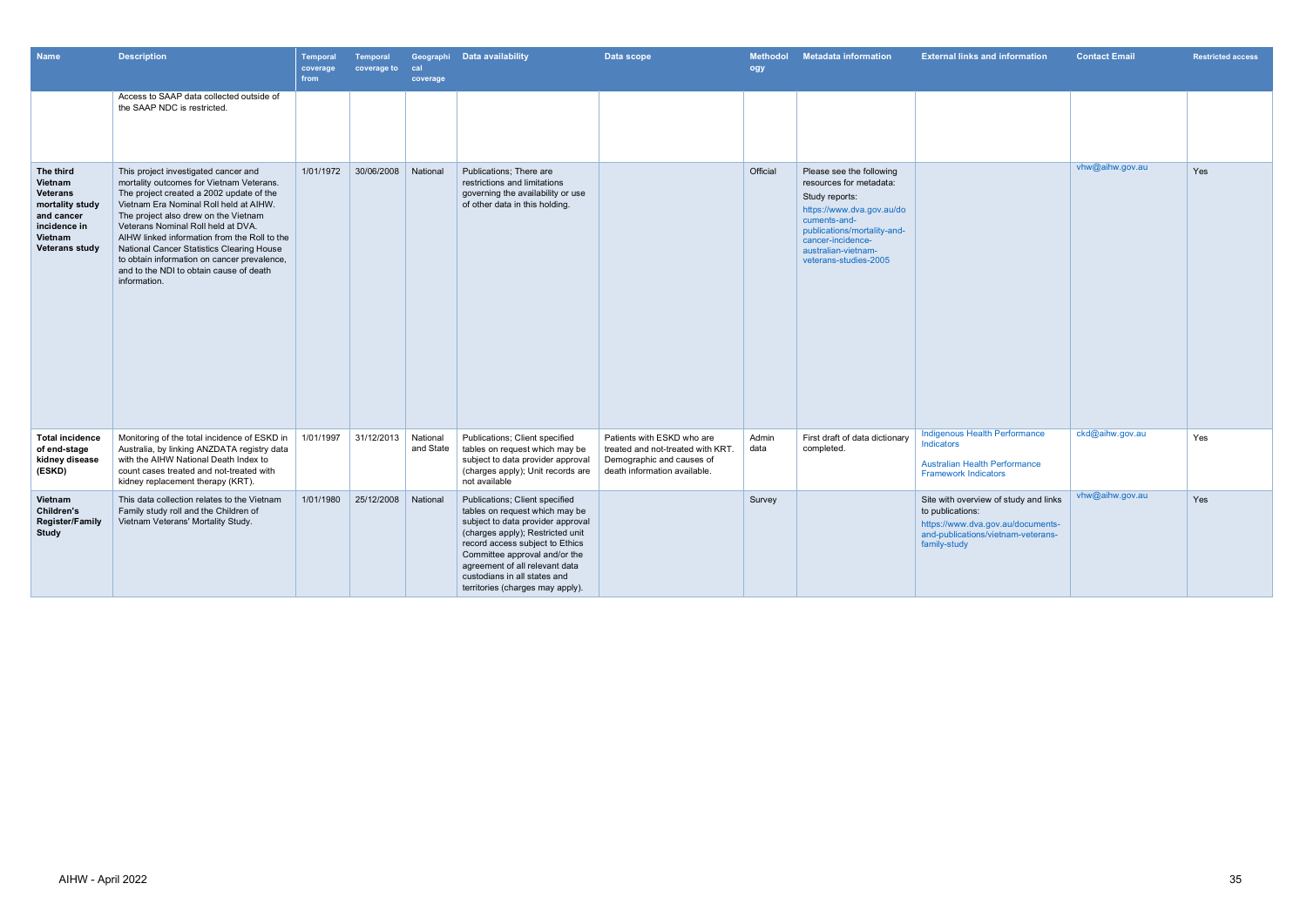| <b>Name</b>                                                                                                                  | <b>Description</b>                                                                                                                                                                                                                                                                                                                                                                                                                                          | <b>Temporal</b><br>coverage<br>from | <b>Temporal</b><br>coverage to | cal<br>coverage       | Geographi Data availability                                                                                                                                                                                                                                                                                         | Data scope                                                                                                                   | <b>Methodol</b><br>ogy | <b>Metadata information</b>                                                                                                                                                                                            | <b>External links and information</b>                                                                                                                | <b>Contact Email</b> | <b>Restricted access</b> |
|------------------------------------------------------------------------------------------------------------------------------|-------------------------------------------------------------------------------------------------------------------------------------------------------------------------------------------------------------------------------------------------------------------------------------------------------------------------------------------------------------------------------------------------------------------------------------------------------------|-------------------------------------|--------------------------------|-----------------------|---------------------------------------------------------------------------------------------------------------------------------------------------------------------------------------------------------------------------------------------------------------------------------------------------------------------|------------------------------------------------------------------------------------------------------------------------------|------------------------|------------------------------------------------------------------------------------------------------------------------------------------------------------------------------------------------------------------------|------------------------------------------------------------------------------------------------------------------------------------------------------|----------------------|--------------------------|
|                                                                                                                              | Access to SAAP data collected outside of<br>the SAAP NDC is restricted.                                                                                                                                                                                                                                                                                                                                                                                     |                                     |                                |                       |                                                                                                                                                                                                                                                                                                                     |                                                                                                                              |                        |                                                                                                                                                                                                                        |                                                                                                                                                      |                      |                          |
| The third<br>Vietnam<br><b>Veterans</b><br>mortality study<br>and cancer<br>incidence in<br>Vietnam<br><b>Veterans study</b> | This project investigated cancer and<br>mortality outcomes for Vietnam Veterans.<br>The project created a 2002 update of the<br>Vietnam Era Nominal Roll held at AIHW.<br>The project also drew on the Vietnam<br>Veterans Nominal Roll held at DVA.<br>AIHW linked information from the Roll to the<br>National Cancer Statistics Clearing House<br>to obtain information on cancer prevalence,<br>and to the NDI to obtain cause of death<br>information. | 1/01/1972                           | 30/06/2008                     | National              | Publications; There are<br>restrictions and limitations<br>governing the availability or use<br>of other data in this holding.                                                                                                                                                                                      |                                                                                                                              | Official               | Please see the following<br>resources for metadata:<br>Study reports:<br>https://www.dva.gov.au/do<br>cuments-and-<br>publications/mortality-and-<br>cancer-incidence-<br>australian-vietnam-<br>veterans-studies-2005 |                                                                                                                                                      | vhw@aihw.gov.au      | Yes                      |
| <b>Total incidence</b><br>of end-stage<br>kidney disease<br>(ESKD)                                                           | Monitoring of the total incidence of ESKD in<br>Australia, by linking ANZDATA registry data<br>with the AIHW National Death Index to<br>count cases treated and not-treated with<br>kidney replacement therapy (KRT).                                                                                                                                                                                                                                       | 1/01/1997                           | 31/12/2013                     | National<br>and State | Publications; Client specified<br>tables on request which may be<br>subject to data provider approval<br>(charges apply); Unit records are<br>not available                                                                                                                                                         | Patients with ESKD who are<br>treated and not-treated with KRT.<br>Demographic and causes of<br>death information available. | Admin<br>data          | First draft of data dictionary<br>completed.                                                                                                                                                                           | Indigenous Health Performance<br><b>Indicators</b><br><b>Australian Health Performance</b><br><b>Framework Indicators</b>                            | ckd@aihw.gov.au      | Yes                      |
| Vietnam<br><b>Children's</b><br><b>Register/Family</b><br><b>Study</b>                                                       | This data collection relates to the Vietnam<br>Family study roll and the Children of<br>Vietnam Veterans' Mortality Study.                                                                                                                                                                                                                                                                                                                                  | 1/01/1980                           | 25/12/2008                     | National              | Publications; Client specified<br>tables on request which may be<br>subject to data provider approval<br>(charges apply); Restricted unit<br>record access subject to Ethics<br>Committee approval and/or the<br>agreement of all relevant data<br>custodians in all states and<br>territories (charges may apply). |                                                                                                                              | Survey                 |                                                                                                                                                                                                                        | Site with overview of study and links<br>to publications:<br>https://www.dva.gov.au/documents-<br>and-publications/vietnam-veterans-<br>family-study | vhw@aihw.gov.au      | Yes                      |